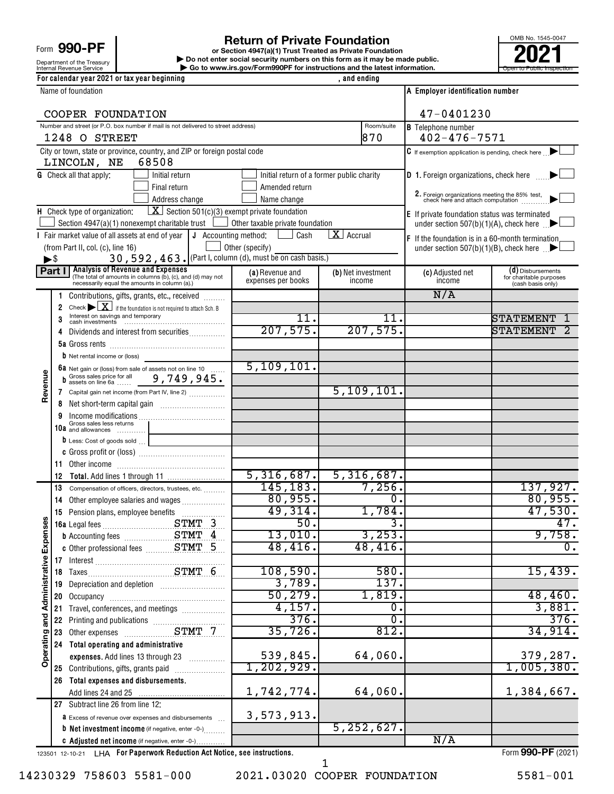Form 990-PF

# Department of the Treasury<br>Internal Revenue Service

Internal Revenue Service **Internal Revenue Service Concernation** Go to www.irs.gov/Form990PF for instructions and the latest information. **or Section 4947(a)(1) Trust Treated as Private Foundation | Do not enter social security numbers on this form as it may be made public. 1990 - PF**<br> **Return of Private Foundation**<br> **Pound the Treasury Private Foundation**<br> **Revenue Service**<br> **Pound terms and the latest information.**<br> **Revenue Service**<br> **Pound terms and the latest information.** 



|                              |                          | For calendar year 2021 or tax year beginning                                                                                           |                                         | , and ending                              |                                                                                  |                                              |
|------------------------------|--------------------------|----------------------------------------------------------------------------------------------------------------------------------------|-----------------------------------------|-------------------------------------------|----------------------------------------------------------------------------------|----------------------------------------------|
| Name of foundation           |                          |                                                                                                                                        |                                         |                                           | A Employer identification number                                                 |                                              |
|                              |                          | COOPER FOUNDATION                                                                                                                      | 47-0401230                              |                                           |                                                                                  |                                              |
|                              |                          | Number and street (or P.O. box number if mail is not delivered to street address)<br>1248 O STREET                                     |                                         | Room/suite<br>870                         | <b>B</b> Telephone number<br>$402 - 476 - 7571$                                  |                                              |
|                              |                          | City or town, state or province, country, and ZIP or foreign postal code                                                               |                                         |                                           | $\mathbf C$ If exemption application is pending, check here $\Box$               |                                              |
|                              |                          | LINCOLN, NE<br>68508                                                                                                                   |                                         |                                           |                                                                                  |                                              |
|                              |                          | <b>G</b> Check all that apply:<br>Initial return                                                                                       |                                         | Initial return of a former public charity | <b>D</b> 1. Foreign organizations, check here                                    |                                              |
|                              |                          | Final return                                                                                                                           | Amended return                          |                                           |                                                                                  |                                              |
|                              |                          | Address change                                                                                                                         | Name change                             |                                           | 2. Foreign organizations meeting the 85% test, check here and attach computation |                                              |
|                              |                          | $\boxed{\mathbf{X}}$ Section 501(c)(3) exempt private foundation<br>H Check type of organization:                                      |                                         |                                           | E If private foundation status was terminated                                    |                                              |
|                              |                          | Section 4947(a)(1) nonexempt charitable trust                                                                                          | $\Box$ Other taxable private foundation | $X$ Accrual                               | under section 507(b)(1)(A), check here $\Box$                                    |                                              |
|                              |                          | I Fair market value of all assets at end of year<br>J Accounting method:<br>(from Part II, col. (c), line 16)                          | Cash<br>Other (specify)                 |                                           | F If the foundation is in a 60-month termination                                 |                                              |
|                              | $\blacktriangleright$ \$ | 30, 592, 463. (Part I, column (d), must be on cash basis.)                                                                             |                                         |                                           | under section 507(b)(1)(B), check here $\Box$                                    |                                              |
|                              |                          | Part I Analysis of Revenue and Expenses                                                                                                | (a) Revenue and                         | (b) Net investment                        | (c) Adjusted net                                                                 | (d) Disbursements                            |
|                              |                          | (The total of amounts in columns (b), (c), and (d) may not<br>necessarily equal the amounts in column (a).)                            | expenses per books                      | income                                    | income                                                                           | for charitable purposes<br>(cash basis only) |
|                              | 1                        | Contributions, gifts, grants, etc., received                                                                                           |                                         |                                           | N/A                                                                              |                                              |
|                              | $\overline{2}$           | Check $\blacktriangleright \boxed{\textbf{X}}$ if the foundation is not required to attach Sch. B<br>Interest on savings and temporary |                                         |                                           |                                                                                  |                                              |
|                              | 3                        |                                                                                                                                        | 11.                                     | 11.                                       |                                                                                  | STATEMENT                                    |
|                              | 4                        | Dividends and interest from securities                                                                                                 | 207,575.                                | 207,575.                                  |                                                                                  | <b>STATEMENT</b>                             |
|                              |                          |                                                                                                                                        |                                         |                                           |                                                                                  |                                              |
|                              |                          | <b>b</b> Net rental income or (loss)                                                                                                   | 5, 109, 101.                            |                                           |                                                                                  |                                              |
|                              |                          | 6a Net gain or (loss) from sale of assets not on line 10<br>b Gross sales price for all 9, 749, 945.                                   |                                         |                                           |                                                                                  |                                              |
| Revenue                      |                          | 7 Capital gain net income (from Part IV, line 2)                                                                                       |                                         | 5, 109, 101.                              |                                                                                  |                                              |
|                              | 8                        |                                                                                                                                        |                                         |                                           |                                                                                  |                                              |
|                              |                          | Gross sales less returns                                                                                                               |                                         |                                           |                                                                                  |                                              |
|                              |                          | 10a and allowances                                                                                                                     |                                         |                                           |                                                                                  |                                              |
|                              |                          | D Less: Cost of goods sold                                                                                                             |                                         |                                           |                                                                                  |                                              |
|                              | 11.                      |                                                                                                                                        |                                         |                                           |                                                                                  |                                              |
|                              | 12                       |                                                                                                                                        |                                         | $\overline{5,316,687.}$ 5, 316, 687.      |                                                                                  |                                              |
|                              | 13                       | Compensation of officers, directors, trustees, etc.                                                                                    | 145, 183.                               | 7,256.                                    |                                                                                  | 137,927.                                     |
|                              | 14                       | Other employee salaries and wages                                                                                                      | 80,955.                                 | σ.                                        |                                                                                  | 80,955.                                      |
| w                            |                          | 15 Pension plans, employee benefits                                                                                                    | 49,314.                                 | 1,784.                                    |                                                                                  | 47,530.                                      |
|                              |                          |                                                                                                                                        | 50.                                     | . د                                       |                                                                                  | 47.                                          |
| Expense                      |                          |                                                                                                                                        | 13,010.<br>48,416.                      | 3,253.<br>48, 416.                        |                                                                                  | 9,758.<br>$\overline{0}$ .                   |
|                              |                          |                                                                                                                                        |                                         |                                           |                                                                                  |                                              |
|                              |                          | 17 Interest<br>18 Taxes                                                                                                                | 108,590.                                | 580.                                      |                                                                                  | 15,439.                                      |
|                              | 19                       | Depreciation and depletion [11] [11] Depreciation and depletion                                                                        | 3,789.                                  | 137.                                      |                                                                                  |                                              |
|                              | 20                       |                                                                                                                                        | 50, 279.                                | 1,819.                                    |                                                                                  | 48,460.                                      |
|                              | 21                       | Travel, conferences, and meetings                                                                                                      | 4,157.                                  | σ.                                        |                                                                                  | 3,881.                                       |
|                              | 22                       | Printing and publications<br>Other expenses<br>CLIMIT 7                                                                                | 376.                                    | σ.                                        |                                                                                  | 376.                                         |
| Operating and Administrative | 23                       |                                                                                                                                        | 35,726.                                 | 812.                                      |                                                                                  | 34,914.                                      |
|                              | 24                       | Total operating and administrative<br>expenses. Add lines 13 through 23                                                                | 539,845.                                | 64,060.                                   |                                                                                  | 379,287.                                     |
|                              |                          | 25 Contributions, gifts, grants paid                                                                                                   | 1,202,929.                              |                                           |                                                                                  | 1,005,380.                                   |
|                              | 26                       | Total expenses and disbursements.                                                                                                      |                                         |                                           |                                                                                  |                                              |
|                              |                          |                                                                                                                                        | 1,742,774.                              | 64,060.                                   |                                                                                  | 1,384,667.                                   |
|                              |                          | 27 Subtract line 26 from line 12:                                                                                                      |                                         |                                           |                                                                                  |                                              |
|                              |                          | <b>a</b> Excess of revenue over expenses and disbursements                                                                             | 3,573,913.                              |                                           |                                                                                  |                                              |
|                              |                          | <b>b</b> Net investment income (if negative, enter -0-)                                                                                |                                         | 5, 252, 627.                              |                                                                                  |                                              |
|                              |                          | C Adjusted net income (if negative, enter -0-)                                                                                         |                                         |                                           | N/A                                                                              |                                              |

123501 12-10-21 **For Paperwork Reduction Act Notice, see instructions.** LHA Form (2021)

14230329 758603 5581-000 2021.03020 COOPER FOUNDATION 5581-001

1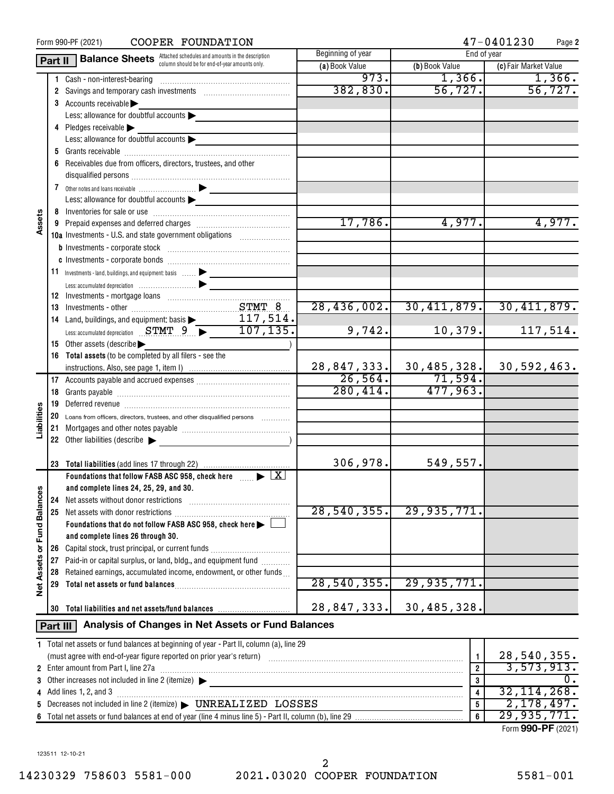| COOPER FOUNDATION<br>Form 990-PF (2021) |          |                                                                                                                                                                                                                                     |                                  |                                       | 47-0401230<br>Page 2  |  |  |  |
|-----------------------------------------|----------|-------------------------------------------------------------------------------------------------------------------------------------------------------------------------------------------------------------------------------------|----------------------------------|---------------------------------------|-----------------------|--|--|--|
|                                         | Part II  | <b>Balance Sheets</b> Attached schedules and amounts in the description                                                                                                                                                             | Beginning of year<br>End of year |                                       |                       |  |  |  |
|                                         |          | column should be for end-of-year amounts only.                                                                                                                                                                                      | (a) Book Value                   | (b) Book Value                        | (c) Fair Market Value |  |  |  |
|                                         |          | Cash - non-interest-bearing                                                                                                                                                                                                         | 973.                             | 1,366.                                | 1,366.                |  |  |  |
|                                         |          | 2 Savings and temporary cash investments [111] Savings and temporary cash investments [11] Savings and temporary cash                                                                                                               | 382, 830.                        | 56, 727.                              | 56, 727.              |  |  |  |
|                                         |          | 3 Accounts receivable                                                                                                                                                                                                               |                                  |                                       |                       |  |  |  |
|                                         |          | Less: allowance for doubtful accounts $\blacktriangleright$                                                                                                                                                                         |                                  |                                       |                       |  |  |  |
|                                         |          | 4 Pledges receivable $\blacktriangleright$                                                                                                                                                                                          |                                  |                                       |                       |  |  |  |
|                                         |          | Less: allowance for doubtful accounts                                                                                                                                                                                               |                                  |                                       |                       |  |  |  |
|                                         |          |                                                                                                                                                                                                                                     |                                  |                                       |                       |  |  |  |
|                                         |          | 6 Receivables due from officers, directors, trustees, and other                                                                                                                                                                     |                                  |                                       |                       |  |  |  |
|                                         |          |                                                                                                                                                                                                                                     |                                  |                                       |                       |  |  |  |
|                                         |          |                                                                                                                                                                                                                                     |                                  |                                       |                       |  |  |  |
|                                         |          | Less: allowance for doubtful accounts                                                                                                                                                                                               |                                  |                                       |                       |  |  |  |
|                                         |          |                                                                                                                                                                                                                                     |                                  |                                       |                       |  |  |  |
| Assets                                  |          |                                                                                                                                                                                                                                     | 17,786.                          | 4,977.                                | 4,977.                |  |  |  |
|                                         |          | 10a Investments - U.S. and state government obligations                                                                                                                                                                             |                                  |                                       |                       |  |  |  |
|                                         |          |                                                                                                                                                                                                                                     |                                  |                                       |                       |  |  |  |
|                                         |          |                                                                                                                                                                                                                                     |                                  |                                       |                       |  |  |  |
|                                         |          | 11 Investments - land, buildings, and equipment: basis  > _______________                                                                                                                                                           |                                  |                                       |                       |  |  |  |
|                                         |          | Less: accumulated depreciation (1999) (1999) (1999) (1999) (1999) (1999) (1999) (1999) (1999) (1999) (1999) (1                                                                                                                      |                                  |                                       |                       |  |  |  |
|                                         |          |                                                                                                                                                                                                                                     |                                  |                                       |                       |  |  |  |
|                                         |          |                                                                                                                                                                                                                                     | $\overline{28, 436, 002.}$       | 30,411,879.                           | 30,411,879.           |  |  |  |
|                                         |          | 117,514.                                                                                                                                                                                                                            |                                  |                                       |                       |  |  |  |
|                                         |          | 14 Land, buildings, and equipment: basis<br>Less: accumulated depreciation STMT 9 $\rightarrow$ 107, 135.                                                                                                                           | 9,742.                           | 10,379.                               | 117,514.              |  |  |  |
|                                         |          | 15 Other assets (describe                                                                                                                                                                                                           |                                  |                                       |                       |  |  |  |
|                                         |          | 16 Total assets (to be completed by all filers - see the                                                                                                                                                                            |                                  |                                       |                       |  |  |  |
|                                         |          |                                                                                                                                                                                                                                     |                                  | $28,847,333.$ 30,485,328. 30,592,463. |                       |  |  |  |
|                                         |          |                                                                                                                                                                                                                                     | $\frac{1}{26,564.}$              | 71,594.                               |                       |  |  |  |
|                                         |          |                                                                                                                                                                                                                                     | 280, 414.                        | 477,963.                              |                       |  |  |  |
|                                         | 19       | Deferred revenue <i>communication</i> and the contract of the contract of the contract of the contract of the contract of the contract of the contract of the contract of the contract of the contract of the contract of the contr |                                  |                                       |                       |  |  |  |
|                                         |          | 20 Loans from officers, directors, trustees, and other disqualified persons                                                                                                                                                         |                                  |                                       |                       |  |  |  |
| Liabilities                             | 21       |                                                                                                                                                                                                                                     |                                  |                                       |                       |  |  |  |
|                                         |          | 22 Other liabilities (describe $\blacktriangleright$                                                                                                                                                                                |                                  |                                       |                       |  |  |  |
|                                         |          |                                                                                                                                                                                                                                     |                                  |                                       |                       |  |  |  |
|                                         |          |                                                                                                                                                                                                                                     | 306,978.                         | 549,557.                              |                       |  |  |  |
|                                         |          | Foundations that follow FASB ASC 958, check here $\Box$ $\blacktriangleright$ $\Box X$                                                                                                                                              |                                  |                                       |                       |  |  |  |
|                                         |          | and complete lines 24, 25, 29, and 30.                                                                                                                                                                                              |                                  |                                       |                       |  |  |  |
|                                         | 24       | Net assets without donor restrictions                                                                                                                                                                                               |                                  |                                       |                       |  |  |  |
| <b>Fund Balances</b>                    | 25       | Net assets with donor restrictions                                                                                                                                                                                                  | 28, 540, 355.                    | 29,935,771.                           |                       |  |  |  |
|                                         |          | Foundations that do not follow FASB ASC 958, check here >                                                                                                                                                                           |                                  |                                       |                       |  |  |  |
|                                         |          | and complete lines 26 through 30.                                                                                                                                                                                                   |                                  |                                       |                       |  |  |  |
| ৯                                       |          |                                                                                                                                                                                                                                     |                                  |                                       |                       |  |  |  |
|                                         |          | 27 Paid-in or capital surplus, or land, bldg., and equipment fund                                                                                                                                                                   |                                  |                                       |                       |  |  |  |
| Assets                                  | 28       | Retained earnings, accumulated income, endowment, or other funds                                                                                                                                                                    |                                  |                                       |                       |  |  |  |
| <b>b</b> et                             | 29       |                                                                                                                                                                                                                                     | 28,540,355.                      | 29,935,771.                           |                       |  |  |  |
|                                         |          |                                                                                                                                                                                                                                     |                                  |                                       |                       |  |  |  |
|                                         | 30       | Total liabilities and net assets/fund balances                                                                                                                                                                                      | 28,847,333.                      | 30,485,328.                           |                       |  |  |  |
|                                         | Part III | Analysis of Changes in Net Assets or Fund Balances                                                                                                                                                                                  |                                  |                                       |                       |  |  |  |
|                                         |          | 1 Total net assets or fund balances at beginning of year - Part II, column (a), line 29                                                                                                                                             |                                  |                                       |                       |  |  |  |
|                                         |          |                                                                                                                                                                                                                                     |                                  | 1                                     | 28,540,355.           |  |  |  |
|                                         |          | 2 Enter amount from Part I, line 27a                                                                                                                                                                                                |                                  | $\overline{2}$                        | 3,573,913.            |  |  |  |
|                                         |          |                                                                                                                                                                                                                                     |                                  | 3                                     | $\overline{0}$ .      |  |  |  |
|                                         |          | <b>4</b> Add lines 1, 2, and 3                                                                                                                                                                                                      |                                  | 4                                     | 32, 114, 268.         |  |  |  |
|                                         |          | 5 Decreases not included in line 2 (itemize) > UNREALIZED LOSSES                                                                                                                                                                    |                                  | 5                                     | 2,178,497.            |  |  |  |
|                                         |          |                                                                                                                                                                                                                                     |                                  | $\boldsymbol{6}$                      | 29,935,771.           |  |  |  |

Form (2021) **990-PF**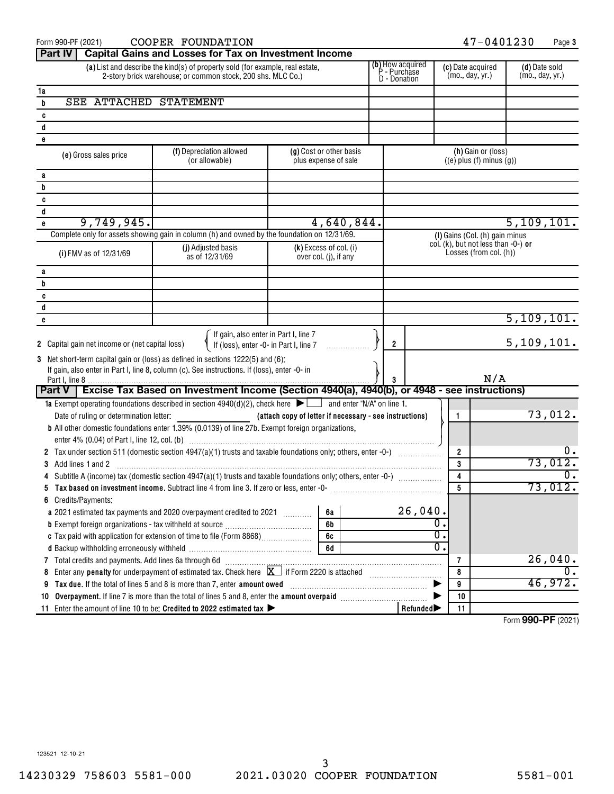| COOPER FOUNDATION<br>Form 990-PF (2021)                                         |                                                                                                                                              |                                                         |                                                   |  |                | 47-0401230<br>Page 3                             |                                                       |                                        |                                  |  |
|---------------------------------------------------------------------------------|----------------------------------------------------------------------------------------------------------------------------------------------|---------------------------------------------------------|---------------------------------------------------|--|----------------|--------------------------------------------------|-------------------------------------------------------|----------------------------------------|----------------------------------|--|
| <b>Part IV</b>                                                                  | <b>Capital Gains and Losses for Tax on Investment Income</b>                                                                                 |                                                         |                                                   |  |                |                                                  |                                                       |                                        |                                  |  |
|                                                                                 | (a) List and describe the kind(s) of property sold (for example, real estate,<br>2-story brick warehouse; or common stock, 200 shs. MLC Co.) |                                                         |                                                   |  |                | (b) How acquired<br>P - Purchase<br>D - Donation | (c) Date acquired<br>(mo., day, yr.)                  |                                        | (d) Date sold<br>(mo., day, yr.) |  |
| 1a                                                                              |                                                                                                                                              |                                                         |                                                   |  |                |                                                  |                                                       |                                        |                                  |  |
| SEE ATTACHED STATEMENT<br>b                                                     |                                                                                                                                              |                                                         |                                                   |  |                |                                                  |                                                       |                                        |                                  |  |
| c                                                                               |                                                                                                                                              |                                                         |                                                   |  |                |                                                  |                                                       |                                        |                                  |  |
| d                                                                               |                                                                                                                                              |                                                         |                                                   |  |                |                                                  |                                                       |                                        |                                  |  |
| e                                                                               |                                                                                                                                              |                                                         |                                                   |  |                |                                                  |                                                       |                                        |                                  |  |
| (e) Gross sales price                                                           | (f) Depreciation allowed<br>(or allowable)                                                                                                   |                                                         | (g) Cost or other basis<br>plus expense of sale   |  |                |                                                  | (h) Gain or (loss)<br>$((e)$ plus $(f)$ minus $(g)$ ) |                                        |                                  |  |
| a                                                                               |                                                                                                                                              |                                                         |                                                   |  |                |                                                  |                                                       |                                        |                                  |  |
| b                                                                               |                                                                                                                                              |                                                         |                                                   |  |                |                                                  |                                                       |                                        |                                  |  |
| c                                                                               |                                                                                                                                              |                                                         |                                                   |  |                |                                                  |                                                       |                                        |                                  |  |
| d                                                                               |                                                                                                                                              |                                                         |                                                   |  |                |                                                  |                                                       |                                        |                                  |  |
| 9,749,945.<br>e                                                                 |                                                                                                                                              |                                                         | 4,640,844.                                        |  |                |                                                  |                                                       |                                        | 5,109,101.                       |  |
|                                                                                 | Complete only for assets showing gain in column (h) and owned by the foundation on 12/31/69.                                                 |                                                         |                                                   |  |                |                                                  | (I) Gains (Col. (h) gain minus                        | col. (k), but not less than $-0$ -) or |                                  |  |
| (i) FMV as of 12/31/69                                                          | (j) Adjusted basis<br>as of 12/31/69                                                                                                         |                                                         | $(k)$ Excess of col. (i)<br>over col. (j), if any |  |                |                                                  | Losses (from col. (h))                                |                                        |                                  |  |
| a                                                                               |                                                                                                                                              |                                                         |                                                   |  |                |                                                  |                                                       |                                        |                                  |  |
| b                                                                               |                                                                                                                                              |                                                         |                                                   |  |                |                                                  |                                                       |                                        |                                  |  |
| c                                                                               |                                                                                                                                              |                                                         |                                                   |  |                |                                                  |                                                       |                                        |                                  |  |
| d                                                                               |                                                                                                                                              |                                                         |                                                   |  |                |                                                  |                                                       |                                        |                                  |  |
| e                                                                               |                                                                                                                                              |                                                         |                                                   |  |                |                                                  |                                                       |                                        | 5,109,101.                       |  |
| 2 Capital gain net income or (net capital loss)                                 | If gain, also enter in Part I, line 7<br>If (loss), enter -0- in Part $I$ , line 7                                                           |                                                         |                                                   |  | $\overline{2}$ |                                                  |                                                       | 5, 109, 101.                           |                                  |  |
| 3 Net short-term capital gain or (loss) as defined in sections 1222(5) and (6): |                                                                                                                                              |                                                         |                                                   |  |                |                                                  |                                                       |                                        |                                  |  |
|                                                                                 | If gain, also enter in Part I, line 8, column (c). See instructions. If (loss), enter -0- in                                                 |                                                         |                                                   |  |                |                                                  |                                                       |                                        |                                  |  |
|                                                                                 |                                                                                                                                              |                                                         |                                                   |  | 3              |                                                  |                                                       | N/A                                    |                                  |  |
|                                                                                 | Part V   Excise Tax Based on Investment Income (Section 4940(a), 4940(b), or 4948 - see instructions)                                        |                                                         |                                                   |  |                |                                                  |                                                       |                                        |                                  |  |
|                                                                                 | <b>1a</b> Exempt operating foundations described in section $4940(d)(2)$ , check here $\blacktriangleright$ and enter "N/A" on line 1.       |                                                         |                                                   |  |                |                                                  |                                                       |                                        |                                  |  |
| Date of ruling or determination letter:                                         |                                                                                                                                              | (attach copy of letter if necessary - see instructions) |                                                   |  |                |                                                  | 1                                                     |                                        | 73,012.                          |  |
|                                                                                 | <b>b</b> All other domestic foundations enter 1.39% (0.0139) of line 27b. Exempt foreign organizations,                                      |                                                         |                                                   |  |                |                                                  |                                                       |                                        |                                  |  |
|                                                                                 |                                                                                                                                              |                                                         |                                                   |  |                |                                                  |                                                       |                                        |                                  |  |
|                                                                                 |                                                                                                                                              |                                                         |                                                   |  |                |                                                  | $\overline{2}$                                        |                                        |                                  |  |
| Add lines 1 and 2<br>3                                                          |                                                                                                                                              |                                                         |                                                   |  |                |                                                  | 3                                                     |                                        | 73,012.                          |  |
|                                                                                 |                                                                                                                                              |                                                         |                                                   |  |                |                                                  | 4                                                     |                                        |                                  |  |
| 5                                                                               | Tax based on investment income. Subtract line 4 from line 3. If zero or less, enter -0-                                                      |                                                         |                                                   |  |                |                                                  | 5                                                     |                                        | 73,012.                          |  |
| Credits/Payments:<br>6                                                          |                                                                                                                                              |                                                         |                                                   |  |                |                                                  |                                                       |                                        |                                  |  |
| a 2021 estimated tax payments and 2020 overpayment credited to 2021<br>6а       |                                                                                                                                              |                                                         |                                                   |  | 26,040.        |                                                  |                                                       |                                        |                                  |  |
| 6b                                                                              |                                                                                                                                              |                                                         |                                                   |  |                |                                                  |                                                       |                                        |                                  |  |
| 6c                                                                              |                                                                                                                                              |                                                         |                                                   |  |                | O.<br>0                                          |                                                       |                                        |                                  |  |
|                                                                                 |                                                                                                                                              |                                                         | 6d                                                |  |                |                                                  |                                                       |                                        |                                  |  |
|                                                                                 |                                                                                                                                              |                                                         |                                                   |  |                |                                                  | 7                                                     |                                        | $26,040$ .                       |  |
| 8                                                                               | Enter any <b>penalty</b> for underpayment of estimated tax. Check here $X$ if Form 2220 is attached                                          |                                                         |                                                   |  |                |                                                  | 8                                                     |                                        | 46,972.                          |  |
| Tax due. If the total of lines 5 and 8 is more than 7, enter amount owed<br>9   |                                                                                                                                              |                                                         |                                                   |  | 9              |                                                  |                                                       |                                        |                                  |  |
| 10                                                                              |                                                                                                                                              |                                                         |                                                   |  |                |                                                  | 10                                                    |                                        |                                  |  |
|                                                                                 | 11 Enter the amount of line 10 to be: Credited to 2022 estimated tax >                                                                       |                                                         |                                                   |  |                | Refunded <sup>&gt;</sup>                         | 11                                                    |                                        |                                  |  |

Form (2021) **990-PF**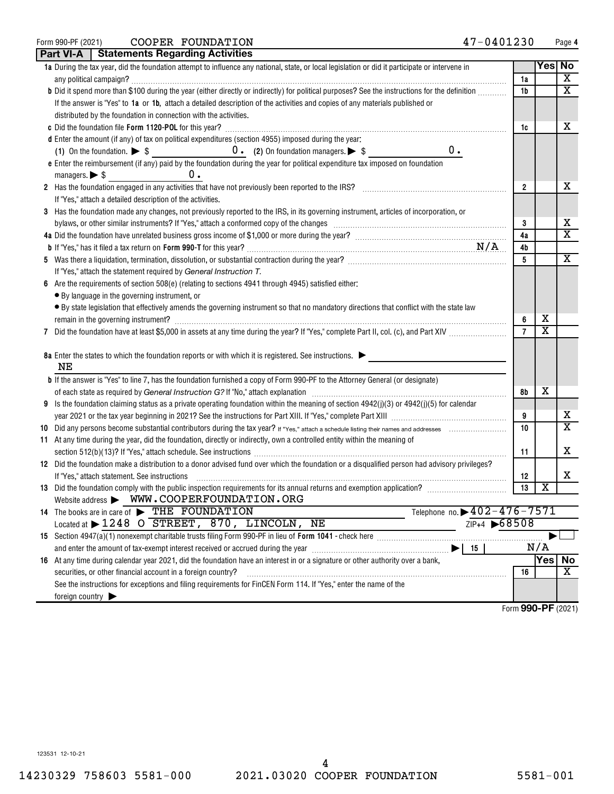| Form 990-PF (2021) | COOPER FOUNDATION | 47-0401230<br>Page |
|--------------------|-------------------|--------------------|
|--------------------|-------------------|--------------------|

|   | Part VI-A   Statements Regarding Activities                                                                                                                                                                                         |                    |                         |                         |
|---|-------------------------------------------------------------------------------------------------------------------------------------------------------------------------------------------------------------------------------------|--------------------|-------------------------|-------------------------|
|   | 1a During the tax year, did the foundation attempt to influence any national, state, or local legislation or did it participate or intervene in                                                                                     |                    | Yes No                  |                         |
|   |                                                                                                                                                                                                                                     | 1a                 |                         | х                       |
|   | b Did it spend more than \$100 during the year (either directly or indirectly) for political purposes? See the instructions for the definition                                                                                      | 1b                 |                         | $\overline{\mathbf{X}}$ |
|   | If the answer is "Yes" to 1a or 1b, attach a detailed description of the activities and copies of any materials published or                                                                                                        |                    |                         |                         |
|   | distributed by the foundation in connection with the activities.                                                                                                                                                                    |                    |                         |                         |
|   |                                                                                                                                                                                                                                     | 1c                 |                         | х                       |
|   | d Enter the amount (if any) of tax on political expenditures (section 4955) imposed during the year:                                                                                                                                |                    |                         |                         |
|   | 0.                                                                                                                                                                                                                                  |                    |                         |                         |
|   | e Enter the reimbursement (if any) paid by the foundation during the year for political expenditure tax imposed on foundation                                                                                                       |                    |                         |                         |
|   | υ.<br>managers. $\triangleright$ \$                                                                                                                                                                                                 |                    |                         |                         |
|   | 2 Has the foundation engaged in any activities that have not previously been reported to the IRS? [[[[[[[[[[[ [ [ [ [ [ [ ] [ ]]]]]                                                                                                 | $\overline{2}$     |                         | x                       |
|   | If "Yes," attach a detailed description of the activities.                                                                                                                                                                          |                    |                         |                         |
|   | 3 Has the foundation made any changes, not previously reported to the IRS, in its governing instrument, articles of incorporation, or                                                                                               |                    |                         |                         |
|   |                                                                                                                                                                                                                                     | 3                  |                         | Х                       |
|   |                                                                                                                                                                                                                                     | 4a                 |                         | X                       |
|   |                                                                                                                                                                                                                                     | 4b                 |                         |                         |
|   |                                                                                                                                                                                                                                     | 5                  |                         | х                       |
|   | If "Yes," attach the statement required by General Instruction T.                                                                                                                                                                   |                    |                         |                         |
| 6 | Are the requirements of section $508(e)$ (relating to sections 4941 through 4945) satisfied either:                                                                                                                                 |                    |                         |                         |
|   | • By language in the governing instrument, or                                                                                                                                                                                       |                    |                         |                         |
|   | • By state legislation that effectively amends the governing instrument so that no mandatory directions that conflict with the state law                                                                                            |                    |                         |                         |
|   |                                                                                                                                                                                                                                     | 6                  | х                       |                         |
|   |                                                                                                                                                                                                                                     | $\overline{7}$     | $\overline{\textbf{x}}$ |                         |
|   |                                                                                                                                                                                                                                     |                    |                         |                         |
|   | 8a Enter the states to which the foundation reports or with which it is registered. See instructions.                                                                                                                               |                    |                         |                         |
|   | NΕ                                                                                                                                                                                                                                  |                    |                         |                         |
|   | <b>b</b> If the answer is "Yes" to line 7, has the foundation furnished a copy of Form 990-PF to the Attorney General (or designate)                                                                                                |                    |                         |                         |
|   |                                                                                                                                                                                                                                     | 8b                 | х                       |                         |
|   | 9 Is the foundation claiming status as a private operating foundation within the meaning of section $4942(j)(3)$ or $4942(j)(5)$ for calendar                                                                                       |                    |                         |                         |
|   |                                                                                                                                                                                                                                     | 9                  |                         | х<br>X                  |
|   |                                                                                                                                                                                                                                     | 10                 |                         |                         |
|   | 11 At any time during the year, did the foundation, directly or indirectly, own a controlled entity within the meaning of                                                                                                           |                    |                         | х                       |
|   |                                                                                                                                                                                                                                     | 11                 |                         |                         |
|   | 12 Did the foundation make a distribution to a donor advised fund over which the foundation or a disqualified person had advisory privileges?                                                                                       |                    |                         | X                       |
|   | If "Yes," attach statement. See instructions                                                                                                                                                                                        | 12<br>13           | $\overline{\textbf{x}}$ |                         |
|   | Website address > WWW.COOPERFOUNDATION.ORG                                                                                                                                                                                          |                    |                         |                         |
|   | Telephone no. $\triangleright$ 402-476-7571<br>14 The books are in care of FIHE FOUNDATION                                                                                                                                          |                    |                         |                         |
|   | ZIP+4 68508<br>Located at $\blacktriangleright$ 1248 O STREET, 870, LINCOLN,<br>ΝE                                                                                                                                                  |                    |                         |                         |
|   |                                                                                                                                                                                                                                     |                    |                         |                         |
|   | and enter the amount of tax-exempt interest received or accrued during the year manufactured content the amount of tax-exempt interest received or accrued during the year manufactured and the amount of tax-exempt interest<br>15 |                    | N/A                     |                         |
|   | 16 At any time during calendar year 2021, did the foundation have an interest in or a signature or other authority over a bank,                                                                                                     |                    | Yes                     | No                      |
|   | securities, or other financial account in a foreign country?                                                                                                                                                                        | 16                 |                         | х                       |
|   | See the instructions for exceptions and filing requirements for FinCEN Form 114. If "Yes," enter the name of the                                                                                                                    |                    |                         |                         |
|   | foreign country $\blacktriangleright$                                                                                                                                                                                               |                    |                         |                         |
|   |                                                                                                                                                                                                                                     | Form 990-PF (2021) |                         |                         |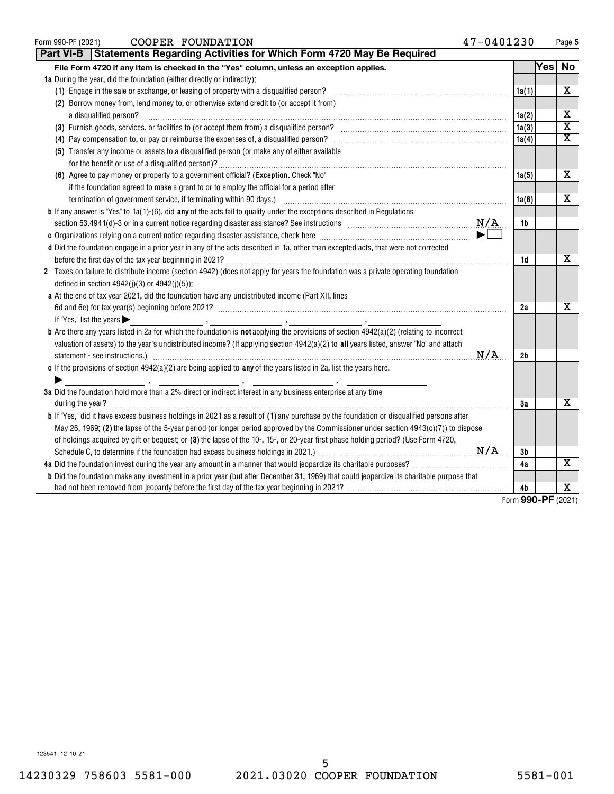| COOPER FOUNDATION<br>Form 990-PF (2021)                                                                                                                                                                                                                                                                                                                                                                                                                                                                                                                                    | 47-0401230            |     | Page 5                  |
|----------------------------------------------------------------------------------------------------------------------------------------------------------------------------------------------------------------------------------------------------------------------------------------------------------------------------------------------------------------------------------------------------------------------------------------------------------------------------------------------------------------------------------------------------------------------------|-----------------------|-----|-------------------------|
| <b>Part VI-B   Statements Regarding Activities for Which Form 4720 May Be Required</b>                                                                                                                                                                                                                                                                                                                                                                                                                                                                                     |                       |     |                         |
| File Form 4720 if any item is checked in the "Yes" column, unless an exception applies.                                                                                                                                                                                                                                                                                                                                                                                                                                                                                    |                       | Yes | No                      |
| 1a During the year, did the foundation (either directly or indirectly):                                                                                                                                                                                                                                                                                                                                                                                                                                                                                                    |                       |     |                         |
|                                                                                                                                                                                                                                                                                                                                                                                                                                                                                                                                                                            | 1a(1)                 |     | х                       |
| (2) Borrow money from, lend money to, or otherwise extend credit to (or accept it from)                                                                                                                                                                                                                                                                                                                                                                                                                                                                                    |                       |     |                         |
| a disqualified person?                                                                                                                                                                                                                                                                                                                                                                                                                                                                                                                                                     | 1a(2)                 |     | х                       |
| (3) Furnish goods, services, or facilities to (or accept them from) a disqualified person? [11] content content content content of the flux of the flux of the flux of the flux of the flux of the flux of the flux of the flu                                                                                                                                                                                                                                                                                                                                             | 1a(3)                 |     | $\overline{\mathtt{x}}$ |
|                                                                                                                                                                                                                                                                                                                                                                                                                                                                                                                                                                            | 1a(4)                 |     | $\overline{\texttt{x}}$ |
| (5) Transfer any income or assets to a disqualified person (or make any of either available                                                                                                                                                                                                                                                                                                                                                                                                                                                                                |                       |     |                         |
|                                                                                                                                                                                                                                                                                                                                                                                                                                                                                                                                                                            |                       |     |                         |
| (6) Agree to pay money or property to a government official? (Exception. Check "No"                                                                                                                                                                                                                                                                                                                                                                                                                                                                                        | 1a(5)                 |     | х                       |
| if the foundation agreed to make a grant to or to employ the official for a period after                                                                                                                                                                                                                                                                                                                                                                                                                                                                                   |                       |     |                         |
| termination of government service, if terminating within 90 days.) [11] manufacture manufacture manufacture manufacture manufacture manufacture manufacture manufacture manufacture manufacture manufacture manufacture manufa                                                                                                                                                                                                                                                                                                                                             | 1a(6)                 |     | х                       |
| <b>b</b> If any answer is "Yes" to 1a(1)-(6), did any of the acts fail to qualify under the exceptions described in Regulations                                                                                                                                                                                                                                                                                                                                                                                                                                            |                       |     |                         |
| section 53.4941(d)-3 or in a current notice regarding disaster assistance? See instructions $N/A$                                                                                                                                                                                                                                                                                                                                                                                                                                                                          | 1b                    |     |                         |
|                                                                                                                                                                                                                                                                                                                                                                                                                                                                                                                                                                            |                       |     |                         |
| d Did the foundation engage in a prior year in any of the acts described in 1a, other than excepted acts, that were not corrected                                                                                                                                                                                                                                                                                                                                                                                                                                          |                       |     |                         |
|                                                                                                                                                                                                                                                                                                                                                                                                                                                                                                                                                                            | 1d                    |     | х                       |
| 2 Taxes on failure to distribute income (section 4942) (does not apply for years the foundation was a private operating foundation<br>defined in section $4942(j)(3)$ or $4942(j)(5)$ ):                                                                                                                                                                                                                                                                                                                                                                                   |                       |     |                         |
| a At the end of tax year 2021, did the foundation have any undistributed income (Part XII, lines                                                                                                                                                                                                                                                                                                                                                                                                                                                                           |                       |     |                         |
|                                                                                                                                                                                                                                                                                                                                                                                                                                                                                                                                                                            | 2a                    |     | х                       |
| If "Yes," list the years $\blacktriangleright$                                                                                                                                                                                                                                                                                                                                                                                                                                                                                                                             |                       |     |                         |
| <b>b</b> Are there any years listed in 2a for which the foundation is not applying the provisions of section 4942(a)(2) (relating to incorrect<br>valuation of assets) to the year's undistributed income? (If applying section 4942(a)(2) to all years listed, answer "No" and attach                                                                                                                                                                                                                                                                                     | N/A<br>2 <sub>b</sub> |     |                         |
| c If the provisions of section $4942(a)(2)$ are being applied to any of the years listed in 2a, list the years here.                                                                                                                                                                                                                                                                                                                                                                                                                                                       |                       |     |                         |
|                                                                                                                                                                                                                                                                                                                                                                                                                                                                                                                                                                            |                       |     |                         |
| $\mathcal{L} = \mathcal{L} \mathcal{L} = \mathcal{L} \mathcal{L} = \mathcal{L} \mathcal{L} \mathcal{L} = \mathcal{L} \mathcal{L} \mathcal{L} \mathcal{L} = \mathcal{L} \mathcal{L} \mathcal{L} \mathcal{L} \mathcal{L} \mathcal{L} \mathcal{L} \mathcal{L} \mathcal{L} \mathcal{L} \mathcal{L} \mathcal{L} \mathcal{L} \mathcal{L} \mathcal{L} \mathcal{L} \mathcal{L} \mathcal{L} \mathcal{L} \mathcal{L} \mathcal{L} \mathcal{L} \mathcal{L} \mathcal{L$<br>3a Did the foundation hold more than a 2% direct or indirect interest in any business enterprise at any time |                       |     |                         |
| during the year?                                                                                                                                                                                                                                                                                                                                                                                                                                                                                                                                                           | 3a                    |     | х                       |
| <b>b</b> If "Yes," did it have excess business holdings in 2021 as a result of (1) any purchase by the foundation or disqualified persons after                                                                                                                                                                                                                                                                                                                                                                                                                            |                       |     |                         |
| May 26, 1969; (2) the lapse of the 5-year period (or longer period approved by the Commissioner under section $4943(c)(7)$ ) to dispose                                                                                                                                                                                                                                                                                                                                                                                                                                    |                       |     |                         |
| of holdings acquired by gift or bequest; or (3) the lapse of the 10-, 15-, or 20-year first phase holding period? (Use Form 4720,                                                                                                                                                                                                                                                                                                                                                                                                                                          |                       |     |                         |
|                                                                                                                                                                                                                                                                                                                                                                                                                                                                                                                                                                            | 3b                    |     |                         |
|                                                                                                                                                                                                                                                                                                                                                                                                                                                                                                                                                                            | 4a                    |     | $\overline{\texttt{x}}$ |
| <b>b</b> Did the foundation make any investment in a prior year (but after December 31, 1969) that could jeopardize its charitable purpose that                                                                                                                                                                                                                                                                                                                                                                                                                            |                       |     |                         |
|                                                                                                                                                                                                                                                                                                                                                                                                                                                                                                                                                                            | 4b                    |     | х                       |
|                                                                                                                                                                                                                                                                                                                                                                                                                                                                                                                                                                            | Form 990-PF (2021)    |     |                         |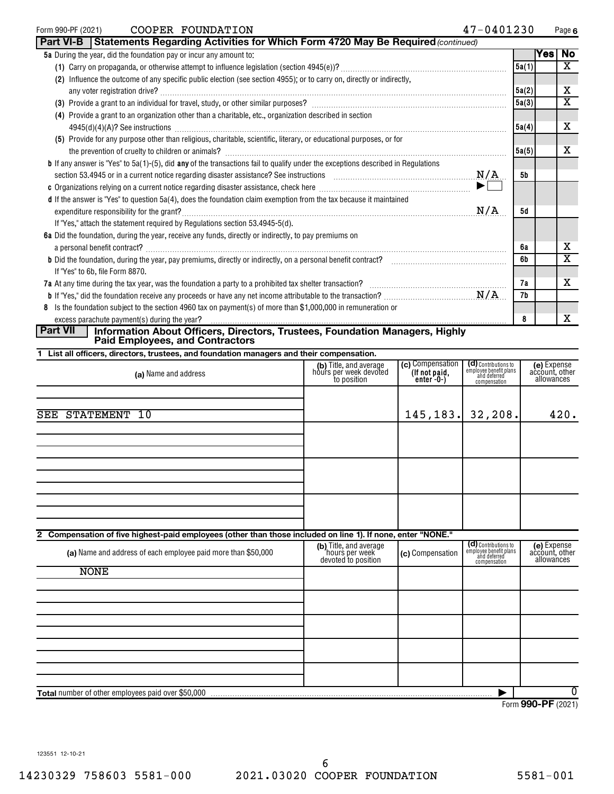| Form 990-PF (2021) |                                                                           | COOPER FOUNDATION                                                                                                                          |                                                                                                                           | 47-0401230 |       |     | Page 6         |
|--------------------|---------------------------------------------------------------------------|--------------------------------------------------------------------------------------------------------------------------------------------|---------------------------------------------------------------------------------------------------------------------------|------------|-------|-----|----------------|
|                    |                                                                           |                                                                                                                                            | Part VI-B   Statements Regarding Activities for Which Form 4720 May Be Required (continued)                               |            |       |     |                |
|                    | <b>5a</b> During the year, did the foundation pay or incur any amount to: |                                                                                                                                            |                                                                                                                           |            |       | Yes | $\overline{N}$ |
|                    |                                                                           |                                                                                                                                            |                                                                                                                           |            | 5a(1) |     | X              |
|                    |                                                                           | (2) Influence the outcome of any specific public election (see section 4955); or to carry on, directly or indirectly,                      |                                                                                                                           |            |       |     |                |
|                    |                                                                           |                                                                                                                                            |                                                                                                                           |            | 5a(2) |     | x              |
|                    |                                                                           |                                                                                                                                            |                                                                                                                           |            | 5a(3) |     | x              |
|                    |                                                                           | (4) Provide a grant to an organization other than a charitable, etc., organization described in section                                    |                                                                                                                           |            |       |     |                |
|                    |                                                                           |                                                                                                                                            |                                                                                                                           |            | 5a(4) |     | х              |
|                    |                                                                           | (5) Provide for any purpose other than religious, charitable, scientific, literary, or educational purposes, or for                        |                                                                                                                           |            |       |     |                |
|                    |                                                                           |                                                                                                                                            |                                                                                                                           |            | 5a(5) |     | X              |
|                    |                                                                           | <b>b</b> If any answer is "Yes" to $5a(1)$ -(5), did any of the transactions fail to qualify under the exceptions described in Regulations |                                                                                                                           |            |       |     |                |
|                    |                                                                           |                                                                                                                                            |                                                                                                                           | N/A        | 5b    |     |                |
|                    |                                                                           |                                                                                                                                            | c Organizations relying on a current notice regarding disaster assistance, check here <i>manumeral community contains</i> | ▶∟         |       |     |                |
|                    |                                                                           | d If the answer is "Yes" to question 5a(4), does the foundation claim exemption from the tax because it maintained                         |                                                                                                                           |            |       |     |                |
|                    |                                                                           |                                                                                                                                            |                                                                                                                           | N/A        | 5d    |     |                |
|                    |                                                                           | If "Yes," attach the statement required by Regulations section 53.4945-5(d).                                                               |                                                                                                                           |            |       |     |                |
|                    |                                                                           | 6a Did the foundation, during the year, receive any funds, directly or indirectly, to pay premiums on                                      |                                                                                                                           |            |       |     |                |
|                    |                                                                           |                                                                                                                                            |                                                                                                                           |            | 6а    |     | x              |
|                    |                                                                           |                                                                                                                                            |                                                                                                                           |            | 6b    |     | x              |
|                    | If "Yes" to 6b, file Form 8870.                                           |                                                                                                                                            |                                                                                                                           |            |       |     |                |
|                    |                                                                           |                                                                                                                                            |                                                                                                                           |            | 7a    |     | X              |
|                    |                                                                           |                                                                                                                                            |                                                                                                                           |            | 7b    |     |                |
|                    |                                                                           | 8 Is the foundation subject to the section 4960 tax on payment(s) of more than \$1,000,000 in remuneration or                              |                                                                                                                           |            |       |     |                |
|                    | excess parachute payment(s) during the year?                              |                                                                                                                                            |                                                                                                                           |            | 8     |     | x              |
| <b>Part VII</b>    |                                                                           |                                                                                                                                            | Information About Officers, Directors, Trustees, Foundation Managers, Highly                                              |            |       |     |                |

**Paid Employees, and Contractors** 

**1 List all officers, directors, trustees, and foundation managers and their compensation.**

| (a) Name and address                                                                                        | (b) Title, and average<br>hours per week devoted<br>to position | (c) Compensation<br>(If not paid,<br>enter -0-) | (d) Contributions to<br>employee benefit plans<br>and deferred<br>compensation | (e) Expense<br>account, other<br>allowances |
|-------------------------------------------------------------------------------------------------------------|-----------------------------------------------------------------|-------------------------------------------------|--------------------------------------------------------------------------------|---------------------------------------------|
|                                                                                                             |                                                                 |                                                 |                                                                                |                                             |
| SEE STATEMENT 10                                                                                            |                                                                 | 145, 183.                                       | 32, 208.                                                                       | 420.                                        |
|                                                                                                             |                                                                 |                                                 |                                                                                |                                             |
|                                                                                                             |                                                                 |                                                 |                                                                                |                                             |
|                                                                                                             |                                                                 |                                                 |                                                                                |                                             |
|                                                                                                             |                                                                 |                                                 |                                                                                |                                             |
|                                                                                                             |                                                                 |                                                 |                                                                                |                                             |
|                                                                                                             |                                                                 |                                                 |                                                                                |                                             |
| 2 Compensation of five highest-paid employees (other than those included on line 1). If none, enter "NONE." |                                                                 |                                                 |                                                                                |                                             |
| (a) Name and address of each employee paid more than \$50,000                                               | (b) Title, and average<br>hours per week<br>devoted to position | (c) Compensation                                | (d) Contributions to<br>employee benefit plans<br>and deferred<br>compensation | (e) Expense<br>account, other<br>allowances |
| <b>NONE</b>                                                                                                 |                                                                 |                                                 |                                                                                |                                             |
|                                                                                                             |                                                                 |                                                 |                                                                                |                                             |
|                                                                                                             |                                                                 |                                                 |                                                                                |                                             |
|                                                                                                             |                                                                 |                                                 |                                                                                |                                             |
|                                                                                                             |                                                                 |                                                 |                                                                                |                                             |
|                                                                                                             |                                                                 |                                                 |                                                                                |                                             |
|                                                                                                             |                                                                 |                                                 |                                                                                |                                             |
| <b>Total number of other employees paid over \$50,000</b>                                                   |                                                                 |                                                 |                                                                                | $\overline{0}$                              |

Form (2021) **990-PF**

Page 6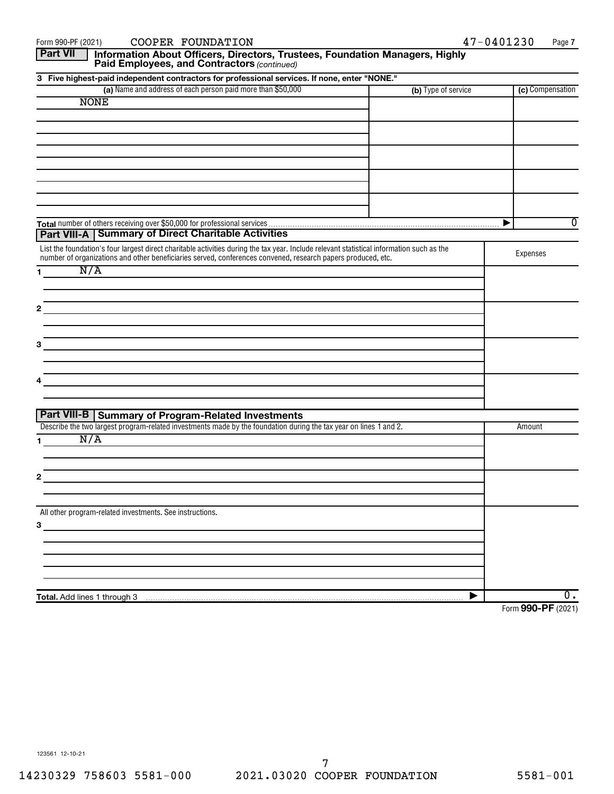|                 | COOPER FOUNDATION<br>Form 990-PF (2021)                                                                                                   |                     | 47-0401230<br>Page 7 |
|-----------------|-------------------------------------------------------------------------------------------------------------------------------------------|---------------------|----------------------|
| <b>Part VII</b> | Information About Officers, Directors, Trustees, Foundation Managers, Highly<br>Paid Employees, and Contractors (continued)               |                     |                      |
|                 | 3 Five highest-paid independent contractors for professional services. If none, enter "NONE."                                             |                     |                      |
|                 | (a) Name and address of each person paid more than \$50,000                                                                               | (b) Type of service | (c) Compensation     |
|                 | <b>NONE</b>                                                                                                                               |                     |                      |
|                 |                                                                                                                                           |                     |                      |
|                 |                                                                                                                                           |                     |                      |
|                 |                                                                                                                                           |                     |                      |
|                 |                                                                                                                                           |                     |                      |
|                 |                                                                                                                                           |                     |                      |
|                 |                                                                                                                                           |                     |                      |
|                 |                                                                                                                                           |                     |                      |
|                 |                                                                                                                                           |                     |                      |
|                 |                                                                                                                                           |                     | 0<br>▶               |
|                 | <b>Part VIII-A   Summary of Direct Charitable Activities</b>                                                                              |                     |                      |
|                 | List the foundation's four largest direct charitable activities during the tax year. Include relevant statistical information such as the |                     |                      |
|                 | number of organizations and other beneficiaries served, conferences convened, research papers produced, etc.                              |                     | Expenses             |
| 1.              | N/A                                                                                                                                       |                     |                      |
|                 |                                                                                                                                           |                     |                      |
|                 |                                                                                                                                           |                     |                      |
| 2               |                                                                                                                                           |                     |                      |
|                 |                                                                                                                                           |                     |                      |
|                 |                                                                                                                                           |                     |                      |
| 3.              |                                                                                                                                           |                     |                      |
|                 |                                                                                                                                           |                     |                      |
| 4               |                                                                                                                                           |                     |                      |
|                 |                                                                                                                                           |                     |                      |
|                 |                                                                                                                                           |                     |                      |
|                 | Part VIII-B   Summary of Program-Related Investments                                                                                      |                     |                      |
|                 | Describe the two largest program-related investments made by the foundation during the tax year on lines 1 and 2.                         |                     | Amount               |
| 1.              | N/A                                                                                                                                       |                     |                      |
|                 |                                                                                                                                           |                     |                      |
|                 |                                                                                                                                           |                     |                      |
| 2               |                                                                                                                                           |                     |                      |
|                 |                                                                                                                                           |                     |                      |
|                 | All other program-related investments. See instructions.                                                                                  |                     |                      |
| 3               |                                                                                                                                           |                     |                      |
|                 |                                                                                                                                           |                     |                      |
|                 |                                                                                                                                           |                     |                      |
|                 |                                                                                                                                           |                     |                      |
|                 |                                                                                                                                           |                     |                      |
|                 |                                                                                                                                           |                     |                      |
|                 | Total. Add lines 1 through 3                                                                                                              |                     | $\overline{0}$ .     |
|                 |                                                                                                                                           |                     | Form 990-PF (2021)   |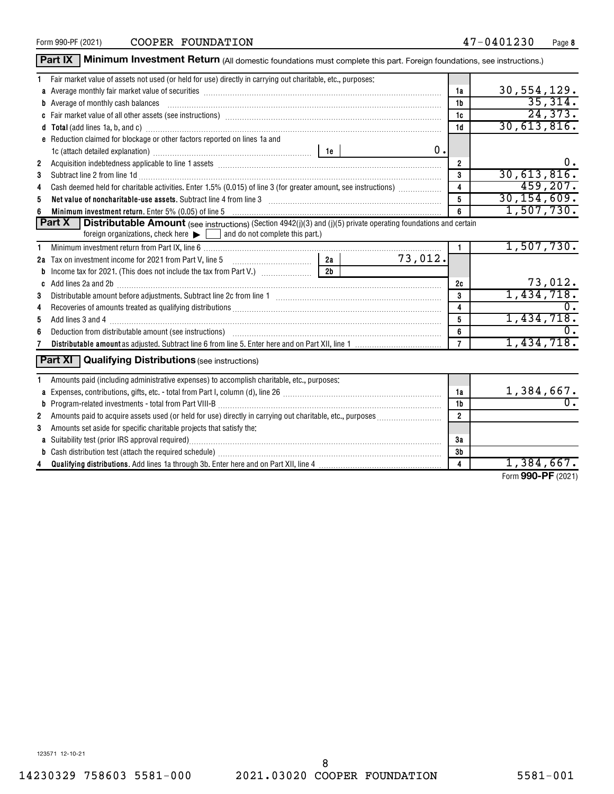Form 990-PF (2021)  $\qquad$   $\qquad$   $\qquad$   $\qquad$   $\qquad$   $\qquad$   $\qquad$   $\qquad$   $\qquad$   $\qquad$   $\qquad$   $\qquad$   $\qquad$   $\qquad$   $\qquad$   $\qquad$   $\qquad$   $\qquad$   $\qquad$   $\qquad$   $\qquad$   $\qquad$   $\qquad$   $\qquad$   $\qquad$   $\qquad$   $\qquad$   $\qquad$   $\qquad$   $\qquad$   $\qquad$   $\qquad$   $\qquad$   $\qquad$ 

|    | Part IX   Minimum Investment Return (All domestic foundations must complete this part. Foreign foundations, see instructions.)                                                                                                      |               |    |                         |                            |
|----|-------------------------------------------------------------------------------------------------------------------------------------------------------------------------------------------------------------------------------------|---------------|----|-------------------------|----------------------------|
| 1. | Fair market value of assets not used (or held for use) directly in carrying out charitable, etc., purposes:                                                                                                                         |               |    |                         |                            |
|    | a Average monthly fair market value of securities [11] match match match match of the contract match match match match match match match match match match match match match match match match match match match match match m      |               |    | 1a                      | 30,554,129.                |
|    | <b>b</b> Average of monthly cash balances                                                                                                                                                                                           |               |    | 1 <sub>b</sub>          | 35,314.                    |
|    |                                                                                                                                                                                                                                     |               |    | 1c                      | 24,373.                    |
|    |                                                                                                                                                                                                                                     |               |    | 1 <sub>d</sub>          | 30,613,816.                |
|    | e Reduction claimed for blockage or other factors reported on lines 1a and                                                                                                                                                          |               |    |                         |                            |
|    |                                                                                                                                                                                                                                     |               | 0. |                         |                            |
| 2  | Acquisition indebtedness applicable to line 1 assets [11] matter contains and a set of the container and a set of the container and a set of the container and a set of the container and a set of the container and a set of       |               |    | $\mathbf{2}$            | 0.                         |
| 3  | Subtract line 2 from line 1d <b>Machinese and Contract Line 2</b> from line 1d <b>Machinese Automobile 2</b>                                                                                                                        |               |    | $\mathbf{3}$            | 30,613,816.                |
| 4  | Cash deemed held for charitable activities. Enter 1.5% (0.015) of line 3 (for greater amount, see instructions)                                                                                                                     |               |    | $\overline{\mathbf{4}}$ | 459, 207.                  |
| 5  | Net value of noncharitable-use assets. Subtract line 4 from line 3 [11] Mathematic material contracts are non-                                                                                                                      |               |    | $\overline{5}$          | 30, 154, 609.              |
|    | Minimum investment return. Enter 5% (0.05) of line 5 [11] Minimum material contracts and the Minimum material contracts and the Minimum material contracts and the Minimum material contracts and the Minimum materials and th      |               |    | 6                       | 1,507,730.                 |
|    | <b>Part X</b><br><b>Distributable Amount</b> (see instructions) (Section 4942(j)(3) and (j)(5) private operating foundations and certain<br>foreign organizations, check here $\blacktriangleright$ and do not complete this part.) |               |    |                         |                            |
| 1. |                                                                                                                                                                                                                                     |               |    | $\mathbf{1}$            | 1,507,730.                 |
|    | 2a Tax on investment income for 2021 from Part V, line 5 [100] [100] [20] Tax on investment income for 2021 from Part V, line 5                                                                                                     | 2a<br>73,012. |    |                         |                            |
|    | 2 <sub>b</sub>                                                                                                                                                                                                                      |               |    |                         |                            |
|    |                                                                                                                                                                                                                                     |               |    | 2c                      |                            |
| 3  |                                                                                                                                                                                                                                     |               |    | 3                       | $\frac{73,012}{1,434,718}$ |
| 4  |                                                                                                                                                                                                                                     |               |    | $\overline{4}$          |                            |
| 5  |                                                                                                                                                                                                                                     |               |    | $5\phantom{.0}$         | 1,434,718.                 |
| 6  |                                                                                                                                                                                                                                     |               |    | 6                       |                            |
|    |                                                                                                                                                                                                                                     |               |    | $\overline{7}$          | 1,434,718.                 |
|    | <b>Part XI</b><br><b>Qualifying Distributions (see instructions)</b>                                                                                                                                                                |               |    |                         |                            |
|    | Amounts paid (including administrative expenses) to accomplish charitable, etc., purposes:                                                                                                                                          |               |    |                         |                            |
|    |                                                                                                                                                                                                                                     |               |    | 1a                      | 1,384,667.                 |
|    |                                                                                                                                                                                                                                     |               |    | 1b                      | $\overline{0}$ .           |
| 2  |                                                                                                                                                                                                                                     |               |    | $\overline{\mathbf{2}}$ |                            |
| 3  | Amounts set aside for specific charitable projects that satisfy the:                                                                                                                                                                |               |    |                         |                            |
|    | a Suitability test (prior IRS approval required)                                                                                                                                                                                    |               |    |                         |                            |
|    |                                                                                                                                                                                                                                     |               | 3b |                         |                            |
|    |                                                                                                                                                                                                                                     |               |    | $\overline{4}$          | $1,384,667$ .<br>0.00000   |

Form (2021) **990-PF**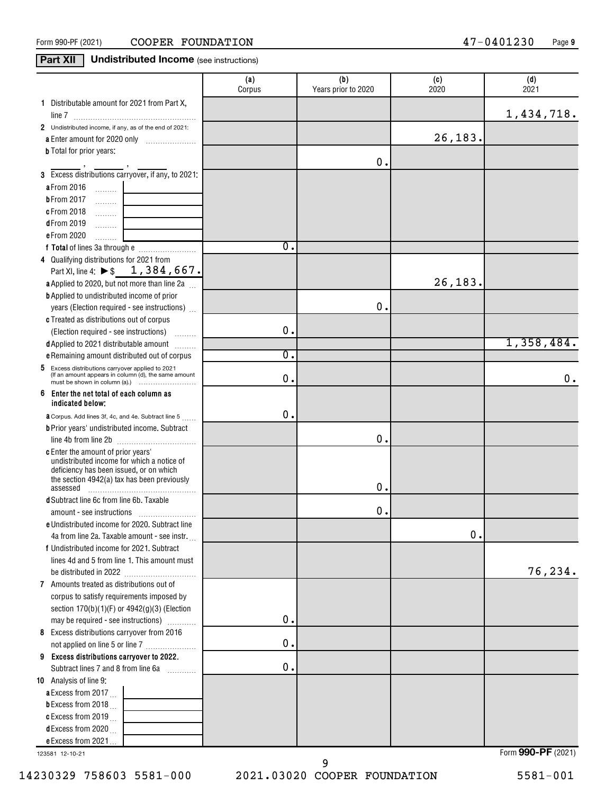### **Part XII** Undistributed Income (see instructions)

| 1 Distributable amount for 2021 from Part X,<br>1,434,718.<br>2 Undistributed income, if any, as of the end of 2021:<br>26, 183.<br><b>b</b> Total for prior years:<br>0.<br>3 Excess distributions carryover, if any, to 2021:<br>a From 2016<br>$\ldots \ldots \ldots$ .<br><b>b</b> From 2017<br>.<br>c From 2018<br>.<br><b>dFrom 2019</b><br>.<br>e From 2020<br>.<br>Ο.<br>4 Qualifying distributions for 2021 from<br>Part XI, line 4: ▶ \$1, 384, 667.<br>26, 183.<br>a Applied to 2020, but not more than line 2a<br><b>b</b> Applied to undistributed income of prior<br>0.<br>years (Election required - see instructions)<br>c Treated as distributions out of corpus<br>$\mathbf 0$ .<br>(Election required - see instructions)<br>1,358,484.<br>d Applied to 2021 distributable amount<br>σ.<br>e Remaining amount distributed out of corpus<br>5 Excess distributions carryover applied to 2021<br>(If an amount appears in column (d), the same amount<br>0.<br>0.<br>6<br>Enter the net total of each column as<br>indicated below:<br>$\mathbf 0$ .<br><b>a</b> Corpus. Add lines 3f, 4c, and 4e. Subtract line 5<br><b>b</b> Prior years' undistributed income. Subtract<br>0.<br>c Enter the amount of prior years'<br>undistributed income for which a notice of<br>deficiency has been issued, or on which<br>the section 4942(a) tax has been previously<br>О.<br>assessed<br>d Subtract line 6c from line 6b. Taxable<br>0.<br>e Undistributed income for 2020. Subtract line<br>0.<br>4a from line 2a. Taxable amount - see instr.<br>f Undistributed income for 2021. Subtract<br>lines 4d and 5 from line 1. This amount must<br>76,234.<br>7 Amounts treated as distributions out of<br>corpus to satisfy requirements imposed by<br>section $170(b)(1)(F)$ or $4942(g)(3)$ (Election<br>0.<br>may be required - see instructions)<br>8 Excess distributions carryover from 2016<br>$\mathbf 0$ .<br>not applied on line 5 or line 7<br>9 Excess distributions carryover to 2022.<br>0.<br>Subtract lines 7 and 8 from line 6a<br>10 Analysis of line 9:<br>a Excess from 2017<br><b>b</b> Excess from 2018 $\ldots$<br>c Excess from 2019 $\ldots$<br>d Excess from 2020 $\ldots$<br>e Excess from 2021<br>Form 990-PF (2021)<br>123581 12-10-21 | (a)<br>Corpus | (b)<br>Years prior to 2020 | (c)<br>2020 | (d)<br>2021 |
|-------------------------------------------------------------------------------------------------------------------------------------------------------------------------------------------------------------------------------------------------------------------------------------------------------------------------------------------------------------------------------------------------------------------------------------------------------------------------------------------------------------------------------------------------------------------------------------------------------------------------------------------------------------------------------------------------------------------------------------------------------------------------------------------------------------------------------------------------------------------------------------------------------------------------------------------------------------------------------------------------------------------------------------------------------------------------------------------------------------------------------------------------------------------------------------------------------------------------------------------------------------------------------------------------------------------------------------------------------------------------------------------------------------------------------------------------------------------------------------------------------------------------------------------------------------------------------------------------------------------------------------------------------------------------------------------------------------------------------------------------------------------------------------------------------------------------------------------------------------------------------------------------------------------------------------------------------------------------------------------------------------------------------------------------------------------------------------------------------------------------------------------------------------------------------------------------------------------------------------------------------------------------------|---------------|----------------------------|-------------|-------------|
|                                                                                                                                                                                                                                                                                                                                                                                                                                                                                                                                                                                                                                                                                                                                                                                                                                                                                                                                                                                                                                                                                                                                                                                                                                                                                                                                                                                                                                                                                                                                                                                                                                                                                                                                                                                                                                                                                                                                                                                                                                                                                                                                                                                                                                                                               |               |                            |             |             |
|                                                                                                                                                                                                                                                                                                                                                                                                                                                                                                                                                                                                                                                                                                                                                                                                                                                                                                                                                                                                                                                                                                                                                                                                                                                                                                                                                                                                                                                                                                                                                                                                                                                                                                                                                                                                                                                                                                                                                                                                                                                                                                                                                                                                                                                                               |               |                            |             |             |
|                                                                                                                                                                                                                                                                                                                                                                                                                                                                                                                                                                                                                                                                                                                                                                                                                                                                                                                                                                                                                                                                                                                                                                                                                                                                                                                                                                                                                                                                                                                                                                                                                                                                                                                                                                                                                                                                                                                                                                                                                                                                                                                                                                                                                                                                               |               |                            |             |             |
|                                                                                                                                                                                                                                                                                                                                                                                                                                                                                                                                                                                                                                                                                                                                                                                                                                                                                                                                                                                                                                                                                                                                                                                                                                                                                                                                                                                                                                                                                                                                                                                                                                                                                                                                                                                                                                                                                                                                                                                                                                                                                                                                                                                                                                                                               |               |                            |             |             |
|                                                                                                                                                                                                                                                                                                                                                                                                                                                                                                                                                                                                                                                                                                                                                                                                                                                                                                                                                                                                                                                                                                                                                                                                                                                                                                                                                                                                                                                                                                                                                                                                                                                                                                                                                                                                                                                                                                                                                                                                                                                                                                                                                                                                                                                                               |               |                            |             |             |
|                                                                                                                                                                                                                                                                                                                                                                                                                                                                                                                                                                                                                                                                                                                                                                                                                                                                                                                                                                                                                                                                                                                                                                                                                                                                                                                                                                                                                                                                                                                                                                                                                                                                                                                                                                                                                                                                                                                                                                                                                                                                                                                                                                                                                                                                               |               |                            |             |             |
|                                                                                                                                                                                                                                                                                                                                                                                                                                                                                                                                                                                                                                                                                                                                                                                                                                                                                                                                                                                                                                                                                                                                                                                                                                                                                                                                                                                                                                                                                                                                                                                                                                                                                                                                                                                                                                                                                                                                                                                                                                                                                                                                                                                                                                                                               |               |                            |             |             |
|                                                                                                                                                                                                                                                                                                                                                                                                                                                                                                                                                                                                                                                                                                                                                                                                                                                                                                                                                                                                                                                                                                                                                                                                                                                                                                                                                                                                                                                                                                                                                                                                                                                                                                                                                                                                                                                                                                                                                                                                                                                                                                                                                                                                                                                                               |               |                            |             |             |
|                                                                                                                                                                                                                                                                                                                                                                                                                                                                                                                                                                                                                                                                                                                                                                                                                                                                                                                                                                                                                                                                                                                                                                                                                                                                                                                                                                                                                                                                                                                                                                                                                                                                                                                                                                                                                                                                                                                                                                                                                                                                                                                                                                                                                                                                               |               |                            |             |             |
|                                                                                                                                                                                                                                                                                                                                                                                                                                                                                                                                                                                                                                                                                                                                                                                                                                                                                                                                                                                                                                                                                                                                                                                                                                                                                                                                                                                                                                                                                                                                                                                                                                                                                                                                                                                                                                                                                                                                                                                                                                                                                                                                                                                                                                                                               |               |                            |             |             |
|                                                                                                                                                                                                                                                                                                                                                                                                                                                                                                                                                                                                                                                                                                                                                                                                                                                                                                                                                                                                                                                                                                                                                                                                                                                                                                                                                                                                                                                                                                                                                                                                                                                                                                                                                                                                                                                                                                                                                                                                                                                                                                                                                                                                                                                                               |               |                            |             |             |
|                                                                                                                                                                                                                                                                                                                                                                                                                                                                                                                                                                                                                                                                                                                                                                                                                                                                                                                                                                                                                                                                                                                                                                                                                                                                                                                                                                                                                                                                                                                                                                                                                                                                                                                                                                                                                                                                                                                                                                                                                                                                                                                                                                                                                                                                               |               |                            |             |             |
|                                                                                                                                                                                                                                                                                                                                                                                                                                                                                                                                                                                                                                                                                                                                                                                                                                                                                                                                                                                                                                                                                                                                                                                                                                                                                                                                                                                                                                                                                                                                                                                                                                                                                                                                                                                                                                                                                                                                                                                                                                                                                                                                                                                                                                                                               |               |                            |             |             |
|                                                                                                                                                                                                                                                                                                                                                                                                                                                                                                                                                                                                                                                                                                                                                                                                                                                                                                                                                                                                                                                                                                                                                                                                                                                                                                                                                                                                                                                                                                                                                                                                                                                                                                                                                                                                                                                                                                                                                                                                                                                                                                                                                                                                                                                                               |               |                            |             |             |
|                                                                                                                                                                                                                                                                                                                                                                                                                                                                                                                                                                                                                                                                                                                                                                                                                                                                                                                                                                                                                                                                                                                                                                                                                                                                                                                                                                                                                                                                                                                                                                                                                                                                                                                                                                                                                                                                                                                                                                                                                                                                                                                                                                                                                                                                               |               |                            |             |             |
|                                                                                                                                                                                                                                                                                                                                                                                                                                                                                                                                                                                                                                                                                                                                                                                                                                                                                                                                                                                                                                                                                                                                                                                                                                                                                                                                                                                                                                                                                                                                                                                                                                                                                                                                                                                                                                                                                                                                                                                                                                                                                                                                                                                                                                                                               |               |                            |             |             |
|                                                                                                                                                                                                                                                                                                                                                                                                                                                                                                                                                                                                                                                                                                                                                                                                                                                                                                                                                                                                                                                                                                                                                                                                                                                                                                                                                                                                                                                                                                                                                                                                                                                                                                                                                                                                                                                                                                                                                                                                                                                                                                                                                                                                                                                                               |               |                            |             |             |
|                                                                                                                                                                                                                                                                                                                                                                                                                                                                                                                                                                                                                                                                                                                                                                                                                                                                                                                                                                                                                                                                                                                                                                                                                                                                                                                                                                                                                                                                                                                                                                                                                                                                                                                                                                                                                                                                                                                                                                                                                                                                                                                                                                                                                                                                               |               |                            |             |             |
|                                                                                                                                                                                                                                                                                                                                                                                                                                                                                                                                                                                                                                                                                                                                                                                                                                                                                                                                                                                                                                                                                                                                                                                                                                                                                                                                                                                                                                                                                                                                                                                                                                                                                                                                                                                                                                                                                                                                                                                                                                                                                                                                                                                                                                                                               |               |                            |             |             |
|                                                                                                                                                                                                                                                                                                                                                                                                                                                                                                                                                                                                                                                                                                                                                                                                                                                                                                                                                                                                                                                                                                                                                                                                                                                                                                                                                                                                                                                                                                                                                                                                                                                                                                                                                                                                                                                                                                                                                                                                                                                                                                                                                                                                                                                                               |               |                            |             |             |
|                                                                                                                                                                                                                                                                                                                                                                                                                                                                                                                                                                                                                                                                                                                                                                                                                                                                                                                                                                                                                                                                                                                                                                                                                                                                                                                                                                                                                                                                                                                                                                                                                                                                                                                                                                                                                                                                                                                                                                                                                                                                                                                                                                                                                                                                               |               |                            |             |             |
|                                                                                                                                                                                                                                                                                                                                                                                                                                                                                                                                                                                                                                                                                                                                                                                                                                                                                                                                                                                                                                                                                                                                                                                                                                                                                                                                                                                                                                                                                                                                                                                                                                                                                                                                                                                                                                                                                                                                                                                                                                                                                                                                                                                                                                                                               |               |                            |             |             |
|                                                                                                                                                                                                                                                                                                                                                                                                                                                                                                                                                                                                                                                                                                                                                                                                                                                                                                                                                                                                                                                                                                                                                                                                                                                                                                                                                                                                                                                                                                                                                                                                                                                                                                                                                                                                                                                                                                                                                                                                                                                                                                                                                                                                                                                                               |               |                            |             |             |
|                                                                                                                                                                                                                                                                                                                                                                                                                                                                                                                                                                                                                                                                                                                                                                                                                                                                                                                                                                                                                                                                                                                                                                                                                                                                                                                                                                                                                                                                                                                                                                                                                                                                                                                                                                                                                                                                                                                                                                                                                                                                                                                                                                                                                                                                               |               |                            |             |             |
|                                                                                                                                                                                                                                                                                                                                                                                                                                                                                                                                                                                                                                                                                                                                                                                                                                                                                                                                                                                                                                                                                                                                                                                                                                                                                                                                                                                                                                                                                                                                                                                                                                                                                                                                                                                                                                                                                                                                                                                                                                                                                                                                                                                                                                                                               |               |                            |             |             |
|                                                                                                                                                                                                                                                                                                                                                                                                                                                                                                                                                                                                                                                                                                                                                                                                                                                                                                                                                                                                                                                                                                                                                                                                                                                                                                                                                                                                                                                                                                                                                                                                                                                                                                                                                                                                                                                                                                                                                                                                                                                                                                                                                                                                                                                                               |               |                            |             |             |
|                                                                                                                                                                                                                                                                                                                                                                                                                                                                                                                                                                                                                                                                                                                                                                                                                                                                                                                                                                                                                                                                                                                                                                                                                                                                                                                                                                                                                                                                                                                                                                                                                                                                                                                                                                                                                                                                                                                                                                                                                                                                                                                                                                                                                                                                               |               |                            |             |             |
|                                                                                                                                                                                                                                                                                                                                                                                                                                                                                                                                                                                                                                                                                                                                                                                                                                                                                                                                                                                                                                                                                                                                                                                                                                                                                                                                                                                                                                                                                                                                                                                                                                                                                                                                                                                                                                                                                                                                                                                                                                                                                                                                                                                                                                                                               |               |                            |             |             |
|                                                                                                                                                                                                                                                                                                                                                                                                                                                                                                                                                                                                                                                                                                                                                                                                                                                                                                                                                                                                                                                                                                                                                                                                                                                                                                                                                                                                                                                                                                                                                                                                                                                                                                                                                                                                                                                                                                                                                                                                                                                                                                                                                                                                                                                                               |               |                            |             |             |
|                                                                                                                                                                                                                                                                                                                                                                                                                                                                                                                                                                                                                                                                                                                                                                                                                                                                                                                                                                                                                                                                                                                                                                                                                                                                                                                                                                                                                                                                                                                                                                                                                                                                                                                                                                                                                                                                                                                                                                                                                                                                                                                                                                                                                                                                               |               |                            |             |             |
|                                                                                                                                                                                                                                                                                                                                                                                                                                                                                                                                                                                                                                                                                                                                                                                                                                                                                                                                                                                                                                                                                                                                                                                                                                                                                                                                                                                                                                                                                                                                                                                                                                                                                                                                                                                                                                                                                                                                                                                                                                                                                                                                                                                                                                                                               |               |                            |             |             |
|                                                                                                                                                                                                                                                                                                                                                                                                                                                                                                                                                                                                                                                                                                                                                                                                                                                                                                                                                                                                                                                                                                                                                                                                                                                                                                                                                                                                                                                                                                                                                                                                                                                                                                                                                                                                                                                                                                                                                                                                                                                                                                                                                                                                                                                                               |               |                            |             |             |
|                                                                                                                                                                                                                                                                                                                                                                                                                                                                                                                                                                                                                                                                                                                                                                                                                                                                                                                                                                                                                                                                                                                                                                                                                                                                                                                                                                                                                                                                                                                                                                                                                                                                                                                                                                                                                                                                                                                                                                                                                                                                                                                                                                                                                                                                               |               |                            |             |             |
|                                                                                                                                                                                                                                                                                                                                                                                                                                                                                                                                                                                                                                                                                                                                                                                                                                                                                                                                                                                                                                                                                                                                                                                                                                                                                                                                                                                                                                                                                                                                                                                                                                                                                                                                                                                                                                                                                                                                                                                                                                                                                                                                                                                                                                                                               |               |                            |             |             |
|                                                                                                                                                                                                                                                                                                                                                                                                                                                                                                                                                                                                                                                                                                                                                                                                                                                                                                                                                                                                                                                                                                                                                                                                                                                                                                                                                                                                                                                                                                                                                                                                                                                                                                                                                                                                                                                                                                                                                                                                                                                                                                                                                                                                                                                                               |               |                            |             |             |
|                                                                                                                                                                                                                                                                                                                                                                                                                                                                                                                                                                                                                                                                                                                                                                                                                                                                                                                                                                                                                                                                                                                                                                                                                                                                                                                                                                                                                                                                                                                                                                                                                                                                                                                                                                                                                                                                                                                                                                                                                                                                                                                                                                                                                                                                               |               |                            |             |             |
|                                                                                                                                                                                                                                                                                                                                                                                                                                                                                                                                                                                                                                                                                                                                                                                                                                                                                                                                                                                                                                                                                                                                                                                                                                                                                                                                                                                                                                                                                                                                                                                                                                                                                                                                                                                                                                                                                                                                                                                                                                                                                                                                                                                                                                                                               |               |                            |             |             |
|                                                                                                                                                                                                                                                                                                                                                                                                                                                                                                                                                                                                                                                                                                                                                                                                                                                                                                                                                                                                                                                                                                                                                                                                                                                                                                                                                                                                                                                                                                                                                                                                                                                                                                                                                                                                                                                                                                                                                                                                                                                                                                                                                                                                                                                                               |               |                            |             |             |
|                                                                                                                                                                                                                                                                                                                                                                                                                                                                                                                                                                                                                                                                                                                                                                                                                                                                                                                                                                                                                                                                                                                                                                                                                                                                                                                                                                                                                                                                                                                                                                                                                                                                                                                                                                                                                                                                                                                                                                                                                                                                                                                                                                                                                                                                               |               |                            |             |             |
|                                                                                                                                                                                                                                                                                                                                                                                                                                                                                                                                                                                                                                                                                                                                                                                                                                                                                                                                                                                                                                                                                                                                                                                                                                                                                                                                                                                                                                                                                                                                                                                                                                                                                                                                                                                                                                                                                                                                                                                                                                                                                                                                                                                                                                                                               |               |                            |             |             |
|                                                                                                                                                                                                                                                                                                                                                                                                                                                                                                                                                                                                                                                                                                                                                                                                                                                                                                                                                                                                                                                                                                                                                                                                                                                                                                                                                                                                                                                                                                                                                                                                                                                                                                                                                                                                                                                                                                                                                                                                                                                                                                                                                                                                                                                                               |               |                            |             |             |
|                                                                                                                                                                                                                                                                                                                                                                                                                                                                                                                                                                                                                                                                                                                                                                                                                                                                                                                                                                                                                                                                                                                                                                                                                                                                                                                                                                                                                                                                                                                                                                                                                                                                                                                                                                                                                                                                                                                                                                                                                                                                                                                                                                                                                                                                               |               |                            |             |             |
|                                                                                                                                                                                                                                                                                                                                                                                                                                                                                                                                                                                                                                                                                                                                                                                                                                                                                                                                                                                                                                                                                                                                                                                                                                                                                                                                                                                                                                                                                                                                                                                                                                                                                                                                                                                                                                                                                                                                                                                                                                                                                                                                                                                                                                                                               |               |                            |             |             |
|                                                                                                                                                                                                                                                                                                                                                                                                                                                                                                                                                                                                                                                                                                                                                                                                                                                                                                                                                                                                                                                                                                                                                                                                                                                                                                                                                                                                                                                                                                                                                                                                                                                                                                                                                                                                                                                                                                                                                                                                                                                                                                                                                                                                                                                                               |               |                            |             |             |
|                                                                                                                                                                                                                                                                                                                                                                                                                                                                                                                                                                                                                                                                                                                                                                                                                                                                                                                                                                                                                                                                                                                                                                                                                                                                                                                                                                                                                                                                                                                                                                                                                                                                                                                                                                                                                                                                                                                                                                                                                                                                                                                                                                                                                                                                               |               |                            |             |             |
|                                                                                                                                                                                                                                                                                                                                                                                                                                                                                                                                                                                                                                                                                                                                                                                                                                                                                                                                                                                                                                                                                                                                                                                                                                                                                                                                                                                                                                                                                                                                                                                                                                                                                                                                                                                                                                                                                                                                                                                                                                                                                                                                                                                                                                                                               |               |                            |             |             |
|                                                                                                                                                                                                                                                                                                                                                                                                                                                                                                                                                                                                                                                                                                                                                                                                                                                                                                                                                                                                                                                                                                                                                                                                                                                                                                                                                                                                                                                                                                                                                                                                                                                                                                                                                                                                                                                                                                                                                                                                                                                                                                                                                                                                                                                                               |               |                            |             |             |
|                                                                                                                                                                                                                                                                                                                                                                                                                                                                                                                                                                                                                                                                                                                                                                                                                                                                                                                                                                                                                                                                                                                                                                                                                                                                                                                                                                                                                                                                                                                                                                                                                                                                                                                                                                                                                                                                                                                                                                                                                                                                                                                                                                                                                                                                               |               |                            |             |             |
|                                                                                                                                                                                                                                                                                                                                                                                                                                                                                                                                                                                                                                                                                                                                                                                                                                                                                                                                                                                                                                                                                                                                                                                                                                                                                                                                                                                                                                                                                                                                                                                                                                                                                                                                                                                                                                                                                                                                                                                                                                                                                                                                                                                                                                                                               |               |                            |             |             |
|                                                                                                                                                                                                                                                                                                                                                                                                                                                                                                                                                                                                                                                                                                                                                                                                                                                                                                                                                                                                                                                                                                                                                                                                                                                                                                                                                                                                                                                                                                                                                                                                                                                                                                                                                                                                                                                                                                                                                                                                                                                                                                                                                                                                                                                                               |               |                            |             |             |
|                                                                                                                                                                                                                                                                                                                                                                                                                                                                                                                                                                                                                                                                                                                                                                                                                                                                                                                                                                                                                                                                                                                                                                                                                                                                                                                                                                                                                                                                                                                                                                                                                                                                                                                                                                                                                                                                                                                                                                                                                                                                                                                                                                                                                                                                               |               |                            |             |             |
|                                                                                                                                                                                                                                                                                                                                                                                                                                                                                                                                                                                                                                                                                                                                                                                                                                                                                                                                                                                                                                                                                                                                                                                                                                                                                                                                                                                                                                                                                                                                                                                                                                                                                                                                                                                                                                                                                                                                                                                                                                                                                                                                                                                                                                                                               |               |                            |             |             |
|                                                                                                                                                                                                                                                                                                                                                                                                                                                                                                                                                                                                                                                                                                                                                                                                                                                                                                                                                                                                                                                                                                                                                                                                                                                                                                                                                                                                                                                                                                                                                                                                                                                                                                                                                                                                                                                                                                                                                                                                                                                                                                                                                                                                                                                                               |               |                            |             |             |

123581 12-10-21

9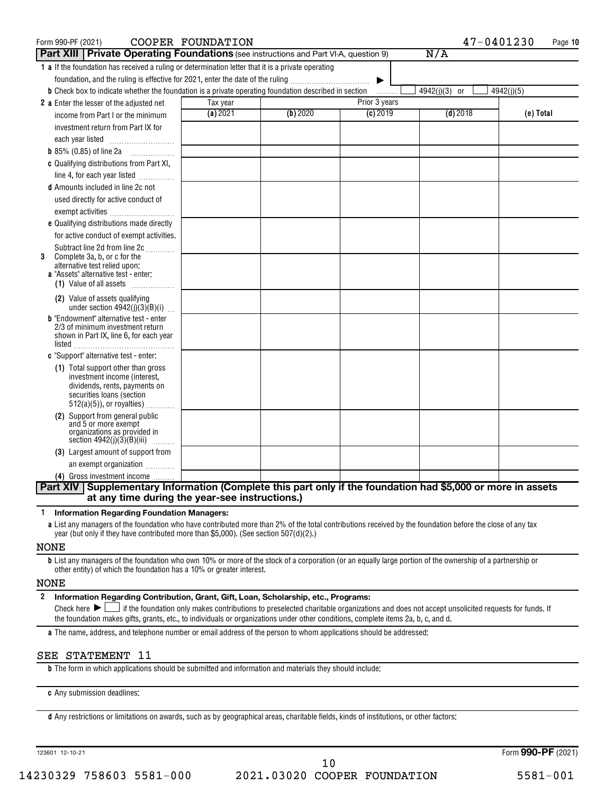| Form 990-PF (2021)                                                                                           | COOPER FOUNDATION |          |               | 47-0401230    | Page 10    |
|--------------------------------------------------------------------------------------------------------------|-------------------|----------|---------------|---------------|------------|
| <b>Part XIII   Private Operating Foundations</b> (see instructions and Part VI-A, question 9)                |                   |          |               | N/A           |            |
| 1 a If the foundation has received a ruling or determination letter that it is a private operating           |                   |          |               |               |            |
| foundation, and the ruling is effective for 2021, enter the date of the ruling                               |                   |          | ▶             |               |            |
| <b>b</b> Check box to indicate whether the foundation is a private operating foundation described in section |                   |          | .             | 4942(j)(3) or | 4942(j)(5) |
| 2 a Enter the lesser of the adjusted net                                                                     | Tax year          |          | Prior 3 years |               |            |
| income from Part I or the minimum                                                                            | (a) 2021          | (b) 2020 | $(c)$ 2019    | $(d)$ 2018    | (e) Total  |
| investment return from Part IX for                                                                           |                   |          |               |               |            |
|                                                                                                              |                   |          |               |               |            |
| <b>b</b> 85% (0.85) of line 2a $\ldots$                                                                      |                   |          |               |               |            |
| c Qualifying distributions from Part XI,                                                                     |                   |          |               |               |            |
| line 4, for each year listed                                                                                 |                   |          |               |               |            |
| <b>d</b> Amounts included in line 2c not                                                                     |                   |          |               |               |            |
| used directly for active conduct of                                                                          |                   |          |               |               |            |
| exempt activities                                                                                            |                   |          |               |               |            |
| e Qualifying distributions made directly                                                                     |                   |          |               |               |            |
| for active conduct of exempt activities.                                                                     |                   |          |               |               |            |
| Subtract line 2d from line 2c                                                                                |                   |          |               |               |            |
| Complete 3a, b, or c for the<br>3<br>alternative test relied upon:                                           |                   |          |               |               |            |
| a "Assets" alternative test - enter:                                                                         |                   |          |               |               |            |
| (1) Value of all assets                                                                                      |                   |          |               |               |            |
| (2) Value of assets qualifying<br>under section $4942(j)(3)(B)(i)$                                           |                   |          |               |               |            |
| <b>b</b> "Endowment" alternative test - enter                                                                |                   |          |               |               |            |
| 2/3 of minimum investment return<br>shown in Part IX, line 6, for each year                                  |                   |          |               |               |            |
|                                                                                                              |                   |          |               |               |            |
| c "Support" alternative test - enter:                                                                        |                   |          |               |               |            |
| (1) Total support other than gross                                                                           |                   |          |               |               |            |
| investment income (interest,<br>dividends, rents, payments on                                                |                   |          |               |               |            |
| securities loans (section                                                                                    |                   |          |               |               |            |
| $512(a)(5)$ , or royalties)                                                                                  |                   |          |               |               |            |
| Support from general public<br>(2)                                                                           |                   |          |               |               |            |
| and 5 or more exempt<br>organizations as provided in                                                         |                   |          |               |               |            |
| section $4942(j)(3)(B)(iii)$<br>.                                                                            |                   |          |               |               |            |
| (3) Largest amount of support from                                                                           |                   |          |               |               |            |
| an exempt organization                                                                                       |                   |          |               |               |            |
| (4) Gross investment income                                                                                  |                   |          |               |               |            |
| Part XIV Supplementary Information (Complete this part only if the foundation had \$5,000 or more in assets  |                   |          |               |               |            |
| at any time during the year-see instructions.)                                                               |                   |          |               |               |            |

**1 Information Regarding Foundation Managers:**

**a** List any managers of the foundation who have contributed more than 2% of the total contributions received by the foundation before the close of any tax year (but only if they have contributed more than \$5,000). (See section 507(d)(2).)

#### NONE

**b** List any managers of the foundation who own 10% or more of the stock of a corporation (or an equally large portion of the ownership of a partnership or other entity) of which the foundation has a 10% or greater interest.

#### NONE

**2 Information Regarding Contribution, Grant, Gift, Loan, Scholarship, etc., Programs:** Final check here  $\sum_{n=1}^{\infty}$  if the foundation only makes contributions to preselected charitable organizations and does not accept unsolicited requests for funds. If the foundation makes gifts, grants, etc., to individuals or organizations under other conditions, complete items 2a, b, c, and d.

**a** The name, address, and telephone number or email address of the person to whom applications should be addressed:

#### SEE STATEMENT 11

**b** The form in which applications should be submitted and information and materials they should include:

**c** Any submission deadlines:

**d** Any restrictions or limitations on awards, such as by geographical areas, charitable fields, kinds of institutions, or other factors: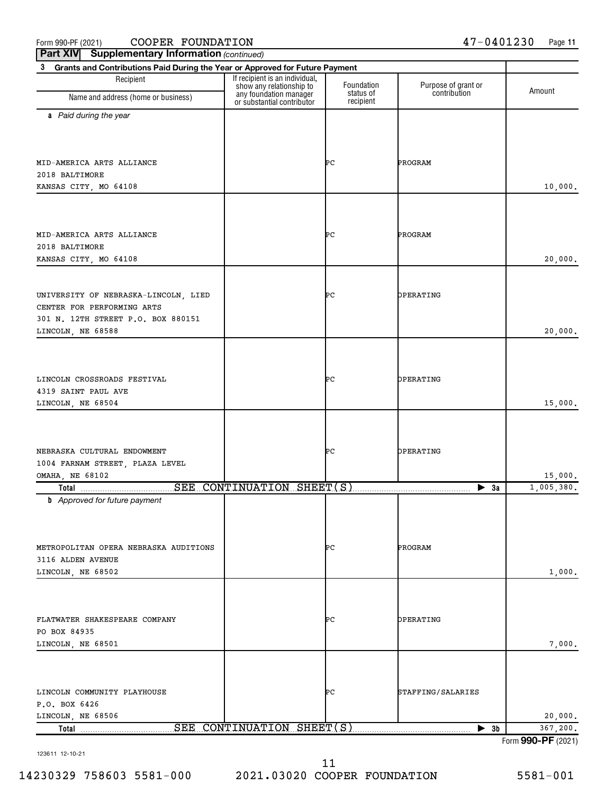Form 990-PF (2021)  $\qquad$   $\qquad$   $\qquad$   $\qquad$   $\qquad$   $\qquad$   $\qquad$   $\qquad$   $\qquad$   $\qquad$   $\qquad$   $\qquad$   $\qquad$   $\qquad$   $\qquad$   $\qquad$   $\qquad$   $\qquad$   $\qquad$   $\qquad$   $\qquad$   $\qquad$   $\qquad$   $\qquad$   $\qquad$   $\qquad$   $\qquad$   $\qquad$   $\qquad$   $\qquad$   $\qquad$   $\qquad$   $\qquad$   $\qquad$ 

**Part XIV** Supplementary Information (continued)

| 3<br>Grants and Contributions Paid During the Year or Approved for Future Payment                                             |                                                            |                        |                          |                    |  |  |
|-------------------------------------------------------------------------------------------------------------------------------|------------------------------------------------------------|------------------------|--------------------------|--------------------|--|--|
| Recipient                                                                                                                     | If recipient is an individual,<br>show any relationship to | Foundation             | Purpose of grant or      |                    |  |  |
| Name and address (home or business)                                                                                           | any foundation manager<br>or substantial contributor       | status of<br>recipient | contribution             | Amount             |  |  |
| a Paid during the year                                                                                                        |                                                            |                        |                          |                    |  |  |
| MID-AMERICA ARTS ALLIANCE<br>2018 BALTIMORE                                                                                   |                                                            | ÞС                     | PROGRAM                  |                    |  |  |
| KANSAS CITY, MO 64108                                                                                                         |                                                            |                        |                          | 10,000.            |  |  |
| MID-AMERICA ARTS ALLIANCE<br>2018 BALTIMORE<br>KANSAS CITY, MO 64108                                                          |                                                            | ÞС                     | PROGRAM                  | 20,000.            |  |  |
| UNIVERSITY OF NEBRASKA-LINCOLN, LIED<br>CENTER FOR PERFORMING ARTS<br>301 N. 12TH STREET P.O. BOX 880151<br>LINCOLN, NE 68588 |                                                            | ÞС                     | OPERATING                | 20,000.            |  |  |
| LINCOLN CROSSROADS FESTIVAL<br>4319 SAINT PAUL AVE<br>LINCOLN, NE 68504                                                       |                                                            | ÞС                     | OPERATING                | 15,000.            |  |  |
| NEBRASKA CULTURAL ENDOWMENT<br>1004 FARNAM STREET, PLAZA LEVEL<br><b>OMAHA, NE 68102</b>                                      |                                                            | ÞС                     | OPERATING                | 15,000.            |  |  |
| Total                                                                                                                         | SEE CONTINUATION SHEET(S)                                  |                        | $\blacktriangleright$ 3a | 1,005,380.         |  |  |
| <b>b</b> Approved for future payment<br>METROPOLITAN OPERA NEBRASKA AUDITIONS<br>3116 ALDEN AVENUE<br>LINCOLN, NE 68502       |                                                            | ÞС                     | PROGRAM                  | 1,000.             |  |  |
| FLATWATER SHAKESPEARE COMPANY<br>PO BOX 84935<br>LINCOLN, NE 68501                                                            |                                                            | ÞС                     | OPERATING                | 7,000.             |  |  |
| LINCOLN COMMUNITY PLAYHOUSE<br>P.O. BOX 6426<br>LINCOLN, NE 68506                                                             |                                                            | ÞС                     | STAFFING/SALARIES        | 20,000.            |  |  |
| Total                                                                                                                         | SEE CONTINUATION SHEET(S)                                  |                        | $\blacktriangleright$ 3b | 367,200.           |  |  |
|                                                                                                                               |                                                            |                        |                          | Form 990-PF (2021) |  |  |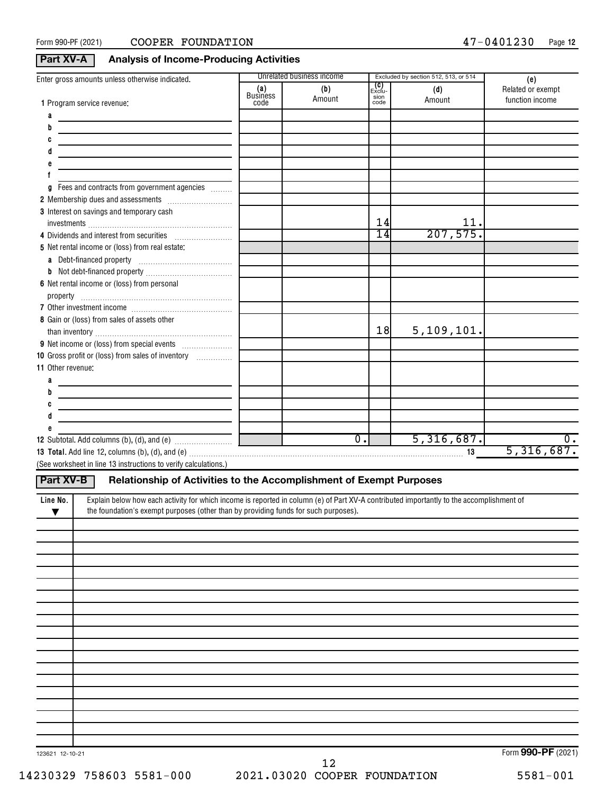## **Part XV-A Analysis of Income-Producing Activities**

| Enter gross amounts unless otherwise indicated.                                                                                                      |                         | Unrelated business income |                                      | Excluded by section 512, 513, or 514 | (e)                                  |
|------------------------------------------------------------------------------------------------------------------------------------------------------|-------------------------|---------------------------|--------------------------------------|--------------------------------------|--------------------------------------|
| 1 Program service revenue:                                                                                                                           | (a)<br>Business<br>code | (b)<br>Amount             | <b>(C)</b><br>Exclu-<br>sion<br>code | (d)<br>Amount                        | Related or exempt<br>function income |
| а                                                                                                                                                    |                         |                           |                                      |                                      |                                      |
| b                                                                                                                                                    |                         |                           |                                      |                                      |                                      |
| c                                                                                                                                                    |                         |                           |                                      |                                      |                                      |
|                                                                                                                                                      |                         |                           |                                      |                                      |                                      |
|                                                                                                                                                      |                         |                           |                                      |                                      |                                      |
|                                                                                                                                                      |                         |                           |                                      |                                      |                                      |
| Fees and contracts from government agencies<br>g                                                                                                     |                         |                           |                                      |                                      |                                      |
|                                                                                                                                                      |                         |                           |                                      |                                      |                                      |
| 3 Interest on savings and temporary cash                                                                                                             |                         |                           |                                      |                                      |                                      |
|                                                                                                                                                      |                         |                           | 14                                   | 11.                                  |                                      |
| 4 Dividends and interest from securities                                                                                                             |                         |                           | $\overline{14}$                      | 207,575.                             |                                      |
| 5 Net rental income or (loss) from real estate:                                                                                                      |                         |                           |                                      |                                      |                                      |
|                                                                                                                                                      |                         |                           |                                      |                                      |                                      |
|                                                                                                                                                      |                         |                           |                                      |                                      |                                      |
| 6 Net rental income or (loss) from personal                                                                                                          |                         |                           |                                      |                                      |                                      |
|                                                                                                                                                      |                         |                           |                                      |                                      |                                      |
|                                                                                                                                                      |                         |                           |                                      |                                      |                                      |
| 8 Gain or (loss) from sales of assets other                                                                                                          |                         |                           |                                      |                                      |                                      |
|                                                                                                                                                      |                         |                           | 18                                   | 5,109,101.                           |                                      |
|                                                                                                                                                      |                         |                           |                                      |                                      |                                      |
| 10 Gross profit or (loss) from sales of inventory [10] [10] Gross profit or (loss) from sales of inventory                                           |                         |                           |                                      |                                      |                                      |
| 11 Other revenue:                                                                                                                                    |                         |                           |                                      |                                      |                                      |
| a                                                                                                                                                    |                         |                           |                                      |                                      |                                      |
| b                                                                                                                                                    |                         |                           |                                      |                                      |                                      |
| c                                                                                                                                                    |                         |                           |                                      |                                      |                                      |
| đ                                                                                                                                                    |                         |                           |                                      |                                      |                                      |
|                                                                                                                                                      |                         | $\overline{0}$ .          |                                      | 5,316,687.                           | 0.                                   |
|                                                                                                                                                      |                         |                           |                                      |                                      | 5,316,687.                           |
| (See worksheet in line 13 instructions to verify calculations.)                                                                                      |                         |                           |                                      |                                      |                                      |
|                                                                                                                                                      |                         |                           |                                      |                                      |                                      |
| Part XV-B<br>Relationship of Activities to the Accomplishment of Exempt Purposes                                                                     |                         |                           |                                      |                                      |                                      |
| Explain below how each activity for which income is reported in column (e) of Part XV-A contributed importantly to the accomplishment of<br>Line No. |                         |                           |                                      |                                      |                                      |
| the foundation's exempt purposes (other than by providing funds for such purposes).<br>▼                                                             |                         |                           |                                      |                                      |                                      |
|                                                                                                                                                      |                         |                           |                                      |                                      |                                      |
|                                                                                                                                                      |                         |                           |                                      |                                      |                                      |
|                                                                                                                                                      |                         |                           |                                      |                                      |                                      |
|                                                                                                                                                      |                         |                           |                                      |                                      |                                      |
|                                                                                                                                                      |                         |                           |                                      |                                      |                                      |
|                                                                                                                                                      |                         |                           |                                      |                                      |                                      |
|                                                                                                                                                      |                         |                           |                                      |                                      |                                      |
|                                                                                                                                                      |                         |                           |                                      |                                      |                                      |
|                                                                                                                                                      |                         |                           |                                      |                                      |                                      |
|                                                                                                                                                      |                         |                           |                                      |                                      |                                      |
|                                                                                                                                                      |                         |                           |                                      |                                      |                                      |
|                                                                                                                                                      |                         |                           |                                      |                                      |                                      |
|                                                                                                                                                      |                         |                           |                                      |                                      |                                      |
|                                                                                                                                                      |                         |                           |                                      |                                      |                                      |
|                                                                                                                                                      |                         |                           |                                      |                                      |                                      |
|                                                                                                                                                      |                         |                           |                                      |                                      |                                      |
|                                                                                                                                                      |                         |                           |                                      |                                      |                                      |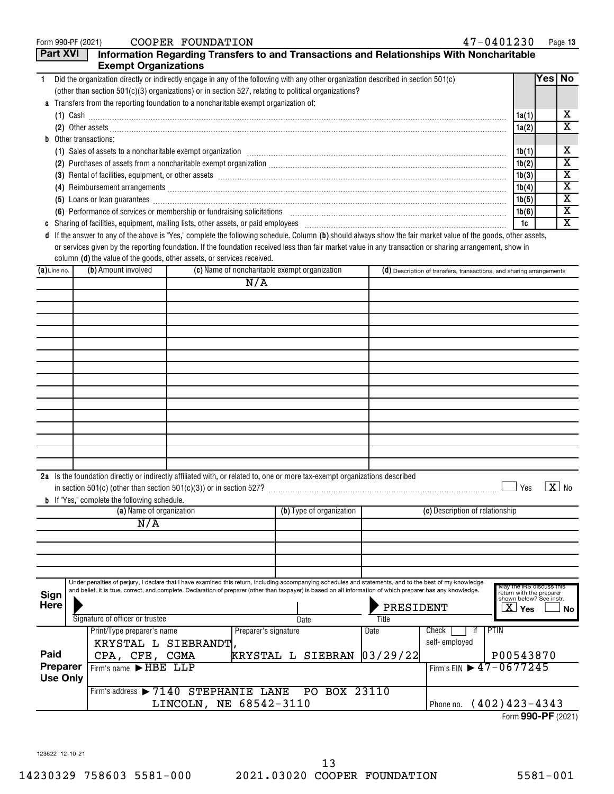|  |  | rm 990-PF (2021) |  |  |
|--|--|------------------|--|--|
|--|--|------------------|--|--|

| <b>Part XVI</b><br>Information Regarding Transfers to and Transactions and Relationships With Noncharitable<br><b>Exempt Organizations</b><br>Yes   No<br>Did the organization directly or indirectly engage in any of the following with any other organization described in section 501(c)<br>$\mathbf{1}$<br>(other than section $501(c)(3)$ organizations) or in section 527, relating to political organizations?<br>a Transfers from the reporting foundation to a noncharitable exempt organization of:<br>х<br>1a(1)<br>$(1)$ Cash $\ldots$ $\ldots$ $\ldots$ $\ldots$ $\ldots$ $\ldots$ $\ldots$ $\ldots$ $\ldots$ $\ldots$ $\ldots$ $\ldots$ $\ldots$ $\ldots$ $\ldots$ $\ldots$ $\ldots$ $\ldots$ $\ldots$ $\ldots$ $\ldots$ $\ldots$ $\ldots$ $\ldots$ $\ldots$ $\ldots$ $\ldots$ $\ldots$ $\ldots$ $\ldots$ $\ldots$ $\ldots$ $\ldots$ $\ldots$ $\ldots$<br>$\overline{\mathbf{X}}$<br>1a(2)<br><b>b</b> Other transactions:<br>х<br>1b(1)<br>(1) Sales of assets to a noncharitable exempt organization manufactured contained according state of assets to a noncharitable exempt organization manufactured contained and substantial contained and state of the state of<br>$\overline{\mathbf{X}}$<br>1b(2)<br>$\overline{\mathbf{x}}$<br>1b(3)<br>(3) Rental of facilities, equipment, or other assets [1] rental material material material material material material material material material material material material material material material material material mater<br>$\overline{\mathbf{X}}$<br>1b(4)<br>$\overline{\mathbf{x}}$<br>1b(5)<br>(5) Loans or loan guarantees <b>commissions</b> and a construction of the construction of the construction of the construction of the construction of the construction of the construction of the construction of the construction<br>X<br>1b(6)<br>(6) Performance of services or membership or fundraising solicitations [11] manufacture material manufacture of services or membership or fundraising solicitations [11] manufacture material materials and the service of the<br>$\overline{\mathbf{X}}$<br>1c<br>d If the answer to any of the above is "Yes," complete the following schedule. Column (b) should always show the fair market value of the goods, other assets,<br>or services given by the reporting foundation. If the foundation received less than fair market value in any transaction or sharing arrangement, show in<br>column (d) the value of the goods, other assets, or services received.<br>(b) Amount involved<br>(c) Name of noncharitable exempt organization<br>$(a)$ Line no.<br>(d) Description of transfers, transactions, and sharing arrangements<br>N/A<br>2a Is the foundation directly or indirectly affiliated with, or related to, one or more tax-exempt organizations described<br>$\blacksquare$ Yes $\blacksquare$ X No<br>in section $501(c)$ (other than section $501(c)(3)$ ) or in section $527$ ?<br><b>b</b> If "Yes," complete the following schedule.<br>(a) Name of organization<br>(b) Type of organization<br>(c) Description of relationship<br>N/A<br>Under penalties of perjury, I declare that I have examined this return, including accompanying schedules and statements, and to the best of my knowledge<br>May the IRS discuss this<br>and belief, it is true, correct, and complete. Declaration of preparer (other than taxpayer) is based on all information of which preparer has any knowledge.<br>return with the preparer<br>Sign<br>shown below? See instr.<br><b>Here</b><br>PRESIDENT<br>$\overline{\text{X}}$ Yes<br>No l<br>Signature of officer or trustee<br>Title<br>Date<br>PTIN<br>Check<br>Print/Type preparer's name<br>Preparer's signature<br>Date<br>it.<br>self-employed<br>KRYSTAL L SIEBRANDT,<br>Paid<br>CPA, CFE, CGMA<br> 03/29/22 <br>P00543870<br>KRYSTAL L SIEBRAN<br>Preparer<br>Firm's EIN 17-0677245<br>Firm's name FHBE LLP<br><b>Use Only</b><br>Firm's address > 7140 STEPHANIE LANE<br>PO BOX 23110<br>LINCOLN, NE 68542-3110<br>Phone no. (402) 423-4343 | Form 990-PF (2021) |  | COOPER FOUNDATION |  | 47-0401230 | Page 13 |
|--------------------------------------------------------------------------------------------------------------------------------------------------------------------------------------------------------------------------------------------------------------------------------------------------------------------------------------------------------------------------------------------------------------------------------------------------------------------------------------------------------------------------------------------------------------------------------------------------------------------------------------------------------------------------------------------------------------------------------------------------------------------------------------------------------------------------------------------------------------------------------------------------------------------------------------------------------------------------------------------------------------------------------------------------------------------------------------------------------------------------------------------------------------------------------------------------------------------------------------------------------------------------------------------------------------------------------------------------------------------------------------------------------------------------------------------------------------------------------------------------------------------------------------------------------------------------------------------------------------------------------------------------------------------------------------------------------------------------------------------------------------------------------------------------------------------------------------------------------------------------------------------------------------------------------------------------------------------------------------------------------------------------------------------------------------------------------------------------------------------------------------------------------------------------------------------------------------------------------------------------------------------------------------------------------------------------------------------------------------------------------------------------------------------------------------------------------------------------------------------------------------------------------------------------------------------------------------------------------------------------------------------------------------------------------------------------------------------------------------------------------------------------------------------------------------------------------------------------------------------------------------------------------------------------------------------------------------------------------------------------------------------------------------------------------------------------------------------------------------------------------------------------------------------------------------------------------------------------------------------------------------------------------------------------------------------------------------------------------------------------------------------------------------------------------------------------------------------------------------------------------------------------------------------------------------------------------------------------------------------------------------------------------------------------------------------------------------------------------------------------------------------------------------------------------------------------------------------------------------------------------------------------------------------------------------------------------------------------------------------------------------------------------------------------------|--------------------|--|-------------------|--|------------|---------|
|                                                                                                                                                                                                                                                                                                                                                                                                                                                                                                                                                                                                                                                                                                                                                                                                                                                                                                                                                                                                                                                                                                                                                                                                                                                                                                                                                                                                                                                                                                                                                                                                                                                                                                                                                                                                                                                                                                                                                                                                                                                                                                                                                                                                                                                                                                                                                                                                                                                                                                                                                                                                                                                                                                                                                                                                                                                                                                                                                                                                                                                                                                                                                                                                                                                                                                                                                                                                                                                                                                                                                                                                                                                                                                                                                                                                                                                                                                                                                                                                                                                        |                    |  |                   |  |            |         |
|                                                                                                                                                                                                                                                                                                                                                                                                                                                                                                                                                                                                                                                                                                                                                                                                                                                                                                                                                                                                                                                                                                                                                                                                                                                                                                                                                                                                                                                                                                                                                                                                                                                                                                                                                                                                                                                                                                                                                                                                                                                                                                                                                                                                                                                                                                                                                                                                                                                                                                                                                                                                                                                                                                                                                                                                                                                                                                                                                                                                                                                                                                                                                                                                                                                                                                                                                                                                                                                                                                                                                                                                                                                                                                                                                                                                                                                                                                                                                                                                                                                        |                    |  |                   |  |            |         |
|                                                                                                                                                                                                                                                                                                                                                                                                                                                                                                                                                                                                                                                                                                                                                                                                                                                                                                                                                                                                                                                                                                                                                                                                                                                                                                                                                                                                                                                                                                                                                                                                                                                                                                                                                                                                                                                                                                                                                                                                                                                                                                                                                                                                                                                                                                                                                                                                                                                                                                                                                                                                                                                                                                                                                                                                                                                                                                                                                                                                                                                                                                                                                                                                                                                                                                                                                                                                                                                                                                                                                                                                                                                                                                                                                                                                                                                                                                                                                                                                                                                        |                    |  |                   |  |            |         |
|                                                                                                                                                                                                                                                                                                                                                                                                                                                                                                                                                                                                                                                                                                                                                                                                                                                                                                                                                                                                                                                                                                                                                                                                                                                                                                                                                                                                                                                                                                                                                                                                                                                                                                                                                                                                                                                                                                                                                                                                                                                                                                                                                                                                                                                                                                                                                                                                                                                                                                                                                                                                                                                                                                                                                                                                                                                                                                                                                                                                                                                                                                                                                                                                                                                                                                                                                                                                                                                                                                                                                                                                                                                                                                                                                                                                                                                                                                                                                                                                                                                        |                    |  |                   |  |            |         |
|                                                                                                                                                                                                                                                                                                                                                                                                                                                                                                                                                                                                                                                                                                                                                                                                                                                                                                                                                                                                                                                                                                                                                                                                                                                                                                                                                                                                                                                                                                                                                                                                                                                                                                                                                                                                                                                                                                                                                                                                                                                                                                                                                                                                                                                                                                                                                                                                                                                                                                                                                                                                                                                                                                                                                                                                                                                                                                                                                                                                                                                                                                                                                                                                                                                                                                                                                                                                                                                                                                                                                                                                                                                                                                                                                                                                                                                                                                                                                                                                                                                        |                    |  |                   |  |            |         |
|                                                                                                                                                                                                                                                                                                                                                                                                                                                                                                                                                                                                                                                                                                                                                                                                                                                                                                                                                                                                                                                                                                                                                                                                                                                                                                                                                                                                                                                                                                                                                                                                                                                                                                                                                                                                                                                                                                                                                                                                                                                                                                                                                                                                                                                                                                                                                                                                                                                                                                                                                                                                                                                                                                                                                                                                                                                                                                                                                                                                                                                                                                                                                                                                                                                                                                                                                                                                                                                                                                                                                                                                                                                                                                                                                                                                                                                                                                                                                                                                                                                        |                    |  |                   |  |            |         |
|                                                                                                                                                                                                                                                                                                                                                                                                                                                                                                                                                                                                                                                                                                                                                                                                                                                                                                                                                                                                                                                                                                                                                                                                                                                                                                                                                                                                                                                                                                                                                                                                                                                                                                                                                                                                                                                                                                                                                                                                                                                                                                                                                                                                                                                                                                                                                                                                                                                                                                                                                                                                                                                                                                                                                                                                                                                                                                                                                                                                                                                                                                                                                                                                                                                                                                                                                                                                                                                                                                                                                                                                                                                                                                                                                                                                                                                                                                                                                                                                                                                        |                    |  |                   |  |            |         |
|                                                                                                                                                                                                                                                                                                                                                                                                                                                                                                                                                                                                                                                                                                                                                                                                                                                                                                                                                                                                                                                                                                                                                                                                                                                                                                                                                                                                                                                                                                                                                                                                                                                                                                                                                                                                                                                                                                                                                                                                                                                                                                                                                                                                                                                                                                                                                                                                                                                                                                                                                                                                                                                                                                                                                                                                                                                                                                                                                                                                                                                                                                                                                                                                                                                                                                                                                                                                                                                                                                                                                                                                                                                                                                                                                                                                                                                                                                                                                                                                                                                        |                    |  |                   |  |            |         |
|                                                                                                                                                                                                                                                                                                                                                                                                                                                                                                                                                                                                                                                                                                                                                                                                                                                                                                                                                                                                                                                                                                                                                                                                                                                                                                                                                                                                                                                                                                                                                                                                                                                                                                                                                                                                                                                                                                                                                                                                                                                                                                                                                                                                                                                                                                                                                                                                                                                                                                                                                                                                                                                                                                                                                                                                                                                                                                                                                                                                                                                                                                                                                                                                                                                                                                                                                                                                                                                                                                                                                                                                                                                                                                                                                                                                                                                                                                                                                                                                                                                        |                    |  |                   |  |            |         |
|                                                                                                                                                                                                                                                                                                                                                                                                                                                                                                                                                                                                                                                                                                                                                                                                                                                                                                                                                                                                                                                                                                                                                                                                                                                                                                                                                                                                                                                                                                                                                                                                                                                                                                                                                                                                                                                                                                                                                                                                                                                                                                                                                                                                                                                                                                                                                                                                                                                                                                                                                                                                                                                                                                                                                                                                                                                                                                                                                                                                                                                                                                                                                                                                                                                                                                                                                                                                                                                                                                                                                                                                                                                                                                                                                                                                                                                                                                                                                                                                                                                        |                    |  |                   |  |            |         |
|                                                                                                                                                                                                                                                                                                                                                                                                                                                                                                                                                                                                                                                                                                                                                                                                                                                                                                                                                                                                                                                                                                                                                                                                                                                                                                                                                                                                                                                                                                                                                                                                                                                                                                                                                                                                                                                                                                                                                                                                                                                                                                                                                                                                                                                                                                                                                                                                                                                                                                                                                                                                                                                                                                                                                                                                                                                                                                                                                                                                                                                                                                                                                                                                                                                                                                                                                                                                                                                                                                                                                                                                                                                                                                                                                                                                                                                                                                                                                                                                                                                        |                    |  |                   |  |            |         |
|                                                                                                                                                                                                                                                                                                                                                                                                                                                                                                                                                                                                                                                                                                                                                                                                                                                                                                                                                                                                                                                                                                                                                                                                                                                                                                                                                                                                                                                                                                                                                                                                                                                                                                                                                                                                                                                                                                                                                                                                                                                                                                                                                                                                                                                                                                                                                                                                                                                                                                                                                                                                                                                                                                                                                                                                                                                                                                                                                                                                                                                                                                                                                                                                                                                                                                                                                                                                                                                                                                                                                                                                                                                                                                                                                                                                                                                                                                                                                                                                                                                        |                    |  |                   |  |            |         |
|                                                                                                                                                                                                                                                                                                                                                                                                                                                                                                                                                                                                                                                                                                                                                                                                                                                                                                                                                                                                                                                                                                                                                                                                                                                                                                                                                                                                                                                                                                                                                                                                                                                                                                                                                                                                                                                                                                                                                                                                                                                                                                                                                                                                                                                                                                                                                                                                                                                                                                                                                                                                                                                                                                                                                                                                                                                                                                                                                                                                                                                                                                                                                                                                                                                                                                                                                                                                                                                                                                                                                                                                                                                                                                                                                                                                                                                                                                                                                                                                                                                        |                    |  |                   |  |            |         |
|                                                                                                                                                                                                                                                                                                                                                                                                                                                                                                                                                                                                                                                                                                                                                                                                                                                                                                                                                                                                                                                                                                                                                                                                                                                                                                                                                                                                                                                                                                                                                                                                                                                                                                                                                                                                                                                                                                                                                                                                                                                                                                                                                                                                                                                                                                                                                                                                                                                                                                                                                                                                                                                                                                                                                                                                                                                                                                                                                                                                                                                                                                                                                                                                                                                                                                                                                                                                                                                                                                                                                                                                                                                                                                                                                                                                                                                                                                                                                                                                                                                        |                    |  |                   |  |            |         |
|                                                                                                                                                                                                                                                                                                                                                                                                                                                                                                                                                                                                                                                                                                                                                                                                                                                                                                                                                                                                                                                                                                                                                                                                                                                                                                                                                                                                                                                                                                                                                                                                                                                                                                                                                                                                                                                                                                                                                                                                                                                                                                                                                                                                                                                                                                                                                                                                                                                                                                                                                                                                                                                                                                                                                                                                                                                                                                                                                                                                                                                                                                                                                                                                                                                                                                                                                                                                                                                                                                                                                                                                                                                                                                                                                                                                                                                                                                                                                                                                                                                        |                    |  |                   |  |            |         |
|                                                                                                                                                                                                                                                                                                                                                                                                                                                                                                                                                                                                                                                                                                                                                                                                                                                                                                                                                                                                                                                                                                                                                                                                                                                                                                                                                                                                                                                                                                                                                                                                                                                                                                                                                                                                                                                                                                                                                                                                                                                                                                                                                                                                                                                                                                                                                                                                                                                                                                                                                                                                                                                                                                                                                                                                                                                                                                                                                                                                                                                                                                                                                                                                                                                                                                                                                                                                                                                                                                                                                                                                                                                                                                                                                                                                                                                                                                                                                                                                                                                        |                    |  |                   |  |            |         |
|                                                                                                                                                                                                                                                                                                                                                                                                                                                                                                                                                                                                                                                                                                                                                                                                                                                                                                                                                                                                                                                                                                                                                                                                                                                                                                                                                                                                                                                                                                                                                                                                                                                                                                                                                                                                                                                                                                                                                                                                                                                                                                                                                                                                                                                                                                                                                                                                                                                                                                                                                                                                                                                                                                                                                                                                                                                                                                                                                                                                                                                                                                                                                                                                                                                                                                                                                                                                                                                                                                                                                                                                                                                                                                                                                                                                                                                                                                                                                                                                                                                        |                    |  |                   |  |            |         |
|                                                                                                                                                                                                                                                                                                                                                                                                                                                                                                                                                                                                                                                                                                                                                                                                                                                                                                                                                                                                                                                                                                                                                                                                                                                                                                                                                                                                                                                                                                                                                                                                                                                                                                                                                                                                                                                                                                                                                                                                                                                                                                                                                                                                                                                                                                                                                                                                                                                                                                                                                                                                                                                                                                                                                                                                                                                                                                                                                                                                                                                                                                                                                                                                                                                                                                                                                                                                                                                                                                                                                                                                                                                                                                                                                                                                                                                                                                                                                                                                                                                        |                    |  |                   |  |            |         |
|                                                                                                                                                                                                                                                                                                                                                                                                                                                                                                                                                                                                                                                                                                                                                                                                                                                                                                                                                                                                                                                                                                                                                                                                                                                                                                                                                                                                                                                                                                                                                                                                                                                                                                                                                                                                                                                                                                                                                                                                                                                                                                                                                                                                                                                                                                                                                                                                                                                                                                                                                                                                                                                                                                                                                                                                                                                                                                                                                                                                                                                                                                                                                                                                                                                                                                                                                                                                                                                                                                                                                                                                                                                                                                                                                                                                                                                                                                                                                                                                                                                        |                    |  |                   |  |            |         |
|                                                                                                                                                                                                                                                                                                                                                                                                                                                                                                                                                                                                                                                                                                                                                                                                                                                                                                                                                                                                                                                                                                                                                                                                                                                                                                                                                                                                                                                                                                                                                                                                                                                                                                                                                                                                                                                                                                                                                                                                                                                                                                                                                                                                                                                                                                                                                                                                                                                                                                                                                                                                                                                                                                                                                                                                                                                                                                                                                                                                                                                                                                                                                                                                                                                                                                                                                                                                                                                                                                                                                                                                                                                                                                                                                                                                                                                                                                                                                                                                                                                        |                    |  |                   |  |            |         |
|                                                                                                                                                                                                                                                                                                                                                                                                                                                                                                                                                                                                                                                                                                                                                                                                                                                                                                                                                                                                                                                                                                                                                                                                                                                                                                                                                                                                                                                                                                                                                                                                                                                                                                                                                                                                                                                                                                                                                                                                                                                                                                                                                                                                                                                                                                                                                                                                                                                                                                                                                                                                                                                                                                                                                                                                                                                                                                                                                                                                                                                                                                                                                                                                                                                                                                                                                                                                                                                                                                                                                                                                                                                                                                                                                                                                                                                                                                                                                                                                                                                        |                    |  |                   |  |            |         |
|                                                                                                                                                                                                                                                                                                                                                                                                                                                                                                                                                                                                                                                                                                                                                                                                                                                                                                                                                                                                                                                                                                                                                                                                                                                                                                                                                                                                                                                                                                                                                                                                                                                                                                                                                                                                                                                                                                                                                                                                                                                                                                                                                                                                                                                                                                                                                                                                                                                                                                                                                                                                                                                                                                                                                                                                                                                                                                                                                                                                                                                                                                                                                                                                                                                                                                                                                                                                                                                                                                                                                                                                                                                                                                                                                                                                                                                                                                                                                                                                                                                        |                    |  |                   |  |            |         |
|                                                                                                                                                                                                                                                                                                                                                                                                                                                                                                                                                                                                                                                                                                                                                                                                                                                                                                                                                                                                                                                                                                                                                                                                                                                                                                                                                                                                                                                                                                                                                                                                                                                                                                                                                                                                                                                                                                                                                                                                                                                                                                                                                                                                                                                                                                                                                                                                                                                                                                                                                                                                                                                                                                                                                                                                                                                                                                                                                                                                                                                                                                                                                                                                                                                                                                                                                                                                                                                                                                                                                                                                                                                                                                                                                                                                                                                                                                                                                                                                                                                        |                    |  |                   |  |            |         |
|                                                                                                                                                                                                                                                                                                                                                                                                                                                                                                                                                                                                                                                                                                                                                                                                                                                                                                                                                                                                                                                                                                                                                                                                                                                                                                                                                                                                                                                                                                                                                                                                                                                                                                                                                                                                                                                                                                                                                                                                                                                                                                                                                                                                                                                                                                                                                                                                                                                                                                                                                                                                                                                                                                                                                                                                                                                                                                                                                                                                                                                                                                                                                                                                                                                                                                                                                                                                                                                                                                                                                                                                                                                                                                                                                                                                                                                                                                                                                                                                                                                        |                    |  |                   |  |            |         |
|                                                                                                                                                                                                                                                                                                                                                                                                                                                                                                                                                                                                                                                                                                                                                                                                                                                                                                                                                                                                                                                                                                                                                                                                                                                                                                                                                                                                                                                                                                                                                                                                                                                                                                                                                                                                                                                                                                                                                                                                                                                                                                                                                                                                                                                                                                                                                                                                                                                                                                                                                                                                                                                                                                                                                                                                                                                                                                                                                                                                                                                                                                                                                                                                                                                                                                                                                                                                                                                                                                                                                                                                                                                                                                                                                                                                                                                                                                                                                                                                                                                        |                    |  |                   |  |            |         |
|                                                                                                                                                                                                                                                                                                                                                                                                                                                                                                                                                                                                                                                                                                                                                                                                                                                                                                                                                                                                                                                                                                                                                                                                                                                                                                                                                                                                                                                                                                                                                                                                                                                                                                                                                                                                                                                                                                                                                                                                                                                                                                                                                                                                                                                                                                                                                                                                                                                                                                                                                                                                                                                                                                                                                                                                                                                                                                                                                                                                                                                                                                                                                                                                                                                                                                                                                                                                                                                                                                                                                                                                                                                                                                                                                                                                                                                                                                                                                                                                                                                        |                    |  |                   |  |            |         |
|                                                                                                                                                                                                                                                                                                                                                                                                                                                                                                                                                                                                                                                                                                                                                                                                                                                                                                                                                                                                                                                                                                                                                                                                                                                                                                                                                                                                                                                                                                                                                                                                                                                                                                                                                                                                                                                                                                                                                                                                                                                                                                                                                                                                                                                                                                                                                                                                                                                                                                                                                                                                                                                                                                                                                                                                                                                                                                                                                                                                                                                                                                                                                                                                                                                                                                                                                                                                                                                                                                                                                                                                                                                                                                                                                                                                                                                                                                                                                                                                                                                        |                    |  |                   |  |            |         |
|                                                                                                                                                                                                                                                                                                                                                                                                                                                                                                                                                                                                                                                                                                                                                                                                                                                                                                                                                                                                                                                                                                                                                                                                                                                                                                                                                                                                                                                                                                                                                                                                                                                                                                                                                                                                                                                                                                                                                                                                                                                                                                                                                                                                                                                                                                                                                                                                                                                                                                                                                                                                                                                                                                                                                                                                                                                                                                                                                                                                                                                                                                                                                                                                                                                                                                                                                                                                                                                                                                                                                                                                                                                                                                                                                                                                                                                                                                                                                                                                                                                        |                    |  |                   |  |            |         |
|                                                                                                                                                                                                                                                                                                                                                                                                                                                                                                                                                                                                                                                                                                                                                                                                                                                                                                                                                                                                                                                                                                                                                                                                                                                                                                                                                                                                                                                                                                                                                                                                                                                                                                                                                                                                                                                                                                                                                                                                                                                                                                                                                                                                                                                                                                                                                                                                                                                                                                                                                                                                                                                                                                                                                                                                                                                                                                                                                                                                                                                                                                                                                                                                                                                                                                                                                                                                                                                                                                                                                                                                                                                                                                                                                                                                                                                                                                                                                                                                                                                        |                    |  |                   |  |            |         |
|                                                                                                                                                                                                                                                                                                                                                                                                                                                                                                                                                                                                                                                                                                                                                                                                                                                                                                                                                                                                                                                                                                                                                                                                                                                                                                                                                                                                                                                                                                                                                                                                                                                                                                                                                                                                                                                                                                                                                                                                                                                                                                                                                                                                                                                                                                                                                                                                                                                                                                                                                                                                                                                                                                                                                                                                                                                                                                                                                                                                                                                                                                                                                                                                                                                                                                                                                                                                                                                                                                                                                                                                                                                                                                                                                                                                                                                                                                                                                                                                                                                        |                    |  |                   |  |            |         |
|                                                                                                                                                                                                                                                                                                                                                                                                                                                                                                                                                                                                                                                                                                                                                                                                                                                                                                                                                                                                                                                                                                                                                                                                                                                                                                                                                                                                                                                                                                                                                                                                                                                                                                                                                                                                                                                                                                                                                                                                                                                                                                                                                                                                                                                                                                                                                                                                                                                                                                                                                                                                                                                                                                                                                                                                                                                                                                                                                                                                                                                                                                                                                                                                                                                                                                                                                                                                                                                                                                                                                                                                                                                                                                                                                                                                                                                                                                                                                                                                                                                        |                    |  |                   |  |            |         |
|                                                                                                                                                                                                                                                                                                                                                                                                                                                                                                                                                                                                                                                                                                                                                                                                                                                                                                                                                                                                                                                                                                                                                                                                                                                                                                                                                                                                                                                                                                                                                                                                                                                                                                                                                                                                                                                                                                                                                                                                                                                                                                                                                                                                                                                                                                                                                                                                                                                                                                                                                                                                                                                                                                                                                                                                                                                                                                                                                                                                                                                                                                                                                                                                                                                                                                                                                                                                                                                                                                                                                                                                                                                                                                                                                                                                                                                                                                                                                                                                                                                        |                    |  |                   |  |            |         |
|                                                                                                                                                                                                                                                                                                                                                                                                                                                                                                                                                                                                                                                                                                                                                                                                                                                                                                                                                                                                                                                                                                                                                                                                                                                                                                                                                                                                                                                                                                                                                                                                                                                                                                                                                                                                                                                                                                                                                                                                                                                                                                                                                                                                                                                                                                                                                                                                                                                                                                                                                                                                                                                                                                                                                                                                                                                                                                                                                                                                                                                                                                                                                                                                                                                                                                                                                                                                                                                                                                                                                                                                                                                                                                                                                                                                                                                                                                                                                                                                                                                        |                    |  |                   |  |            |         |
|                                                                                                                                                                                                                                                                                                                                                                                                                                                                                                                                                                                                                                                                                                                                                                                                                                                                                                                                                                                                                                                                                                                                                                                                                                                                                                                                                                                                                                                                                                                                                                                                                                                                                                                                                                                                                                                                                                                                                                                                                                                                                                                                                                                                                                                                                                                                                                                                                                                                                                                                                                                                                                                                                                                                                                                                                                                                                                                                                                                                                                                                                                                                                                                                                                                                                                                                                                                                                                                                                                                                                                                                                                                                                                                                                                                                                                                                                                                                                                                                                                                        |                    |  |                   |  |            |         |
|                                                                                                                                                                                                                                                                                                                                                                                                                                                                                                                                                                                                                                                                                                                                                                                                                                                                                                                                                                                                                                                                                                                                                                                                                                                                                                                                                                                                                                                                                                                                                                                                                                                                                                                                                                                                                                                                                                                                                                                                                                                                                                                                                                                                                                                                                                                                                                                                                                                                                                                                                                                                                                                                                                                                                                                                                                                                                                                                                                                                                                                                                                                                                                                                                                                                                                                                                                                                                                                                                                                                                                                                                                                                                                                                                                                                                                                                                                                                                                                                                                                        |                    |  |                   |  |            |         |
|                                                                                                                                                                                                                                                                                                                                                                                                                                                                                                                                                                                                                                                                                                                                                                                                                                                                                                                                                                                                                                                                                                                                                                                                                                                                                                                                                                                                                                                                                                                                                                                                                                                                                                                                                                                                                                                                                                                                                                                                                                                                                                                                                                                                                                                                                                                                                                                                                                                                                                                                                                                                                                                                                                                                                                                                                                                                                                                                                                                                                                                                                                                                                                                                                                                                                                                                                                                                                                                                                                                                                                                                                                                                                                                                                                                                                                                                                                                                                                                                                                                        |                    |  |                   |  |            |         |
|                                                                                                                                                                                                                                                                                                                                                                                                                                                                                                                                                                                                                                                                                                                                                                                                                                                                                                                                                                                                                                                                                                                                                                                                                                                                                                                                                                                                                                                                                                                                                                                                                                                                                                                                                                                                                                                                                                                                                                                                                                                                                                                                                                                                                                                                                                                                                                                                                                                                                                                                                                                                                                                                                                                                                                                                                                                                                                                                                                                                                                                                                                                                                                                                                                                                                                                                                                                                                                                                                                                                                                                                                                                                                                                                                                                                                                                                                                                                                                                                                                                        |                    |  |                   |  |            |         |
|                                                                                                                                                                                                                                                                                                                                                                                                                                                                                                                                                                                                                                                                                                                                                                                                                                                                                                                                                                                                                                                                                                                                                                                                                                                                                                                                                                                                                                                                                                                                                                                                                                                                                                                                                                                                                                                                                                                                                                                                                                                                                                                                                                                                                                                                                                                                                                                                                                                                                                                                                                                                                                                                                                                                                                                                                                                                                                                                                                                                                                                                                                                                                                                                                                                                                                                                                                                                                                                                                                                                                                                                                                                                                                                                                                                                                                                                                                                                                                                                                                                        |                    |  |                   |  |            |         |
|                                                                                                                                                                                                                                                                                                                                                                                                                                                                                                                                                                                                                                                                                                                                                                                                                                                                                                                                                                                                                                                                                                                                                                                                                                                                                                                                                                                                                                                                                                                                                                                                                                                                                                                                                                                                                                                                                                                                                                                                                                                                                                                                                                                                                                                                                                                                                                                                                                                                                                                                                                                                                                                                                                                                                                                                                                                                                                                                                                                                                                                                                                                                                                                                                                                                                                                                                                                                                                                                                                                                                                                                                                                                                                                                                                                                                                                                                                                                                                                                                                                        |                    |  |                   |  |            |         |
|                                                                                                                                                                                                                                                                                                                                                                                                                                                                                                                                                                                                                                                                                                                                                                                                                                                                                                                                                                                                                                                                                                                                                                                                                                                                                                                                                                                                                                                                                                                                                                                                                                                                                                                                                                                                                                                                                                                                                                                                                                                                                                                                                                                                                                                                                                                                                                                                                                                                                                                                                                                                                                                                                                                                                                                                                                                                                                                                                                                                                                                                                                                                                                                                                                                                                                                                                                                                                                                                                                                                                                                                                                                                                                                                                                                                                                                                                                                                                                                                                                                        |                    |  |                   |  |            |         |
|                                                                                                                                                                                                                                                                                                                                                                                                                                                                                                                                                                                                                                                                                                                                                                                                                                                                                                                                                                                                                                                                                                                                                                                                                                                                                                                                                                                                                                                                                                                                                                                                                                                                                                                                                                                                                                                                                                                                                                                                                                                                                                                                                                                                                                                                                                                                                                                                                                                                                                                                                                                                                                                                                                                                                                                                                                                                                                                                                                                                                                                                                                                                                                                                                                                                                                                                                                                                                                                                                                                                                                                                                                                                                                                                                                                                                                                                                                                                                                                                                                                        |                    |  |                   |  |            |         |
|                                                                                                                                                                                                                                                                                                                                                                                                                                                                                                                                                                                                                                                                                                                                                                                                                                                                                                                                                                                                                                                                                                                                                                                                                                                                                                                                                                                                                                                                                                                                                                                                                                                                                                                                                                                                                                                                                                                                                                                                                                                                                                                                                                                                                                                                                                                                                                                                                                                                                                                                                                                                                                                                                                                                                                                                                                                                                                                                                                                                                                                                                                                                                                                                                                                                                                                                                                                                                                                                                                                                                                                                                                                                                                                                                                                                                                                                                                                                                                                                                                                        |                    |  |                   |  |            |         |
|                                                                                                                                                                                                                                                                                                                                                                                                                                                                                                                                                                                                                                                                                                                                                                                                                                                                                                                                                                                                                                                                                                                                                                                                                                                                                                                                                                                                                                                                                                                                                                                                                                                                                                                                                                                                                                                                                                                                                                                                                                                                                                                                                                                                                                                                                                                                                                                                                                                                                                                                                                                                                                                                                                                                                                                                                                                                                                                                                                                                                                                                                                                                                                                                                                                                                                                                                                                                                                                                                                                                                                                                                                                                                                                                                                                                                                                                                                                                                                                                                                                        |                    |  |                   |  |            |         |
|                                                                                                                                                                                                                                                                                                                                                                                                                                                                                                                                                                                                                                                                                                                                                                                                                                                                                                                                                                                                                                                                                                                                                                                                                                                                                                                                                                                                                                                                                                                                                                                                                                                                                                                                                                                                                                                                                                                                                                                                                                                                                                                                                                                                                                                                                                                                                                                                                                                                                                                                                                                                                                                                                                                                                                                                                                                                                                                                                                                                                                                                                                                                                                                                                                                                                                                                                                                                                                                                                                                                                                                                                                                                                                                                                                                                                                                                                                                                                                                                                                                        |                    |  |                   |  |            |         |
|                                                                                                                                                                                                                                                                                                                                                                                                                                                                                                                                                                                                                                                                                                                                                                                                                                                                                                                                                                                                                                                                                                                                                                                                                                                                                                                                                                                                                                                                                                                                                                                                                                                                                                                                                                                                                                                                                                                                                                                                                                                                                                                                                                                                                                                                                                                                                                                                                                                                                                                                                                                                                                                                                                                                                                                                                                                                                                                                                                                                                                                                                                                                                                                                                                                                                                                                                                                                                                                                                                                                                                                                                                                                                                                                                                                                                                                                                                                                                                                                                                                        |                    |  |                   |  |            |         |
|                                                                                                                                                                                                                                                                                                                                                                                                                                                                                                                                                                                                                                                                                                                                                                                                                                                                                                                                                                                                                                                                                                                                                                                                                                                                                                                                                                                                                                                                                                                                                                                                                                                                                                                                                                                                                                                                                                                                                                                                                                                                                                                                                                                                                                                                                                                                                                                                                                                                                                                                                                                                                                                                                                                                                                                                                                                                                                                                                                                                                                                                                                                                                                                                                                                                                                                                                                                                                                                                                                                                                                                                                                                                                                                                                                                                                                                                                                                                                                                                                                                        |                    |  |                   |  |            |         |
|                                                                                                                                                                                                                                                                                                                                                                                                                                                                                                                                                                                                                                                                                                                                                                                                                                                                                                                                                                                                                                                                                                                                                                                                                                                                                                                                                                                                                                                                                                                                                                                                                                                                                                                                                                                                                                                                                                                                                                                                                                                                                                                                                                                                                                                                                                                                                                                                                                                                                                                                                                                                                                                                                                                                                                                                                                                                                                                                                                                                                                                                                                                                                                                                                                                                                                                                                                                                                                                                                                                                                                                                                                                                                                                                                                                                                                                                                                                                                                                                                                                        |                    |  |                   |  |            |         |
|                                                                                                                                                                                                                                                                                                                                                                                                                                                                                                                                                                                                                                                                                                                                                                                                                                                                                                                                                                                                                                                                                                                                                                                                                                                                                                                                                                                                                                                                                                                                                                                                                                                                                                                                                                                                                                                                                                                                                                                                                                                                                                                                                                                                                                                                                                                                                                                                                                                                                                                                                                                                                                                                                                                                                                                                                                                                                                                                                                                                                                                                                                                                                                                                                                                                                                                                                                                                                                                                                                                                                                                                                                                                                                                                                                                                                                                                                                                                                                                                                                                        |                    |  |                   |  |            |         |
|                                                                                                                                                                                                                                                                                                                                                                                                                                                                                                                                                                                                                                                                                                                                                                                                                                                                                                                                                                                                                                                                                                                                                                                                                                                                                                                                                                                                                                                                                                                                                                                                                                                                                                                                                                                                                                                                                                                                                                                                                                                                                                                                                                                                                                                                                                                                                                                                                                                                                                                                                                                                                                                                                                                                                                                                                                                                                                                                                                                                                                                                                                                                                                                                                                                                                                                                                                                                                                                                                                                                                                                                                                                                                                                                                                                                                                                                                                                                                                                                                                                        |                    |  |                   |  |            |         |
|                                                                                                                                                                                                                                                                                                                                                                                                                                                                                                                                                                                                                                                                                                                                                                                                                                                                                                                                                                                                                                                                                                                                                                                                                                                                                                                                                                                                                                                                                                                                                                                                                                                                                                                                                                                                                                                                                                                                                                                                                                                                                                                                                                                                                                                                                                                                                                                                                                                                                                                                                                                                                                                                                                                                                                                                                                                                                                                                                                                                                                                                                                                                                                                                                                                                                                                                                                                                                                                                                                                                                                                                                                                                                                                                                                                                                                                                                                                                                                                                                                                        |                    |  |                   |  |            |         |
|                                                                                                                                                                                                                                                                                                                                                                                                                                                                                                                                                                                                                                                                                                                                                                                                                                                                                                                                                                                                                                                                                                                                                                                                                                                                                                                                                                                                                                                                                                                                                                                                                                                                                                                                                                                                                                                                                                                                                                                                                                                                                                                                                                                                                                                                                                                                                                                                                                                                                                                                                                                                                                                                                                                                                                                                                                                                                                                                                                                                                                                                                                                                                                                                                                                                                                                                                                                                                                                                                                                                                                                                                                                                                                                                                                                                                                                                                                                                                                                                                                                        |                    |  |                   |  |            |         |
|                                                                                                                                                                                                                                                                                                                                                                                                                                                                                                                                                                                                                                                                                                                                                                                                                                                                                                                                                                                                                                                                                                                                                                                                                                                                                                                                                                                                                                                                                                                                                                                                                                                                                                                                                                                                                                                                                                                                                                                                                                                                                                                                                                                                                                                                                                                                                                                                                                                                                                                                                                                                                                                                                                                                                                                                                                                                                                                                                                                                                                                                                                                                                                                                                                                                                                                                                                                                                                                                                                                                                                                                                                                                                                                                                                                                                                                                                                                                                                                                                                                        |                    |  |                   |  |            |         |
|                                                                                                                                                                                                                                                                                                                                                                                                                                                                                                                                                                                                                                                                                                                                                                                                                                                                                                                                                                                                                                                                                                                                                                                                                                                                                                                                                                                                                                                                                                                                                                                                                                                                                                                                                                                                                                                                                                                                                                                                                                                                                                                                                                                                                                                                                                                                                                                                                                                                                                                                                                                                                                                                                                                                                                                                                                                                                                                                                                                                                                                                                                                                                                                                                                                                                                                                                                                                                                                                                                                                                                                                                                                                                                                                                                                                                                                                                                                                                                                                                                                        |                    |  |                   |  |            |         |
|                                                                                                                                                                                                                                                                                                                                                                                                                                                                                                                                                                                                                                                                                                                                                                                                                                                                                                                                                                                                                                                                                                                                                                                                                                                                                                                                                                                                                                                                                                                                                                                                                                                                                                                                                                                                                                                                                                                                                                                                                                                                                                                                                                                                                                                                                                                                                                                                                                                                                                                                                                                                                                                                                                                                                                                                                                                                                                                                                                                                                                                                                                                                                                                                                                                                                                                                                                                                                                                                                                                                                                                                                                                                                                                                                                                                                                                                                                                                                                                                                                                        |                    |  |                   |  |            |         |
|                                                                                                                                                                                                                                                                                                                                                                                                                                                                                                                                                                                                                                                                                                                                                                                                                                                                                                                                                                                                                                                                                                                                                                                                                                                                                                                                                                                                                                                                                                                                                                                                                                                                                                                                                                                                                                                                                                                                                                                                                                                                                                                                                                                                                                                                                                                                                                                                                                                                                                                                                                                                                                                                                                                                                                                                                                                                                                                                                                                                                                                                                                                                                                                                                                                                                                                                                                                                                                                                                                                                                                                                                                                                                                                                                                                                                                                                                                                                                                                                                                                        |                    |  |                   |  |            |         |
|                                                                                                                                                                                                                                                                                                                                                                                                                                                                                                                                                                                                                                                                                                                                                                                                                                                                                                                                                                                                                                                                                                                                                                                                                                                                                                                                                                                                                                                                                                                                                                                                                                                                                                                                                                                                                                                                                                                                                                                                                                                                                                                                                                                                                                                                                                                                                                                                                                                                                                                                                                                                                                                                                                                                                                                                                                                                                                                                                                                                                                                                                                                                                                                                                                                                                                                                                                                                                                                                                                                                                                                                                                                                                                                                                                                                                                                                                                                                                                                                                                                        |                    |  |                   |  |            |         |

Form (2021) **990-PF**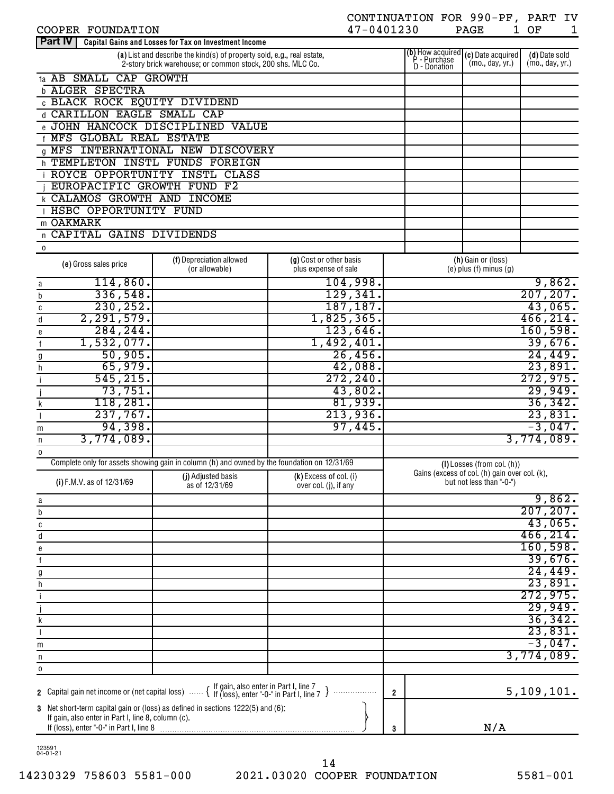| COOPER FOUNDATION                                  |                                                                                                                                      | 47-0401230              |                |                                                           | PAGE                                                                      | 1 OF<br>1                        |
|----------------------------------------------------|--------------------------------------------------------------------------------------------------------------------------------------|-------------------------|----------------|-----------------------------------------------------------|---------------------------------------------------------------------------|----------------------------------|
| <b>Part IV</b>                                     | Capital Gains and Losses for Tax on Investment Income                                                                                |                         |                |                                                           |                                                                           |                                  |
|                                                    | (a) List and describe the kind(s) of property sold, e.g., real estate,<br>2-story brick warehouse; or common stock, 200 shs. MLC Co. |                         |                | ( <b>b</b> ) How acquired<br>P - Purchase<br>D - Donation | (c) Date acquired<br>(mo., day, yr.)                                      | (d) Date sold<br>(mo., day, yr.) |
| 1a AB SMALL CAP GROWTH                             |                                                                                                                                      |                         |                |                                                           |                                                                           |                                  |
| <b>b ALGER SPECTRA</b>                             |                                                                                                                                      |                         |                |                                                           |                                                                           |                                  |
| <b>C BLACK ROCK EQUITY DIVIDEND</b>                |                                                                                                                                      |                         |                |                                                           |                                                                           |                                  |
| d CARILLON EAGLE SMALL CAP                         |                                                                                                                                      |                         |                |                                                           |                                                                           |                                  |
| e JOHN HANCOCK DISCIPLINED                         | <b>VALUE</b>                                                                                                                         |                         |                |                                                           |                                                                           |                                  |
| <b>f MFS GLOBAL REAL ESTATE</b>                    |                                                                                                                                      |                         |                |                                                           |                                                                           |                                  |
|                                                    | <b>Q MFS INTERNATIONAL NEW DISCOVERY</b>                                                                                             |                         |                |                                                           |                                                                           |                                  |
| h TEMPLETON INSTL FUNDS                            | FOREIGN                                                                                                                              |                         |                |                                                           |                                                                           |                                  |
| <b>ROYCE OPPORTUNITY INSTL CLASS</b>               |                                                                                                                                      |                         |                |                                                           |                                                                           |                                  |
| EUROPACIFIC GROWTH FUND                            | F <sub>2</sub>                                                                                                                       |                         |                |                                                           |                                                                           |                                  |
| <b>K CALAMOS GROWTH AND INCOME</b>                 |                                                                                                                                      |                         |                |                                                           |                                                                           |                                  |
| HSBC OPPORTUNITY FUND                              |                                                                                                                                      |                         |                |                                                           |                                                                           |                                  |
| m OAKMARK                                          |                                                                                                                                      |                         |                |                                                           |                                                                           |                                  |
| n CAPITAL GAINS DIVIDENDS                          |                                                                                                                                      |                         |                |                                                           |                                                                           |                                  |
| 0                                                  |                                                                                                                                      |                         |                |                                                           |                                                                           |                                  |
|                                                    | (f) Depreciation allowed                                                                                                             | (g) Cost or other basis |                |                                                           | (h) Gain or (loss)                                                        |                                  |
| (e) Gross sales price                              | (or allowable)                                                                                                                       | plus expense of sale    |                |                                                           | $(e)$ plus $(f)$ minus $(g)$                                              |                                  |
| 114,860.<br>a                                      |                                                                                                                                      | 104,998.                |                |                                                           |                                                                           | 9,862.                           |
| 336,548.<br>b                                      |                                                                                                                                      | 129,341.                |                |                                                           |                                                                           | 207, 207.                        |
| 230, 252.<br>C                                     |                                                                                                                                      | 187, 187.               |                |                                                           |                                                                           | 43,065.                          |
| 2, 291, 579.<br>d                                  |                                                                                                                                      | 1,825,365.              |                |                                                           |                                                                           | 466, 214.                        |
| 284, 244.<br>е                                     |                                                                                                                                      | $123,646$ .             |                |                                                           |                                                                           | 160, 598.                        |
| 1,532,077.                                         |                                                                                                                                      | 1,492,401.              |                |                                                           |                                                                           | 39,676.                          |
| 50,905.                                            |                                                                                                                                      | 26,456.                 |                |                                                           |                                                                           | 24,449.                          |
| 65,979.                                            |                                                                                                                                      | 42,088.                 |                |                                                           |                                                                           | 23,891.                          |
| h<br>545, 215.                                     |                                                                                                                                      | 272, 240.               |                |                                                           |                                                                           | 272,975.                         |
|                                                    |                                                                                                                                      |                         |                |                                                           |                                                                           |                                  |
| 73,751.                                            |                                                                                                                                      | 43,802.                 |                |                                                           |                                                                           | 29,949.                          |
| 118,281.                                           |                                                                                                                                      | 81,939.                 |                |                                                           |                                                                           | 36,342.                          |
| 237,767.                                           |                                                                                                                                      | 213,936.                |                |                                                           |                                                                           | 23,831.                          |
| 94,398.<br>m                                       |                                                                                                                                      | 97,445.                 |                |                                                           |                                                                           | $-3,047.$                        |
| 3,774,089.<br>n                                    |                                                                                                                                      |                         |                |                                                           |                                                                           | 3,774,089.                       |
| $\mathbf 0$                                        |                                                                                                                                      |                         |                |                                                           |                                                                           |                                  |
|                                                    | Complete only for assets showing gain in column (h) and owned by the foundation on 12/31/69                                          |                         |                |                                                           | $(I)$ Losses (from col. $(h)$ )                                           |                                  |
| (i) F.M.V. as of 12/31/69                          | (j) Adjusted basis                                                                                                                   | (k) Excess of col. (i)  |                |                                                           | Gains (excess of col. (h) gain over col. (k),<br>but not less than "-0-") |                                  |
|                                                    | as of 12/31/69                                                                                                                       | over col. (j), if any   |                |                                                           |                                                                           |                                  |
| a                                                  |                                                                                                                                      |                         |                |                                                           |                                                                           | 9,862.                           |
| b                                                  |                                                                                                                                      |                         |                |                                                           |                                                                           | 207, 207.                        |
| C                                                  |                                                                                                                                      |                         |                |                                                           |                                                                           | 43,065.                          |
| d                                                  |                                                                                                                                      |                         |                |                                                           |                                                                           | 466, 214.                        |
| е                                                  |                                                                                                                                      |                         |                |                                                           |                                                                           | 160, 598.                        |
| $\mathsf{f}$                                       |                                                                                                                                      |                         |                |                                                           |                                                                           | 39,676.                          |
| g                                                  |                                                                                                                                      |                         |                |                                                           |                                                                           | 24,449.                          |
| h                                                  |                                                                                                                                      |                         |                |                                                           |                                                                           | 23,891.                          |
|                                                    |                                                                                                                                      |                         |                |                                                           |                                                                           | 272,975.                         |
|                                                    |                                                                                                                                      |                         |                |                                                           |                                                                           | 29,949.                          |
| k                                                  |                                                                                                                                      |                         |                |                                                           |                                                                           | 36,342.                          |
|                                                    |                                                                                                                                      |                         |                |                                                           |                                                                           | 23,831.                          |
| m                                                  |                                                                                                                                      |                         |                |                                                           |                                                                           | $-3,047.$                        |
| n                                                  |                                                                                                                                      |                         |                |                                                           |                                                                           | 3,774,089.                       |
| $\pmb{0}$                                          |                                                                                                                                      |                         |                |                                                           |                                                                           |                                  |
|                                                    |                                                                                                                                      |                         |                |                                                           |                                                                           |                                  |
| 2 Capital gain net income or (net capital loss)    | { If gain, also enter in Part I, line 7<br>{ If (loss), enter "-0-" in Part I, line 7 }                                              |                         | $\overline{2}$ |                                                           |                                                                           | 5, 109, 101.                     |
|                                                    | 3 Net short-term capital gain or (loss) as defined in sections 1222(5) and (6):                                                      |                         |                |                                                           |                                                                           |                                  |
| If gain, also enter in Part I, line 8, column (c). |                                                                                                                                      |                         |                |                                                           |                                                                           |                                  |
|                                                    |                                                                                                                                      |                         | 3              |                                                           | N/A                                                                       |                                  |

CONTINUATION FOR 990-PF, PART IV

123591 04-01-21

14230329 758603 5581-000 2021.03020 COOPER FOUNDATION 5581-001 14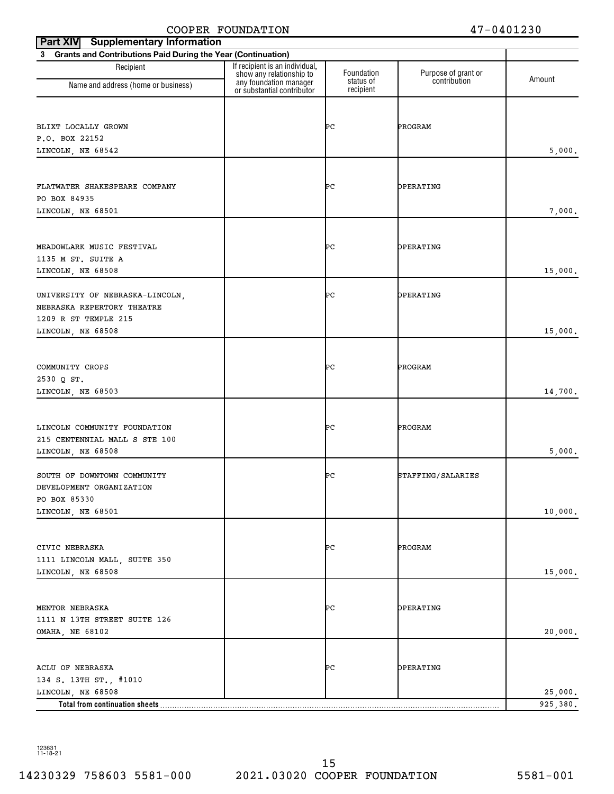| <b>Supplementary Information</b><br>Part XIV                   |                                                                                      |                         |                                     |          |
|----------------------------------------------------------------|--------------------------------------------------------------------------------------|-------------------------|-------------------------------------|----------|
| 3 Grants and Contributions Paid During the Year (Continuation) |                                                                                      |                         |                                     |          |
| Recipient                                                      | If recipient is an individual,<br>show any relationship to<br>any foundation manager | Foundation<br>status of | Purpose of grant or<br>contribution | Amount   |
| Name and address (home or business)                            | or substantial contributor                                                           | recipient               |                                     |          |
|                                                                |                                                                                      |                         |                                     |          |
| BLIXT LOCALLY GROWN                                            |                                                                                      | ÞС                      | PROGRAM                             |          |
| P.O. BOX 22152                                                 |                                                                                      |                         |                                     |          |
| LINCOLN, NE 68542                                              |                                                                                      |                         |                                     | 5,000.   |
|                                                                |                                                                                      |                         |                                     |          |
| FLATWATER SHAKESPEARE COMPANY                                  |                                                                                      | ÞС                      | OPERATING                           |          |
| PO BOX 84935                                                   |                                                                                      |                         |                                     |          |
| LINCOLN, NE 68501                                              |                                                                                      |                         |                                     | 7,000.   |
|                                                                |                                                                                      |                         |                                     |          |
| MEADOWLARK MUSIC FESTIVAL                                      |                                                                                      | ÞС                      | OPERATING                           |          |
| 1135 M ST. SUITE A                                             |                                                                                      |                         |                                     |          |
| LINCOLN, NE 68508                                              |                                                                                      |                         |                                     | 15,000.  |
| UNIVERSITY OF NEBRASKA-LINCOLN,                                |                                                                                      | ÞС                      | OPERATING                           |          |
| NEBRASKA REPERTORY THEATRE                                     |                                                                                      |                         |                                     |          |
| 1209 R ST TEMPLE 215                                           |                                                                                      |                         |                                     |          |
| LINCOLN, NE 68508                                              |                                                                                      |                         |                                     | 15,000.  |
|                                                                |                                                                                      |                         |                                     |          |
| COMMUNITY CROPS                                                |                                                                                      | ÞС                      | PROGRAM                             |          |
| 2530 Q ST.                                                     |                                                                                      |                         |                                     |          |
| LINCOLN, NE 68503                                              |                                                                                      |                         |                                     | 14,700.  |
|                                                                |                                                                                      |                         |                                     |          |
| LINCOLN COMMUNITY FOUNDATION                                   |                                                                                      | ÞС                      | PROGRAM                             |          |
| 215 CENTENNIAL MALL S STE 100                                  |                                                                                      |                         |                                     |          |
| LINCOLN, NE 68508                                              |                                                                                      |                         |                                     | 5,000.   |
| SOUTH OF DOWNTOWN COMMUNITY                                    |                                                                                      | ÞС                      | STAFFING/SALARIES                   |          |
| DEVELOPMENT ORGANIZATION                                       |                                                                                      |                         |                                     |          |
| PO BOX 85330                                                   |                                                                                      |                         |                                     |          |
| LINCOLN, NE 68501                                              |                                                                                      |                         |                                     | 10,000.  |
|                                                                |                                                                                      |                         |                                     |          |
| CIVIC NEBRASKA                                                 |                                                                                      | ÞС                      | PROGRAM                             |          |
| 1111 LINCOLN MALL, SUITE 350                                   |                                                                                      |                         |                                     |          |
| LINCOLN, NE 68508                                              |                                                                                      |                         |                                     | 15,000.  |
|                                                                |                                                                                      |                         |                                     |          |
| MENTOR NEBRASKA                                                |                                                                                      | ÞС                      | OPERATING                           |          |
| 1111 N 13TH STREET SUITE 126                                   |                                                                                      |                         |                                     |          |
| OMAHA, NE 68102                                                |                                                                                      |                         |                                     | 20,000.  |
|                                                                |                                                                                      |                         |                                     |          |
| ACLU OF NEBRASKA                                               |                                                                                      | ÞС                      | OPERATING                           |          |
| 134 S. 13TH ST., #1010                                         |                                                                                      |                         |                                     |          |
| LINCOLN, NE 68508                                              |                                                                                      |                         |                                     | 25,000.  |
| Total from continuation sheets                                 |                                                                                      |                         |                                     | 925,380. |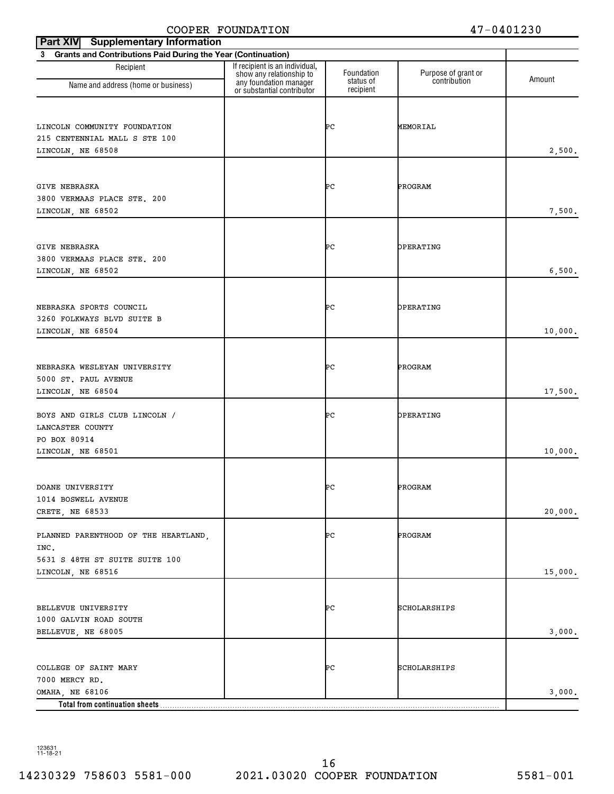| <b>Supplementary Information</b><br>Part XIV                   |                                                                                      |                         |                                     |         |
|----------------------------------------------------------------|--------------------------------------------------------------------------------------|-------------------------|-------------------------------------|---------|
| 3 Grants and Contributions Paid During the Year (Continuation) |                                                                                      |                         |                                     |         |
| Recipient                                                      | If recipient is an individual,<br>show any relationship to<br>any foundation manager | Foundation<br>status of | Purpose of grant or<br>contribution | Amount  |
| Name and address (home or business)                            | or substantial contributor                                                           | recipient               |                                     |         |
|                                                                |                                                                                      |                         |                                     |         |
| LINCOLN COMMUNITY FOUNDATION                                   |                                                                                      | ÞС                      | MEMORIAL                            |         |
| 215 CENTENNIAL MALL S STE 100                                  |                                                                                      |                         |                                     |         |
| LINCOLN, NE 68508                                              |                                                                                      |                         |                                     | 2,500.  |
|                                                                |                                                                                      |                         |                                     |         |
| GIVE NEBRASKA                                                  |                                                                                      | ÞС                      | PROGRAM                             |         |
| 3800 VERMAAS PLACE STE. 200                                    |                                                                                      |                         |                                     |         |
| LINCOLN, NE 68502                                              |                                                                                      |                         |                                     | 7,500.  |
|                                                                |                                                                                      |                         |                                     |         |
| GIVE NEBRASKA                                                  |                                                                                      | ÞС                      | OPERATING                           |         |
| 3800 VERMAAS PLACE STE. 200                                    |                                                                                      |                         |                                     | 6,500.  |
| LINCOLN, NE 68502                                              |                                                                                      |                         |                                     |         |
|                                                                |                                                                                      |                         |                                     |         |
| NEBRASKA SPORTS COUNCIL                                        |                                                                                      | ÞС                      | OPERATING                           |         |
| 3260 FOLKWAYS BLVD SUITE B                                     |                                                                                      |                         |                                     |         |
| LINCOLN, NE 68504                                              |                                                                                      |                         |                                     | 10,000. |
|                                                                |                                                                                      |                         |                                     |         |
| NEBRASKA WESLEYAN UNIVERSITY                                   |                                                                                      | ÞС                      | PROGRAM                             |         |
| 5000 ST. PAUL AVENUE<br>LINCOLN, NE 68504                      |                                                                                      |                         |                                     | 17,500. |
|                                                                |                                                                                      |                         |                                     |         |
| BOYS AND GIRLS CLUB LINCOLN /                                  |                                                                                      | ÞС                      | OPERATING                           |         |
| LANCASTER COUNTY                                               |                                                                                      |                         |                                     |         |
| PO BOX 80914                                                   |                                                                                      |                         |                                     |         |
| LINCOLN, NE 68501                                              |                                                                                      |                         |                                     | 10,000. |
|                                                                |                                                                                      |                         |                                     |         |
| DOANE UNIVERSITY                                               |                                                                                      | ÞС                      | PROGRAM                             |         |
| 1014 BOSWELL AVENUE<br>CRETE, NE 68533                         |                                                                                      |                         |                                     | 20,000. |
|                                                                |                                                                                      |                         |                                     |         |
| PLANNED PARENTHOOD OF THE HEARTLAND,                           |                                                                                      | ÞС                      | PROGRAM                             |         |
| INC.                                                           |                                                                                      |                         |                                     |         |
| 5631 S 48TH ST SUITE SUITE 100<br>LINCOLN, NE 68516            |                                                                                      |                         |                                     | 15,000. |
|                                                                |                                                                                      |                         |                                     |         |
|                                                                |                                                                                      |                         |                                     |         |
| BELLEVUE UNIVERSITY                                            |                                                                                      | ÞС                      | SCHOLARSHIPS                        |         |
| 1000 GALVIN ROAD SOUTH<br>BELLEVUE, NE 68005                   |                                                                                      |                         |                                     | 3,000.  |
|                                                                |                                                                                      |                         |                                     |         |
|                                                                |                                                                                      |                         |                                     |         |
| COLLEGE OF SAINT MARY<br>7000 MERCY RD.                        |                                                                                      | ÞС                      | SCHOLARSHIPS                        |         |
| OMAHA, NE 68106                                                |                                                                                      |                         |                                     | 3,000.  |
| Total from continuation sheets                                 |                                                                                      |                         |                                     |         |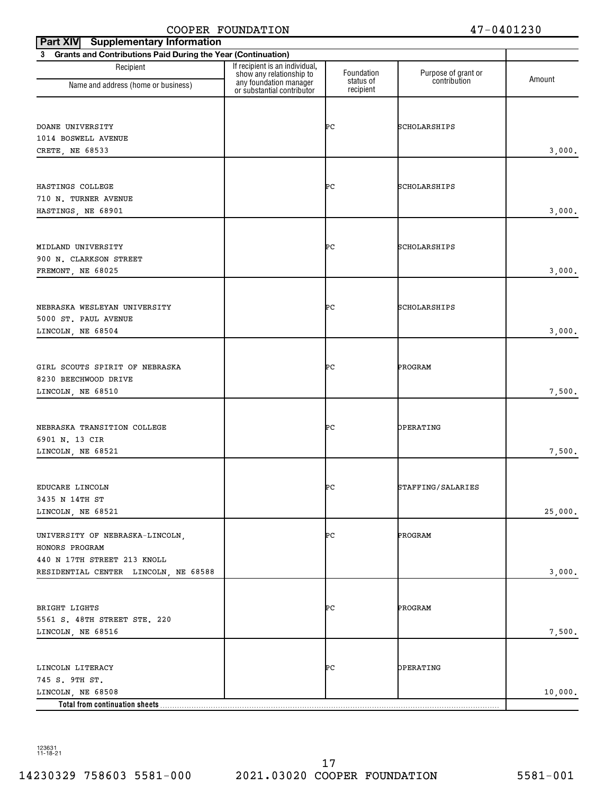| <b>Part XIV</b><br><b>Supplementary Information</b>            |                                                            |                         |                                     |         |
|----------------------------------------------------------------|------------------------------------------------------------|-------------------------|-------------------------------------|---------|
| 3 Grants and Contributions Paid During the Year (Continuation) |                                                            |                         |                                     |         |
| Recipient                                                      | If recipient is an individual,<br>show any relationship to | Foundation<br>status of | Purpose of grant or<br>contribution | Amount  |
| Name and address (home or business)                            | any foundation manager<br>or substantial contributor       | recipient               |                                     |         |
|                                                                |                                                            |                         |                                     |         |
| DOANE UNIVERSITY                                               |                                                            | ÞС                      | SCHOLARSHIPS                        |         |
| 1014 BOSWELL AVENUE                                            |                                                            |                         |                                     |         |
| CRETE, NE 68533                                                |                                                            |                         |                                     | 3,000.  |
|                                                                |                                                            |                         |                                     |         |
| HASTINGS COLLEGE                                               |                                                            | ÞС                      | SCHOLARSHIPS                        |         |
| 710 N. TURNER AVENUE                                           |                                                            |                         |                                     |         |
| HASTINGS, NE 68901                                             |                                                            |                         |                                     | 3,000.  |
|                                                                |                                                            |                         |                                     |         |
| MIDLAND UNIVERSITY                                             |                                                            | ÞС                      | SCHOLARSHIPS                        |         |
| 900 N. CLARKSON STREET                                         |                                                            |                         |                                     |         |
| FREMONT, NE 68025                                              |                                                            |                         |                                     | 3,000.  |
|                                                                |                                                            |                         |                                     |         |
| NEBRASKA WESLEYAN UNIVERSITY                                   |                                                            | ÞС                      | SCHOLARSHIPS                        |         |
| 5000 ST. PAUL AVENUE                                           |                                                            |                         |                                     |         |
| LINCOLN, NE 68504                                              |                                                            |                         |                                     | 3,000.  |
|                                                                |                                                            |                         |                                     |         |
| GIRL SCOUTS SPIRIT OF NEBRASKA                                 |                                                            | ÞС                      | PROGRAM                             |         |
| 8230 BEECHWOOD DRIVE                                           |                                                            |                         |                                     | 7,500.  |
| LINCOLN, NE 68510                                              |                                                            |                         |                                     |         |
|                                                                |                                                            |                         |                                     |         |
| NEBRASKA TRANSITION COLLEGE                                    |                                                            | ÞС                      | OPERATING                           |         |
| 6901 N. 13 CIR<br>LINCOLN, NE 68521                            |                                                            |                         |                                     | 7,500.  |
|                                                                |                                                            |                         |                                     |         |
|                                                                |                                                            |                         |                                     |         |
| EDUCARE LINCOLN<br>3435 N 14TH ST                              |                                                            | ÞС                      | STAFFING/SALARIES                   |         |
| LINCOLN, NE 68521                                              |                                                            |                         |                                     | 25,000. |
|                                                                |                                                            |                         |                                     |         |
| UNIVERSITY OF NEBRASKA-LINCOLN,                                |                                                            | ÞС                      | PROGRAM                             |         |
| HONORS PROGRAM<br>440 N 17TH STREET 213 KNOLL                  |                                                            |                         |                                     |         |
| RESIDENTIAL CENTER LINCOLN, NE 68588                           |                                                            |                         |                                     | 3,000.  |
|                                                                |                                                            |                         |                                     |         |
|                                                                |                                                            |                         |                                     |         |
| BRIGHT LIGHTS<br>5561 S. 48TH STREET STE. 220                  |                                                            | ÞС                      | PROGRAM                             |         |
| LINCOLN, NE 68516                                              |                                                            |                         |                                     | 7,500.  |
|                                                                |                                                            |                         |                                     |         |
| LINCOLN LITERACY                                               |                                                            | ÞС                      | OPERATING                           |         |
| 745 S. 9TH ST.                                                 |                                                            |                         |                                     |         |
| LINCOLN, NE 68508                                              |                                                            |                         |                                     | 10,000. |
| Total from continuation sheets                                 |                                                            |                         |                                     |         |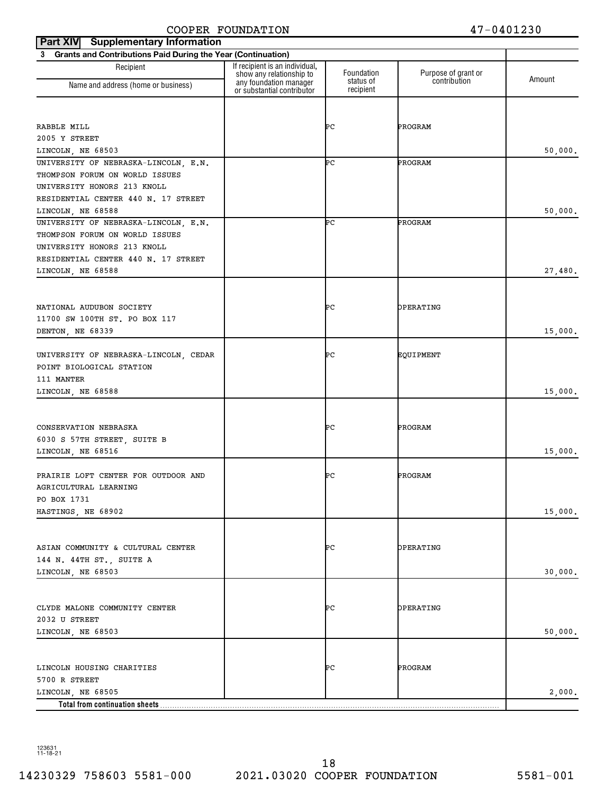| <b>Supplementary Information</b><br><b>Part XIV</b>                    |                                                                                      |                         |                                     |         |
|------------------------------------------------------------------------|--------------------------------------------------------------------------------------|-------------------------|-------------------------------------|---------|
| 3 Grants and Contributions Paid During the Year (Continuation)         |                                                                                      |                         |                                     |         |
| Recipient<br>Name and address (home or business)                       | If recipient is an individual,<br>show any relationship to<br>any foundation manager | Foundation<br>status of | Purpose of grant or<br>contribution | Amount  |
|                                                                        | or substantial contributor                                                           | recipient               |                                     |         |
|                                                                        |                                                                                      |                         |                                     |         |
| RABBLE MILL                                                            |                                                                                      | ÞС                      | PROGRAM                             |         |
| 2005 Y STREET                                                          |                                                                                      |                         |                                     |         |
| LINCOLN, NE 68503                                                      |                                                                                      |                         |                                     | 50,000. |
| UNIVERSITY OF NEBRASKA-LINCOLN, E.N.<br>THOMPSON FORUM ON WORLD ISSUES |                                                                                      | ÞС                      | PROGRAM                             |         |
| UNIVERSITY HONORS 213 KNOLL                                            |                                                                                      |                         |                                     |         |
| RESIDENTIAL CENTER 440 N. 17 STREET                                    |                                                                                      |                         |                                     |         |
| LINCOLN, NE 68588                                                      |                                                                                      |                         |                                     | 50,000. |
| UNIVERSITY OF NEBRASKA-LINCOLN, E.N.                                   |                                                                                      | ÞС                      | PROGRAM                             |         |
| THOMPSON FORUM ON WORLD ISSUES                                         |                                                                                      |                         |                                     |         |
| UNIVERSITY HONORS 213 KNOLL                                            |                                                                                      |                         |                                     |         |
| RESIDENTIAL CENTER 440 N. 17 STREET                                    |                                                                                      |                         |                                     |         |
| LINCOLN, NE 68588                                                      |                                                                                      |                         |                                     | 27,480. |
|                                                                        |                                                                                      |                         |                                     |         |
| NATIONAL AUDUBON SOCIETY                                               |                                                                                      | ÞС                      | OPERATING                           |         |
| 11700 SW 100TH ST. PO BOX 117                                          |                                                                                      |                         |                                     |         |
| DENTON, NE 68339                                                       |                                                                                      |                         |                                     | 15,000. |
|                                                                        |                                                                                      |                         |                                     |         |
| UNIVERSITY OF NEBRASKA-LINCOLN, CEDAR                                  |                                                                                      | ÞС                      | EQUIPMENT                           |         |
| POINT BIOLOGICAL STATION<br>111 MANTER                                 |                                                                                      |                         |                                     |         |
| LINCOLN, NE 68588                                                      |                                                                                      |                         |                                     | 15,000. |
|                                                                        |                                                                                      |                         |                                     |         |
|                                                                        |                                                                                      |                         |                                     |         |
| CONSERVATION NEBRASKA                                                  |                                                                                      | ÞС                      | PROGRAM                             |         |
| 6030 S 57TH STREET, SUITE B                                            |                                                                                      |                         |                                     |         |
| LINCOLN, NE 68516                                                      |                                                                                      |                         |                                     | 15,000. |
| PRAIRIE LOFT CENTER FOR OUTDOOR AND                                    |                                                                                      | ÞС                      | PROGRAM                             |         |
| AGRICULTURAL LEARNING                                                  |                                                                                      |                         |                                     |         |
| PO BOX 1731                                                            |                                                                                      |                         |                                     |         |
| HASTINGS, NE 68902                                                     |                                                                                      |                         |                                     | 15,000. |
|                                                                        |                                                                                      |                         |                                     |         |
|                                                                        |                                                                                      |                         |                                     |         |
| ASIAN COMMUNITY & CULTURAL CENTER<br>144 N. 44TH ST., SUITE A          |                                                                                      | ÞС                      | OPERATING                           |         |
| LINCOLN, NE 68503                                                      |                                                                                      |                         |                                     | 30,000. |
|                                                                        |                                                                                      |                         |                                     |         |
|                                                                        |                                                                                      |                         |                                     |         |
| CLYDE MALONE COMMUNITY CENTER                                          |                                                                                      | ÞС                      | OPERATING                           |         |
| 2032 U STREET                                                          |                                                                                      |                         |                                     |         |
| LINCOLN, NE 68503                                                      |                                                                                      |                         |                                     | 50,000. |
|                                                                        |                                                                                      |                         |                                     |         |
| LINCOLN HOUSING CHARITIES                                              |                                                                                      | ÞС                      | PROGRAM                             |         |
| 5700 R STREET                                                          |                                                                                      |                         |                                     |         |
| LINCOLN, NE 68505                                                      |                                                                                      |                         |                                     | 2,000.  |
| Total from continuation sheets                                         |                                                                                      |                         |                                     |         |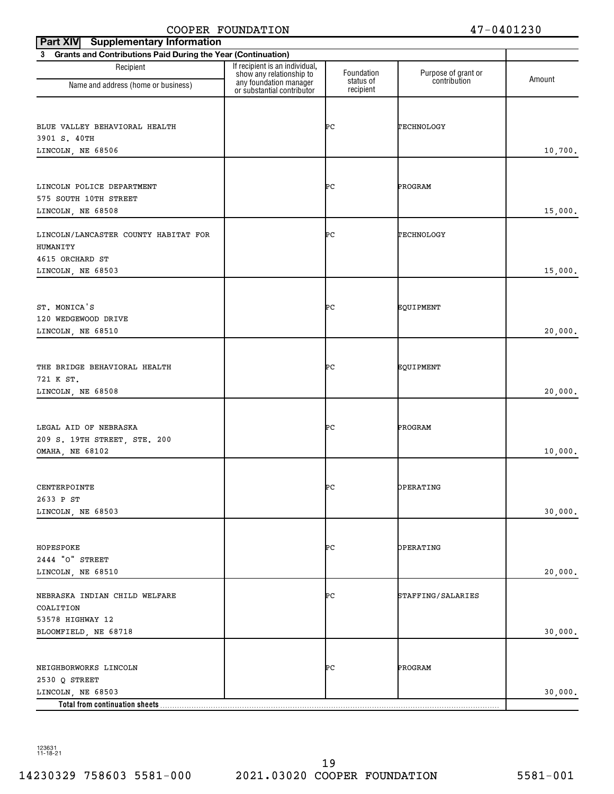| <b>Supplementary Information</b><br><b>Part XIV</b>            |                                                                                      |                         |                                     |         |
|----------------------------------------------------------------|--------------------------------------------------------------------------------------|-------------------------|-------------------------------------|---------|
| 3 Grants and Contributions Paid During the Year (Continuation) |                                                                                      |                         |                                     |         |
| Recipient                                                      | If recipient is an individual,<br>show any relationship to<br>any foundation manager | Foundation<br>status of | Purpose of grant or<br>contribution | Amount  |
| Name and address (home or business)                            | or substantial contributor                                                           | recipient               |                                     |         |
|                                                                |                                                                                      |                         |                                     |         |
| BLUE VALLEY BEHAVIORAL HEALTH                                  |                                                                                      | ÞС                      | TECHNOLOGY                          |         |
| 3901 S. 40TH                                                   |                                                                                      |                         |                                     |         |
| LINCOLN, NE 68506                                              |                                                                                      |                         |                                     | 10,700. |
|                                                                |                                                                                      |                         |                                     |         |
| LINCOLN POLICE DEPARTMENT                                      |                                                                                      | ÞС                      | PROGRAM                             |         |
| 575 SOUTH 10TH STREET                                          |                                                                                      |                         |                                     | 15,000. |
| LINCOLN, NE 68508                                              |                                                                                      |                         |                                     |         |
| LINCOLN/LANCASTER COUNTY HABITAT FOR                           |                                                                                      | ÞС                      | TECHNOLOGY                          |         |
| HUMANITY                                                       |                                                                                      |                         |                                     |         |
| 4615 ORCHARD ST                                                |                                                                                      |                         |                                     |         |
| LINCOLN, NE 68503                                              |                                                                                      |                         |                                     | 15,000. |
|                                                                |                                                                                      |                         |                                     |         |
| ST. MONICA'S                                                   |                                                                                      | ÞС                      | EQUIPMENT                           |         |
| 120 WEDGEWOOD DRIVE                                            |                                                                                      |                         |                                     |         |
| LINCOLN, NE 68510                                              |                                                                                      |                         |                                     | 20,000. |
|                                                                |                                                                                      |                         |                                     |         |
| THE BRIDGE BEHAVIORAL HEALTH                                   |                                                                                      | ÞС                      | EQUIPMENT                           |         |
| 721 K ST.                                                      |                                                                                      |                         |                                     |         |
| LINCOLN, NE 68508                                              |                                                                                      |                         |                                     | 20,000. |
|                                                                |                                                                                      |                         |                                     |         |
| LEGAL AID OF NEBRASKA                                          |                                                                                      | ÞС                      | PROGRAM                             |         |
| 209 S. 19TH STREET, STE. 200                                   |                                                                                      |                         |                                     |         |
| OMAHA, NE 68102                                                |                                                                                      |                         |                                     | 10,000. |
|                                                                |                                                                                      |                         |                                     |         |
| CENTERPOINTE                                                   |                                                                                      | ÞС                      | OPERATING                           |         |
| 2633 P ST                                                      |                                                                                      |                         |                                     |         |
| LINCOLN, NE 68503                                              |                                                                                      |                         |                                     | 30,000. |
|                                                                |                                                                                      |                         |                                     |         |
| HOPESPOKE                                                      |                                                                                      | ÞС                      | <b>OPERATING</b>                    |         |
| 2444 "O" STREET                                                |                                                                                      |                         |                                     |         |
| LINCOLN, NE 68510                                              |                                                                                      |                         |                                     | 20,000. |
| NEBRASKA INDIAN CHILD WELFARE                                  |                                                                                      | ÞС                      | STAFFING/SALARIES                   |         |
| COALITION                                                      |                                                                                      |                         |                                     |         |
| 53578 HIGHWAY 12                                               |                                                                                      |                         |                                     |         |
| BLOOMFIELD, NE 68718                                           |                                                                                      |                         |                                     | 30,000. |
|                                                                |                                                                                      |                         |                                     |         |
| NEIGHBORWORKS LINCOLN                                          |                                                                                      | ÞС                      | PROGRAM                             |         |
| 2530 Q STREET                                                  |                                                                                      |                         |                                     |         |
| LINCOLN, NE 68503<br>Total from continuation sheets            |                                                                                      |                         |                                     | 30,000. |
|                                                                |                                                                                      |                         |                                     |         |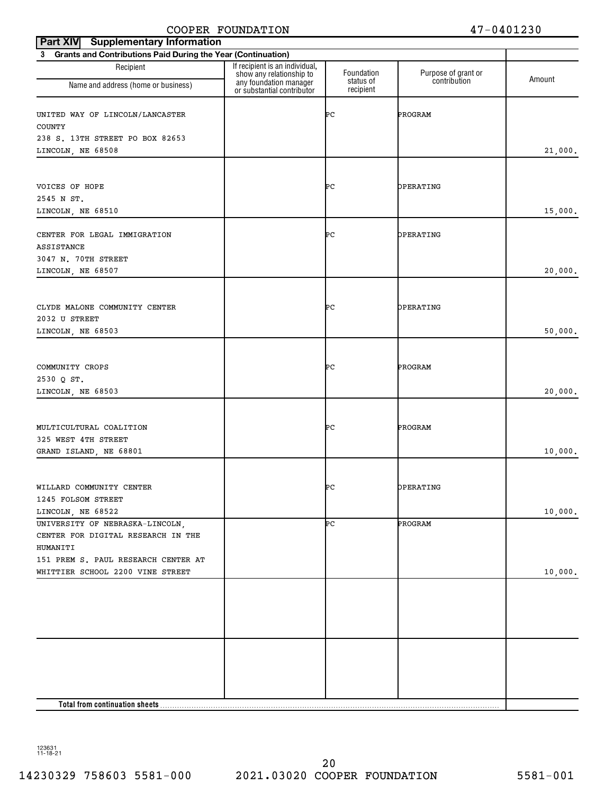| <b>Supplementary Information</b><br><b>Part XIV</b>            |                                                                                                                    |                         |                                     |         |
|----------------------------------------------------------------|--------------------------------------------------------------------------------------------------------------------|-------------------------|-------------------------------------|---------|
| 3 Grants and Contributions Paid During the Year (Continuation) |                                                                                                                    |                         |                                     |         |
| Recipient<br>Name and address (home or business)               | If recipient is an individual,<br>show any relationship to<br>any foundation manager<br>or substantial contributor | Foundation<br>status of | Purpose of grant or<br>contribution | Amount  |
|                                                                |                                                                                                                    | recipient               |                                     |         |
| UNITED WAY OF LINCOLN/LANCASTER<br><b>COUNTY</b>               |                                                                                                                    | ÞС                      | PROGRAM                             |         |
| 238 S. 13TH STREET PO BOX 82653                                |                                                                                                                    |                         |                                     |         |
| LINCOLN, NE 68508                                              |                                                                                                                    |                         |                                     | 21,000. |
|                                                                |                                                                                                                    |                         |                                     |         |
|                                                                |                                                                                                                    |                         |                                     |         |
| VOICES OF HOPE                                                 |                                                                                                                    | ÞС                      | OPERATING                           |         |
| 2545 N ST.                                                     |                                                                                                                    |                         |                                     |         |
| LINCOLN, NE 68510                                              |                                                                                                                    |                         |                                     | 15,000. |
| CENTER FOR LEGAL IMMIGRATION                                   |                                                                                                                    | ÞС                      | OPERATING                           |         |
| ASSISTANCE                                                     |                                                                                                                    |                         |                                     |         |
| 3047 N. 70TH STREET                                            |                                                                                                                    |                         |                                     |         |
| LINCOLN, NE 68507                                              |                                                                                                                    |                         |                                     | 20,000. |
|                                                                |                                                                                                                    |                         |                                     |         |
| CLYDE MALONE COMMUNITY CENTER                                  |                                                                                                                    |                         | OPERATING                           |         |
| 2032 U STREET                                                  |                                                                                                                    | ÞС                      |                                     |         |
| LINCOLN, NE 68503                                              |                                                                                                                    |                         |                                     | 50,000. |
|                                                                |                                                                                                                    |                         |                                     |         |
|                                                                |                                                                                                                    |                         |                                     |         |
| COMMUNITY CROPS                                                |                                                                                                                    | ÞС                      | PROGRAM                             |         |
| 2530 Q ST.                                                     |                                                                                                                    |                         |                                     |         |
| LINCOLN, NE 68503                                              |                                                                                                                    |                         |                                     | 20,000. |
|                                                                |                                                                                                                    |                         |                                     |         |
| MULTICULTURAL COALITION                                        |                                                                                                                    | ÞС                      | PROGRAM                             |         |
| 325 WEST 4TH STREET                                            |                                                                                                                    |                         |                                     |         |
| GRAND ISLAND, NE 68801                                         |                                                                                                                    |                         |                                     | 10,000. |
|                                                                |                                                                                                                    |                         |                                     |         |
| WILLARD COMMUNITY CENTER                                       |                                                                                                                    | ÞС                      | OPERATING                           |         |
| 1245 FOLSOM STREET                                             |                                                                                                                    |                         |                                     |         |
| LINCOLN, NE 68522                                              |                                                                                                                    |                         |                                     | 10,000. |
| UNIVERSITY OF NEBRASKA-LINCOLN,                                |                                                                                                                    | ÞС                      | PROGRAM                             |         |
| CENTER FOR DIGITAL RESEARCH IN THE                             |                                                                                                                    |                         |                                     |         |
| HUMANITI                                                       |                                                                                                                    |                         |                                     |         |
| 151 PREM S. PAUL RESEARCH CENTER AT                            |                                                                                                                    |                         |                                     |         |
| WHITTIER SCHOOL 2200 VINE STREET                               |                                                                                                                    |                         |                                     | 10,000. |
|                                                                |                                                                                                                    |                         |                                     |         |
|                                                                |                                                                                                                    |                         |                                     |         |
|                                                                |                                                                                                                    |                         |                                     |         |
|                                                                |                                                                                                                    |                         |                                     |         |
|                                                                |                                                                                                                    |                         |                                     |         |
|                                                                |                                                                                                                    |                         |                                     |         |
|                                                                |                                                                                                                    |                         |                                     |         |
|                                                                |                                                                                                                    |                         |                                     |         |
|                                                                |                                                                                                                    |                         |                                     |         |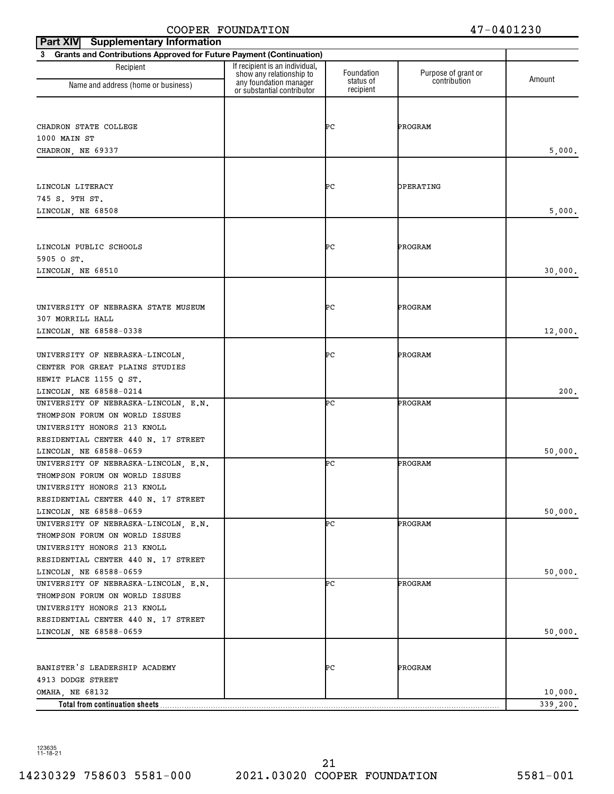| <b>Supplementary Information</b><br><b>Part XIV</b>                      |                                                            |                         |                                     |          |
|--------------------------------------------------------------------------|------------------------------------------------------------|-------------------------|-------------------------------------|----------|
| Grants and Contributions Approved for Future Payment (Continuation)<br>3 |                                                            |                         |                                     |          |
| Recipient                                                                | If recipient is an individual,<br>show any relationship to | Foundation<br>status of | Purpose of grant or<br>contribution | Amount   |
| Name and address (home or business)                                      | any foundation manager<br>or substantial contributor       | recipient               |                                     |          |
|                                                                          |                                                            |                         |                                     |          |
| CHADRON STATE COLLEGE                                                    |                                                            | ÞС                      | PROGRAM                             |          |
| 1000 MAIN ST                                                             |                                                            |                         |                                     |          |
| CHADRON, NE 69337                                                        |                                                            |                         |                                     | 5,000.   |
|                                                                          |                                                            |                         |                                     |          |
|                                                                          |                                                            |                         |                                     |          |
| LINCOLN LITERACY                                                         |                                                            | ÞС                      | OPERATING                           |          |
| 745 S. 9TH ST.                                                           |                                                            |                         |                                     |          |
| LINCOLN, NE 68508                                                        |                                                            |                         |                                     | 5,000.   |
|                                                                          |                                                            |                         |                                     |          |
| LINCOLN PUBLIC SCHOOLS                                                   |                                                            | ÞС                      | PROGRAM                             |          |
| 5905 O ST.                                                               |                                                            |                         |                                     |          |
| LINCOLN, NE 68510                                                        |                                                            |                         |                                     | 30,000.  |
|                                                                          |                                                            |                         |                                     |          |
| UNIVERSITY OF NEBRASKA STATE MUSEUM                                      |                                                            | ÞС                      | PROGRAM                             |          |
| 307 MORRILL HALL                                                         |                                                            |                         |                                     |          |
| LINCOLN, NE 68588-0338                                                   |                                                            |                         |                                     | 12,000.  |
|                                                                          |                                                            |                         |                                     |          |
| UNIVERSITY OF NEBRASKA-LINCOLN,                                          |                                                            | ÞС                      | PROGRAM                             |          |
| CENTER FOR GREAT PLAINS STUDIES                                          |                                                            |                         |                                     |          |
| HEWIT PLACE 1155 Q ST.                                                   |                                                            |                         |                                     |          |
| LINCOLN, NE 68588-0214                                                   |                                                            |                         |                                     | 200.     |
| UNIVERSITY OF NEBRASKA-LINCOLN, E.N.                                     |                                                            | ÞС                      | PROGRAM                             |          |
| THOMPSON FORUM ON WORLD ISSUES                                           |                                                            |                         |                                     |          |
| UNIVERSITY HONORS 213 KNOLL                                              |                                                            |                         |                                     |          |
| RESIDENTIAL CENTER 440 N. 17 STREET                                      |                                                            |                         |                                     |          |
| LINCOLN, NE 68588-0659                                                   |                                                            |                         |                                     | 50,000.  |
| UNIVERSITY OF NEBRASKA-LINCOLN, E.N.                                     |                                                            | ÞС                      | PROGRAM                             |          |
| THOMPSON FORUM ON WORLD ISSUES                                           |                                                            |                         |                                     |          |
| UNIVERSITY HONORS 213 KNOLL                                              |                                                            |                         |                                     |          |
| RESIDENTIAL CENTER 440 N. 17 STREET                                      |                                                            |                         |                                     |          |
| LINCOLN, NE 68588-0659                                                   |                                                            |                         |                                     | 50,000.  |
| UNIVERSITY OF NEBRASKA-LINCOLN, E.N.                                     |                                                            | ÞС                      | PROGRAM                             |          |
| THOMPSON FORUM ON WORLD ISSUES                                           |                                                            |                         |                                     |          |
| UNIVERSITY HONORS 213 KNOLL                                              |                                                            |                         |                                     |          |
| RESIDENTIAL CENTER 440 N. 17 STREET                                      |                                                            |                         |                                     |          |
| LINCOLN, NE 68588-0659                                                   |                                                            |                         |                                     | 50,000.  |
| UNIVERSITY OF NEBRASKA-LINCOLN, E.N.                                     |                                                            | ÞС                      | PROGRAM                             |          |
| THOMPSON FORUM ON WORLD ISSUES                                           |                                                            |                         |                                     |          |
| UNIVERSITY HONORS 213 KNOLL                                              |                                                            |                         |                                     |          |
| RESIDENTIAL CENTER 440 N. 17 STREET                                      |                                                            |                         |                                     |          |
| LINCOLN, NE 68588-0659                                                   |                                                            |                         |                                     | 50,000.  |
|                                                                          |                                                            |                         |                                     |          |
| BANISTER'S LEADERSHIP ACADEMY                                            |                                                            | ÞС                      | PROGRAM                             |          |
| 4913 DODGE STREET                                                        |                                                            |                         |                                     |          |
| OMAHA, NE 68132                                                          |                                                            |                         |                                     | 10,000.  |
| Total from continuation sheets                                           |                                                            |                         |                                     | 339,200. |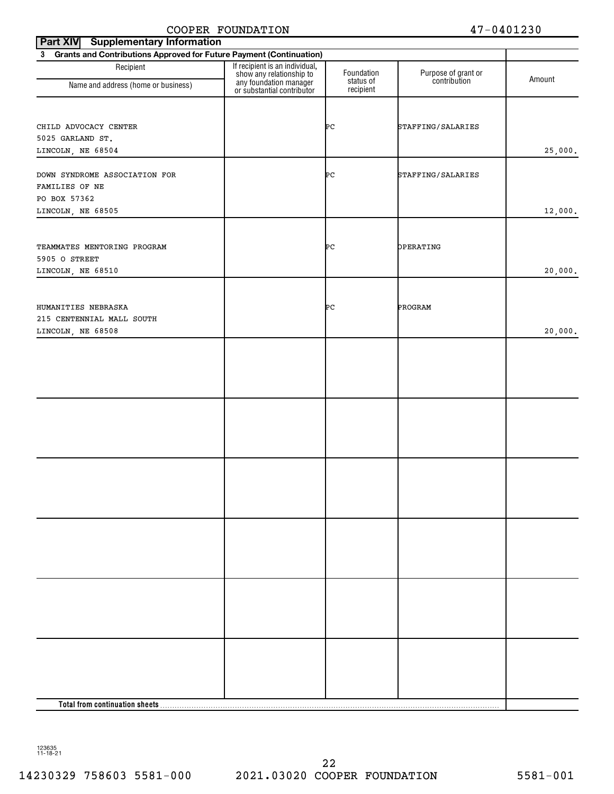| Part XIV Supplementary Information               |                                                                       |                         |                                     |         |  |  |  |  |  |  |
|--------------------------------------------------|-----------------------------------------------------------------------|-------------------------|-------------------------------------|---------|--|--|--|--|--|--|
|                                                  | 3 Grants and Contributions Approved for Future Payment (Continuation) |                         |                                     |         |  |  |  |  |  |  |
| Recipient<br>Name and address (home or business) | If recipient is an individual,<br>show any relationship to            | Foundation<br>status of | Purpose of grant or<br>contribution | Amount  |  |  |  |  |  |  |
|                                                  | any foundation manager<br>or substantial contributor                  | recipient               |                                     |         |  |  |  |  |  |  |
|                                                  |                                                                       |                         |                                     |         |  |  |  |  |  |  |
|                                                  |                                                                       |                         |                                     |         |  |  |  |  |  |  |
| CHILD ADVOCACY CENTER<br>5025 GARLAND ST.        |                                                                       | ÞС                      | STAFFING/SALARIES                   |         |  |  |  |  |  |  |
| LINCOLN, NE 68504                                |                                                                       |                         |                                     | 25,000. |  |  |  |  |  |  |
|                                                  |                                                                       |                         |                                     |         |  |  |  |  |  |  |
| DOWN SYNDROME ASSOCIATION FOR                    |                                                                       | ÞС                      | STAFFING/SALARIES                   |         |  |  |  |  |  |  |
| FAMILIES OF NE                                   |                                                                       |                         |                                     |         |  |  |  |  |  |  |
| PO BOX 57362                                     |                                                                       |                         |                                     |         |  |  |  |  |  |  |
| LINCOLN, NE 68505                                |                                                                       |                         |                                     | 12,000. |  |  |  |  |  |  |
|                                                  |                                                                       |                         |                                     |         |  |  |  |  |  |  |
| TEAMMATES MENTORING PROGRAM                      |                                                                       | ÞС                      | OPERATING                           |         |  |  |  |  |  |  |
| 5905 O STREET                                    |                                                                       |                         |                                     |         |  |  |  |  |  |  |
| LINCOLN, NE 68510                                |                                                                       |                         |                                     | 20,000. |  |  |  |  |  |  |
|                                                  |                                                                       |                         |                                     |         |  |  |  |  |  |  |
|                                                  |                                                                       |                         |                                     |         |  |  |  |  |  |  |
| HUMANITIES NEBRASKA                              |                                                                       | ÞС                      | PROGRAM                             |         |  |  |  |  |  |  |
| 215 CENTENNIAL MALL SOUTH                        |                                                                       |                         |                                     |         |  |  |  |  |  |  |
| LINCOLN, NE 68508                                |                                                                       |                         |                                     | 20,000. |  |  |  |  |  |  |
|                                                  |                                                                       |                         |                                     |         |  |  |  |  |  |  |
|                                                  |                                                                       |                         |                                     |         |  |  |  |  |  |  |
|                                                  |                                                                       |                         |                                     |         |  |  |  |  |  |  |
|                                                  |                                                                       |                         |                                     |         |  |  |  |  |  |  |
|                                                  |                                                                       |                         |                                     |         |  |  |  |  |  |  |
|                                                  |                                                                       |                         |                                     |         |  |  |  |  |  |  |
|                                                  |                                                                       |                         |                                     |         |  |  |  |  |  |  |
|                                                  |                                                                       |                         |                                     |         |  |  |  |  |  |  |
|                                                  |                                                                       |                         |                                     |         |  |  |  |  |  |  |
|                                                  |                                                                       |                         |                                     |         |  |  |  |  |  |  |
|                                                  |                                                                       |                         |                                     |         |  |  |  |  |  |  |
|                                                  |                                                                       |                         |                                     |         |  |  |  |  |  |  |
|                                                  |                                                                       |                         |                                     |         |  |  |  |  |  |  |
|                                                  |                                                                       |                         |                                     |         |  |  |  |  |  |  |
|                                                  |                                                                       |                         |                                     |         |  |  |  |  |  |  |
|                                                  |                                                                       |                         |                                     |         |  |  |  |  |  |  |
|                                                  |                                                                       |                         |                                     |         |  |  |  |  |  |  |
|                                                  |                                                                       |                         |                                     |         |  |  |  |  |  |  |
|                                                  |                                                                       |                         |                                     |         |  |  |  |  |  |  |
|                                                  |                                                                       |                         |                                     |         |  |  |  |  |  |  |
|                                                  |                                                                       |                         |                                     |         |  |  |  |  |  |  |
|                                                  |                                                                       |                         |                                     |         |  |  |  |  |  |  |
|                                                  |                                                                       |                         |                                     |         |  |  |  |  |  |  |
|                                                  |                                                                       |                         |                                     |         |  |  |  |  |  |  |
|                                                  |                                                                       |                         |                                     |         |  |  |  |  |  |  |
|                                                  |                                                                       |                         |                                     |         |  |  |  |  |  |  |
|                                                  |                                                                       |                         |                                     |         |  |  |  |  |  |  |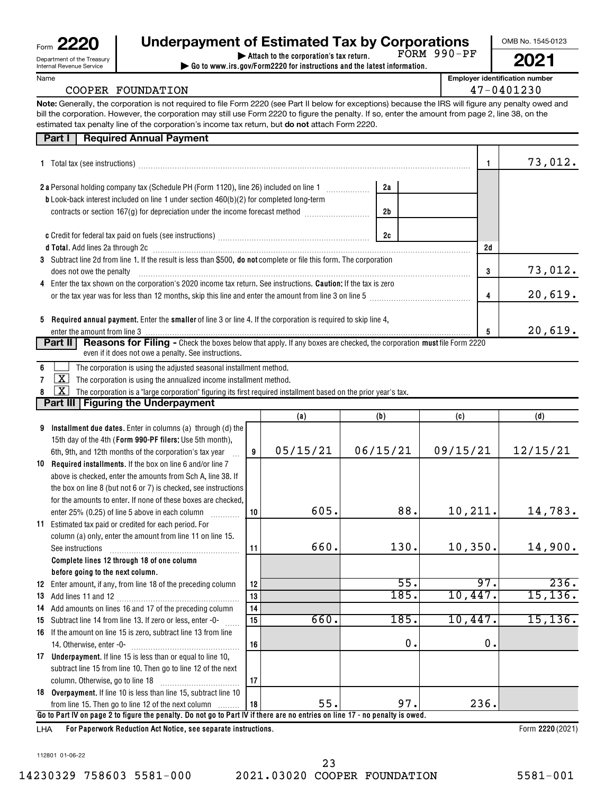| Form                     | 2220<br>L                  |  |  |  |  |  |
|--------------------------|----------------------------|--|--|--|--|--|
|                          | Department of the Treasury |  |  |  |  |  |
| Internal Revenue Service |                            |  |  |  |  |  |

Name

### **Eom 2220 Combind State Underpayment of Estimated Tax by Corporations COMB No. 1545-0123 | Attach to the corporation's tax return.**

**| Go to www.irs.gov/Form2220 for instructions and the latest information.** FORM 990-PF

**2021**

**Employer identification number**

| COOPER FOUNDATION | 47-0401230 |
|-------------------|------------|
|                   |            |

**Note:** Generally, the corporation is not required to file Form 2220 (see Part II below for exceptions) because the IRS will figure any penalty owed and estimated tax penalty line of the corporation's income tax return, but **do not** attach Form 2220. bill the corporation. However, the corporation may still use Form 2220 to figure the penalty. If so, enter the amount from page 2, line 38, on the

|   | <b>Required Annual Payment</b><br>Part I                                                                                                 |    |          |          |               |               |          |
|---|------------------------------------------------------------------------------------------------------------------------------------------|----|----------|----------|---------------|---------------|----------|
|   |                                                                                                                                          |    |          |          |               | 1             | 73,012.  |
|   |                                                                                                                                          |    |          |          | 2a            |               |          |
|   | b Look-back interest included on line 1 under section 460(b)(2) for completed long-term                                                  |    |          |          |               |               |          |
|   | contracts or section 167(g) for depreciation under the income forecast method <i>manual</i> contracts or section 167(g)                  |    |          | 2b       |               |               |          |
|   |                                                                                                                                          |    |          |          |               |               |          |
|   |                                                                                                                                          |    |          | 2c       |               |               |          |
|   | d Total. Add lines 2a through 2c [11] Martin Martin Martin Martin Martin Martin Martin Martin Martin Martin Ma                           |    |          |          |               | 2d            |          |
|   | 3 Subtract line 2d from line 1. If the result is less than \$500, do not complete or file this form. The corporation                     |    |          |          |               |               |          |
|   | does not owe the penalty                                                                                                                 |    |          |          |               | 3             | 73,012.  |
| 4 | Enter the tax shown on the corporation's 2020 income tax return. See instructions. Caution: If the tax is zero                           |    |          |          |               |               |          |
|   | or the tax year was for less than 12 months, skip this line and enter the amount from line 3 on line 5                                   |    |          |          |               | 4             | 20,619.  |
|   |                                                                                                                                          |    |          |          |               |               |          |
|   | 5 Required annual payment. Enter the smaller of line 3 or line 4. If the corporation is required to skip line 4,                         |    |          |          |               |               |          |
|   | enter the amount from line 3 <b>manual contract and contract the amount of the amount from line 3</b>                                    |    |          |          |               | 5             | 20,619.  |
|   | <b>Reasons for Filing -</b> Check the boxes below that apply. If any boxes are checked, the corporation must file Form 2220<br>Part II   |    |          |          |               |               |          |
|   | even if it does not owe a penalty. See instructions.                                                                                     |    |          |          |               |               |          |
|   | The corporation is using the adjusted seasonal installment method.                                                                       |    |          |          |               |               |          |
|   | $\mathbf{X}$<br>The corporation is using the annualized income installment method.                                                       |    |          |          |               |               |          |
|   | $\overline{\text{X}}$<br>The corporation is a "large corporation" figuring its first required installment based on the prior year's tax. |    |          |          |               |               |          |
|   | <b>Part III Figuring the Underpayment</b>                                                                                                |    |          |          |               |               |          |
|   |                                                                                                                                          |    | (a)      | (b)      |               | (c)           | (d)      |
| 9 | Installment due dates. Enter in columns (a) through (d) the                                                                              |    |          |          |               |               |          |
|   | 15th day of the 4th (Form 990-PF filers: Use 5th month),                                                                                 |    |          |          |               |               |          |
|   | 6th, 9th, and 12th months of the corporation's tax year                                                                                  | 9  | 05/15/21 | 06/15/21 |               | 09/15/21      | 12/15/21 |
|   | 10 Required installments. If the box on line 6 and/or line 7                                                                             |    |          |          |               |               |          |
|   | above is checked, enter the amounts from Sch A, line 38. If                                                                              |    |          |          |               |               |          |
|   | the box on line 8 (but not 6 or 7) is checked, see instructions                                                                          |    |          |          |               |               |          |
|   | for the amounts to enter. If none of these boxes are checked,                                                                            |    |          |          |               |               |          |
|   |                                                                                                                                          | 10 | 605.     |          | 88.           | 10, 211.      | 14,783.  |
|   | 11 Estimated tax paid or credited for each period. For                                                                                   |    |          |          |               |               |          |
|   | column (a) only, enter the amount from line 11 on line 15.                                                                               |    |          |          |               |               |          |
|   | See instructions                                                                                                                         | 11 | 660.     |          | 130.          | 10, 350.      | 14,900.  |
|   | Complete lines 12 through 18 of one column                                                                                               |    |          |          |               |               |          |
|   | before going to the next column.                                                                                                         |    |          |          |               | 97.           |          |
|   | 12 Enter amount, if any, from line 18 of the preceding column                                                                            | 12 |          |          | 55.           |               | 236.     |
|   |                                                                                                                                          | 13 |          |          | 185.          | 10,447.       | 15, 136. |
|   | 14 Add amounts on lines 16 and 17 of the preceding column                                                                                | 14 | 660.     |          | 185.          |               |          |
|   | 15 Subtract line 14 from line 13. If zero or less, enter -0-                                                                             | 15 |          |          |               | 10,447.       | 15, 136. |
|   | 16 If the amount on line 15 is zero, subtract line 13 from line                                                                          |    |          |          | $\mathbf 0$ . |               |          |
|   | 14. Otherwise, enter -0-                                                                                                                 | 16 |          |          |               | $\mathbf 0$ . |          |
|   | 17 Underpayment. If line 15 is less than or equal to line 10,                                                                            |    |          |          |               |               |          |
|   | subtract line 15 from line 10. Then go to line 12 of the next                                                                            |    |          |          |               |               |          |
|   | column. Otherwise, go to line 18                                                                                                         | 17 |          |          |               |               |          |

**Go to Part IV on page 2 to figure the penalty. Do not go to Part IV if there are no entries on line 17 - no penalty is owed.** from line 15. Then go to line 12 of the next column 55. 97. 236.

~~~~~~~~~~~

**18**

**For Paperwork Reduction Act Notice, see separate instructions.** LHA

**18 Overpayment.**  If line 10 is less than line 15, subtract line 10

Form 2220 (2021)

112801 01-06-22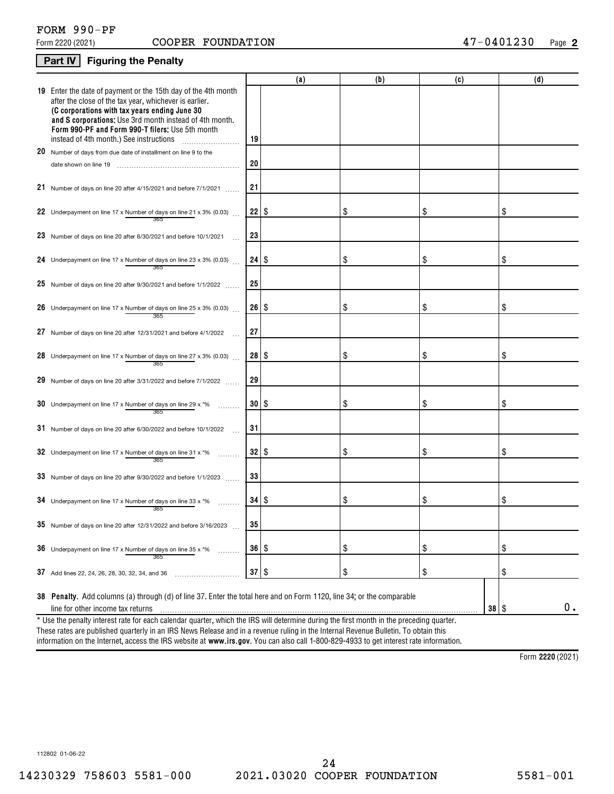## FORM 990-PF

### **2**

### **Part IV Figuring the Penalty**

|                                                                                                                                                                                                                                                                                                                                    |              | (a) | (b) | (c)       | (d) |
|------------------------------------------------------------------------------------------------------------------------------------------------------------------------------------------------------------------------------------------------------------------------------------------------------------------------------------|--------------|-----|-----|-----------|-----|
| 19 Enter the date of payment or the 15th day of the 4th month<br>after the close of the tax year, whichever is earlier.<br>(C corporations with tax years ending June 30<br>and S corporations: Use 3rd month instead of 4th month.<br>Form 990-PF and Form 990-T filers: Use 5th month<br>instead of 4th month.) See instructions | 19           |     |     |           |     |
| 20 Number of days from due date of installment on line 9 to the                                                                                                                                                                                                                                                                    |              |     |     |           |     |
|                                                                                                                                                                                                                                                                                                                                    | 20           |     |     |           |     |
| 21 Number of days on line 20 after 4/15/2021 and before 7/1/2021                                                                                                                                                                                                                                                                   | 21           |     |     |           |     |
| 22 Underpayment on line 17 x Number of days on line 21 x 3% (0.03) $\ldots$<br>365                                                                                                                                                                                                                                                 |              |     | \$  | \$        | \$  |
| 23 Number of days on line 20 after 6/30/2021 and before 10/1/2021                                                                                                                                                                                                                                                                  | 23           |     |     |           |     |
| 24 Underpayment on line 17 x Number of days on line 23 x 3% (0.03)<br>365                                                                                                                                                                                                                                                          |              |     | \$  | \$        | \$  |
| 25 Number of days on line 20 after $9/30/2021$ and before $1/1/2022$                                                                                                                                                                                                                                                               | 25           |     |     |           |     |
| 26 Underpayment on line 17 x Number of days on line 25 x 3% (0.03)<br>365                                                                                                                                                                                                                                                          | $26 \mid$ \$ |     | \$  | \$        | \$  |
| 27 Number of days on line 20 after 12/31/2021 and before 4/1/2022                                                                                                                                                                                                                                                                  | 27           |     |     |           |     |
| 28 Underpayment on line 17 x Number of days on line 27 x 3% (0.03)                                                                                                                                                                                                                                                                 | 28 S         |     | \$  | \$        | \$  |
| 29 Number of days on line 20 after 3/31/2022 and before 7/1/2022                                                                                                                                                                                                                                                                   | 29           |     |     |           |     |
| <b>30</b> Underpayment on line 17 x Number of days on line 29 x $*$ %<br>365                                                                                                                                                                                                                                                       | $30$ \ \$    |     | \$  | \$        | \$  |
| 31 Number of days on line 20 after 6/30/2022 and before 10/1/2022                                                                                                                                                                                                                                                                  | 31           |     |     |           |     |
| 32 Underpayment on line 17 x Number of days on line 31 x $*$ %<br>365                                                                                                                                                                                                                                                              | 32   \$      |     | \$  | \$        | \$  |
| 33 Number of days on line 20 after 9/30/2022 and before 1/1/2023                                                                                                                                                                                                                                                                   | 33           |     |     |           |     |
| 34 Underpayment on line 17 x Number of days on line 33 x $*$ %<br>365                                                                                                                                                                                                                                                              |              |     | \$  | \$        | \$  |
| $35$ Number of days on line 20 after 12/31/2022 and before 3/16/2023                                                                                                                                                                                                                                                               | კე           |     |     |           |     |
| 36 Underpayment on line 17 x Number of days on line 35 x $*$ %<br>365                                                                                                                                                                                                                                                              | $36 \mid$ \$ |     | \$  | \$        | \$  |
| 37 Add lines 22, 24, 26, 28, 30, 32, 34, and 36                                                                                                                                                                                                                                                                                    | $37$ \ \$    |     | \$  | \$        | \$  |
| 38 Penalty. Add columns (a) through (d) of line 37. Enter the total here and on Form 1120, line 34; or the comparable<br>line for other income tax returns<br>* Use the penalty interest rate for each calendar quarter, which the IRS will determine during the first month in the preceding quarter.                             |              |     |     | $38  $ \$ | 0.  |

information on the Internet, access the IRS website at **www.irs.gov**. You can also call 1-800-829-4933 to get interest rate information. These rates are published quarterly in an IRS News Release and in a revenue ruling in the Internal Revenue Bulletin. To obtain this

**2220**  Form (2021)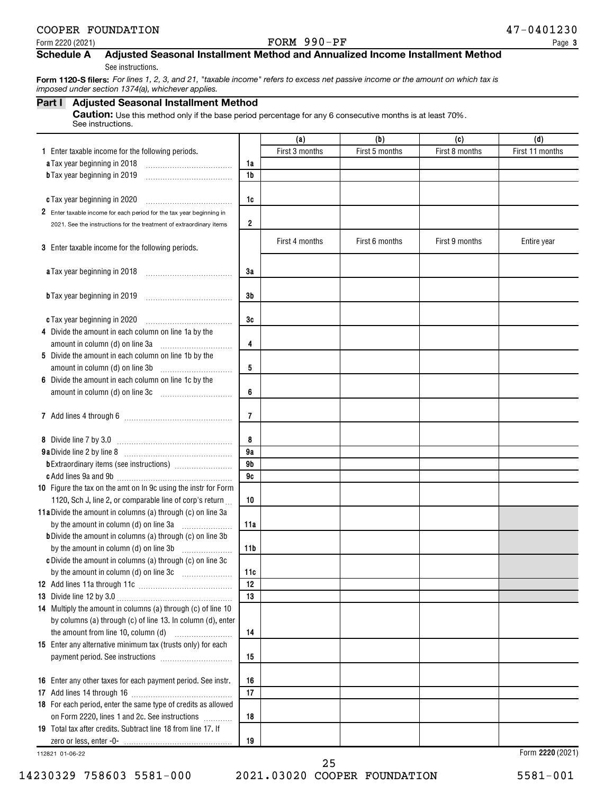#### Form 2220 (2021)  $\bullet$  Page PORM  $990-PF$

#### **Schedule A Adjusted Seasonal Installment Method and Annualized Income Installment Method**

See instructions.

 **Form 1120-S filers:** *For lines 1, 2, 3, and 21, "taxable income" refers to excess net passive income or the amount on which tax is imposed under section 1374(a), whichever applies.*

#### **Part I Adjusted Seasonal Installment Method**

Caution: Use this method only if the base period percentage for any 6 consecutive months is at least 70%. See instructions.

| First 3 months<br>First 5 months<br>First 8 months<br>First 11 months<br>1 Enter taxable income for the following periods.<br>a Tax year beginning in 2018<br>1a<br><b>b</b> Tax year beginning in 2019<br>1b<br>1c<br>c Tax year beginning in 2020<br>2 Enter taxable income for each period for the tax year beginning in<br>2<br>2021. See the instructions for the treatment of extraordinary items<br>First 4 months<br>First 6 months<br>First 9 months<br>Entire year<br>3 Enter taxable income for the following periods.<br>3a<br>a Tax year beginning in 2018<br>3b<br><b>b</b> Tax year beginning in 2019<br>3c<br>c Tax year beginning in 2020<br>4 Divide the amount in each column on line 1a by the<br>4<br>5 Divide the amount in each column on line 1b by the<br>5<br>6 Divide the amount in each column on line 1c by the<br>6<br>amount in column (d) on line 3c [11] [11] [11] amount in column (d) on line 3c<br>7<br>8<br>9a<br>9 <sub>b</sub><br>9c<br>10 Figure the tax on the amt on In 9c using the instr for Form<br>1120, Sch J, line 2, or comparable line of corp's return<br>10<br>11a Divide the amount in columns (a) through (c) on line 3a<br>11a<br><b>b</b> Divide the amount in columns (a) through (c) on line 3b<br>by the amount in column (d) on line 3b<br>11 <sub>b</sub><br>c Divide the amount in columns (a) through (c) on line 3c<br>11c<br>$\overline{12}$<br>13<br>by columns (a) through (c) of line 13. In column (d), enter<br>the amount from line 10, column (d)<br>14<br>15<br>16 Enter any other taxes for each payment period. See instr.<br>16<br>17<br>18 For each period, enter the same type of credits as allowed<br>on Form 2220, lines 1 and 2c. See instructions<br>18<br>19 Total tax after credits. Subtract line 18 from line 17. If<br>19<br>Form 2220 (2021)<br>112821 01-06-22 |                                                              | (a) | (b) | (c) | (d) |
|----------------------------------------------------------------------------------------------------------------------------------------------------------------------------------------------------------------------------------------------------------------------------------------------------------------------------------------------------------------------------------------------------------------------------------------------------------------------------------------------------------------------------------------------------------------------------------------------------------------------------------------------------------------------------------------------------------------------------------------------------------------------------------------------------------------------------------------------------------------------------------------------------------------------------------------------------------------------------------------------------------------------------------------------------------------------------------------------------------------------------------------------------------------------------------------------------------------------------------------------------------------------------------------------------------------------------------------------------------------------------------------------------------------------------------------------------------------------------------------------------------------------------------------------------------------------------------------------------------------------------------------------------------------------------------------------------------------------------------------------------------------------------------------------------------------------------------------------------------|--------------------------------------------------------------|-----|-----|-----|-----|
|                                                                                                                                                                                                                                                                                                                                                                                                                                                                                                                                                                                                                                                                                                                                                                                                                                                                                                                                                                                                                                                                                                                                                                                                                                                                                                                                                                                                                                                                                                                                                                                                                                                                                                                                                                                                                                                          |                                                              |     |     |     |     |
|                                                                                                                                                                                                                                                                                                                                                                                                                                                                                                                                                                                                                                                                                                                                                                                                                                                                                                                                                                                                                                                                                                                                                                                                                                                                                                                                                                                                                                                                                                                                                                                                                                                                                                                                                                                                                                                          |                                                              |     |     |     |     |
|                                                                                                                                                                                                                                                                                                                                                                                                                                                                                                                                                                                                                                                                                                                                                                                                                                                                                                                                                                                                                                                                                                                                                                                                                                                                                                                                                                                                                                                                                                                                                                                                                                                                                                                                                                                                                                                          |                                                              |     |     |     |     |
|                                                                                                                                                                                                                                                                                                                                                                                                                                                                                                                                                                                                                                                                                                                                                                                                                                                                                                                                                                                                                                                                                                                                                                                                                                                                                                                                                                                                                                                                                                                                                                                                                                                                                                                                                                                                                                                          |                                                              |     |     |     |     |
|                                                                                                                                                                                                                                                                                                                                                                                                                                                                                                                                                                                                                                                                                                                                                                                                                                                                                                                                                                                                                                                                                                                                                                                                                                                                                                                                                                                                                                                                                                                                                                                                                                                                                                                                                                                                                                                          |                                                              |     |     |     |     |
|                                                                                                                                                                                                                                                                                                                                                                                                                                                                                                                                                                                                                                                                                                                                                                                                                                                                                                                                                                                                                                                                                                                                                                                                                                                                                                                                                                                                                                                                                                                                                                                                                                                                                                                                                                                                                                                          |                                                              |     |     |     |     |
|                                                                                                                                                                                                                                                                                                                                                                                                                                                                                                                                                                                                                                                                                                                                                                                                                                                                                                                                                                                                                                                                                                                                                                                                                                                                                                                                                                                                                                                                                                                                                                                                                                                                                                                                                                                                                                                          |                                                              |     |     |     |     |
|                                                                                                                                                                                                                                                                                                                                                                                                                                                                                                                                                                                                                                                                                                                                                                                                                                                                                                                                                                                                                                                                                                                                                                                                                                                                                                                                                                                                                                                                                                                                                                                                                                                                                                                                                                                                                                                          |                                                              |     |     |     |     |
|                                                                                                                                                                                                                                                                                                                                                                                                                                                                                                                                                                                                                                                                                                                                                                                                                                                                                                                                                                                                                                                                                                                                                                                                                                                                                                                                                                                                                                                                                                                                                                                                                                                                                                                                                                                                                                                          |                                                              |     |     |     |     |
|                                                                                                                                                                                                                                                                                                                                                                                                                                                                                                                                                                                                                                                                                                                                                                                                                                                                                                                                                                                                                                                                                                                                                                                                                                                                                                                                                                                                                                                                                                                                                                                                                                                                                                                                                                                                                                                          |                                                              |     |     |     |     |
|                                                                                                                                                                                                                                                                                                                                                                                                                                                                                                                                                                                                                                                                                                                                                                                                                                                                                                                                                                                                                                                                                                                                                                                                                                                                                                                                                                                                                                                                                                                                                                                                                                                                                                                                                                                                                                                          |                                                              |     |     |     |     |
|                                                                                                                                                                                                                                                                                                                                                                                                                                                                                                                                                                                                                                                                                                                                                                                                                                                                                                                                                                                                                                                                                                                                                                                                                                                                                                                                                                                                                                                                                                                                                                                                                                                                                                                                                                                                                                                          |                                                              |     |     |     |     |
|                                                                                                                                                                                                                                                                                                                                                                                                                                                                                                                                                                                                                                                                                                                                                                                                                                                                                                                                                                                                                                                                                                                                                                                                                                                                                                                                                                                                                                                                                                                                                                                                                                                                                                                                                                                                                                                          |                                                              |     |     |     |     |
|                                                                                                                                                                                                                                                                                                                                                                                                                                                                                                                                                                                                                                                                                                                                                                                                                                                                                                                                                                                                                                                                                                                                                                                                                                                                                                                                                                                                                                                                                                                                                                                                                                                                                                                                                                                                                                                          |                                                              |     |     |     |     |
|                                                                                                                                                                                                                                                                                                                                                                                                                                                                                                                                                                                                                                                                                                                                                                                                                                                                                                                                                                                                                                                                                                                                                                                                                                                                                                                                                                                                                                                                                                                                                                                                                                                                                                                                                                                                                                                          |                                                              |     |     |     |     |
|                                                                                                                                                                                                                                                                                                                                                                                                                                                                                                                                                                                                                                                                                                                                                                                                                                                                                                                                                                                                                                                                                                                                                                                                                                                                                                                                                                                                                                                                                                                                                                                                                                                                                                                                                                                                                                                          |                                                              |     |     |     |     |
|                                                                                                                                                                                                                                                                                                                                                                                                                                                                                                                                                                                                                                                                                                                                                                                                                                                                                                                                                                                                                                                                                                                                                                                                                                                                                                                                                                                                                                                                                                                                                                                                                                                                                                                                                                                                                                                          |                                                              |     |     |     |     |
|                                                                                                                                                                                                                                                                                                                                                                                                                                                                                                                                                                                                                                                                                                                                                                                                                                                                                                                                                                                                                                                                                                                                                                                                                                                                                                                                                                                                                                                                                                                                                                                                                                                                                                                                                                                                                                                          |                                                              |     |     |     |     |
|                                                                                                                                                                                                                                                                                                                                                                                                                                                                                                                                                                                                                                                                                                                                                                                                                                                                                                                                                                                                                                                                                                                                                                                                                                                                                                                                                                                                                                                                                                                                                                                                                                                                                                                                                                                                                                                          |                                                              |     |     |     |     |
|                                                                                                                                                                                                                                                                                                                                                                                                                                                                                                                                                                                                                                                                                                                                                                                                                                                                                                                                                                                                                                                                                                                                                                                                                                                                                                                                                                                                                                                                                                                                                                                                                                                                                                                                                                                                                                                          |                                                              |     |     |     |     |
|                                                                                                                                                                                                                                                                                                                                                                                                                                                                                                                                                                                                                                                                                                                                                                                                                                                                                                                                                                                                                                                                                                                                                                                                                                                                                                                                                                                                                                                                                                                                                                                                                                                                                                                                                                                                                                                          |                                                              |     |     |     |     |
|                                                                                                                                                                                                                                                                                                                                                                                                                                                                                                                                                                                                                                                                                                                                                                                                                                                                                                                                                                                                                                                                                                                                                                                                                                                                                                                                                                                                                                                                                                                                                                                                                                                                                                                                                                                                                                                          |                                                              |     |     |     |     |
|                                                                                                                                                                                                                                                                                                                                                                                                                                                                                                                                                                                                                                                                                                                                                                                                                                                                                                                                                                                                                                                                                                                                                                                                                                                                                                                                                                                                                                                                                                                                                                                                                                                                                                                                                                                                                                                          |                                                              |     |     |     |     |
|                                                                                                                                                                                                                                                                                                                                                                                                                                                                                                                                                                                                                                                                                                                                                                                                                                                                                                                                                                                                                                                                                                                                                                                                                                                                                                                                                                                                                                                                                                                                                                                                                                                                                                                                                                                                                                                          |                                                              |     |     |     |     |
|                                                                                                                                                                                                                                                                                                                                                                                                                                                                                                                                                                                                                                                                                                                                                                                                                                                                                                                                                                                                                                                                                                                                                                                                                                                                                                                                                                                                                                                                                                                                                                                                                                                                                                                                                                                                                                                          |                                                              |     |     |     |     |
|                                                                                                                                                                                                                                                                                                                                                                                                                                                                                                                                                                                                                                                                                                                                                                                                                                                                                                                                                                                                                                                                                                                                                                                                                                                                                                                                                                                                                                                                                                                                                                                                                                                                                                                                                                                                                                                          |                                                              |     |     |     |     |
|                                                                                                                                                                                                                                                                                                                                                                                                                                                                                                                                                                                                                                                                                                                                                                                                                                                                                                                                                                                                                                                                                                                                                                                                                                                                                                                                                                                                                                                                                                                                                                                                                                                                                                                                                                                                                                                          |                                                              |     |     |     |     |
|                                                                                                                                                                                                                                                                                                                                                                                                                                                                                                                                                                                                                                                                                                                                                                                                                                                                                                                                                                                                                                                                                                                                                                                                                                                                                                                                                                                                                                                                                                                                                                                                                                                                                                                                                                                                                                                          |                                                              |     |     |     |     |
|                                                                                                                                                                                                                                                                                                                                                                                                                                                                                                                                                                                                                                                                                                                                                                                                                                                                                                                                                                                                                                                                                                                                                                                                                                                                                                                                                                                                                                                                                                                                                                                                                                                                                                                                                                                                                                                          |                                                              |     |     |     |     |
|                                                                                                                                                                                                                                                                                                                                                                                                                                                                                                                                                                                                                                                                                                                                                                                                                                                                                                                                                                                                                                                                                                                                                                                                                                                                                                                                                                                                                                                                                                                                                                                                                                                                                                                                                                                                                                                          |                                                              |     |     |     |     |
|                                                                                                                                                                                                                                                                                                                                                                                                                                                                                                                                                                                                                                                                                                                                                                                                                                                                                                                                                                                                                                                                                                                                                                                                                                                                                                                                                                                                                                                                                                                                                                                                                                                                                                                                                                                                                                                          |                                                              |     |     |     |     |
|                                                                                                                                                                                                                                                                                                                                                                                                                                                                                                                                                                                                                                                                                                                                                                                                                                                                                                                                                                                                                                                                                                                                                                                                                                                                                                                                                                                                                                                                                                                                                                                                                                                                                                                                                                                                                                                          |                                                              |     |     |     |     |
|                                                                                                                                                                                                                                                                                                                                                                                                                                                                                                                                                                                                                                                                                                                                                                                                                                                                                                                                                                                                                                                                                                                                                                                                                                                                                                                                                                                                                                                                                                                                                                                                                                                                                                                                                                                                                                                          |                                                              |     |     |     |     |
|                                                                                                                                                                                                                                                                                                                                                                                                                                                                                                                                                                                                                                                                                                                                                                                                                                                                                                                                                                                                                                                                                                                                                                                                                                                                                                                                                                                                                                                                                                                                                                                                                                                                                                                                                                                                                                                          | 14 Multiply the amount in columns (a) through (c) of line 10 |     |     |     |     |
|                                                                                                                                                                                                                                                                                                                                                                                                                                                                                                                                                                                                                                                                                                                                                                                                                                                                                                                                                                                                                                                                                                                                                                                                                                                                                                                                                                                                                                                                                                                                                                                                                                                                                                                                                                                                                                                          |                                                              |     |     |     |     |
|                                                                                                                                                                                                                                                                                                                                                                                                                                                                                                                                                                                                                                                                                                                                                                                                                                                                                                                                                                                                                                                                                                                                                                                                                                                                                                                                                                                                                                                                                                                                                                                                                                                                                                                                                                                                                                                          |                                                              |     |     |     |     |
|                                                                                                                                                                                                                                                                                                                                                                                                                                                                                                                                                                                                                                                                                                                                                                                                                                                                                                                                                                                                                                                                                                                                                                                                                                                                                                                                                                                                                                                                                                                                                                                                                                                                                                                                                                                                                                                          | 15 Enter any alternative minimum tax (trusts only) for each  |     |     |     |     |
|                                                                                                                                                                                                                                                                                                                                                                                                                                                                                                                                                                                                                                                                                                                                                                                                                                                                                                                                                                                                                                                                                                                                                                                                                                                                                                                                                                                                                                                                                                                                                                                                                                                                                                                                                                                                                                                          |                                                              |     |     |     |     |
|                                                                                                                                                                                                                                                                                                                                                                                                                                                                                                                                                                                                                                                                                                                                                                                                                                                                                                                                                                                                                                                                                                                                                                                                                                                                                                                                                                                                                                                                                                                                                                                                                                                                                                                                                                                                                                                          |                                                              |     |     |     |     |
|                                                                                                                                                                                                                                                                                                                                                                                                                                                                                                                                                                                                                                                                                                                                                                                                                                                                                                                                                                                                                                                                                                                                                                                                                                                                                                                                                                                                                                                                                                                                                                                                                                                                                                                                                                                                                                                          |                                                              |     |     |     |     |
|                                                                                                                                                                                                                                                                                                                                                                                                                                                                                                                                                                                                                                                                                                                                                                                                                                                                                                                                                                                                                                                                                                                                                                                                                                                                                                                                                                                                                                                                                                                                                                                                                                                                                                                                                                                                                                                          |                                                              |     |     |     |     |
|                                                                                                                                                                                                                                                                                                                                                                                                                                                                                                                                                                                                                                                                                                                                                                                                                                                                                                                                                                                                                                                                                                                                                                                                                                                                                                                                                                                                                                                                                                                                                                                                                                                                                                                                                                                                                                                          |                                                              |     |     |     |     |
|                                                                                                                                                                                                                                                                                                                                                                                                                                                                                                                                                                                                                                                                                                                                                                                                                                                                                                                                                                                                                                                                                                                                                                                                                                                                                                                                                                                                                                                                                                                                                                                                                                                                                                                                                                                                                                                          |                                                              |     |     |     |     |
|                                                                                                                                                                                                                                                                                                                                                                                                                                                                                                                                                                                                                                                                                                                                                                                                                                                                                                                                                                                                                                                                                                                                                                                                                                                                                                                                                                                                                                                                                                                                                                                                                                                                                                                                                                                                                                                          |                                                              |     |     |     |     |
|                                                                                                                                                                                                                                                                                                                                                                                                                                                                                                                                                                                                                                                                                                                                                                                                                                                                                                                                                                                                                                                                                                                                                                                                                                                                                                                                                                                                                                                                                                                                                                                                                                                                                                                                                                                                                                                          |                                                              |     |     |     |     |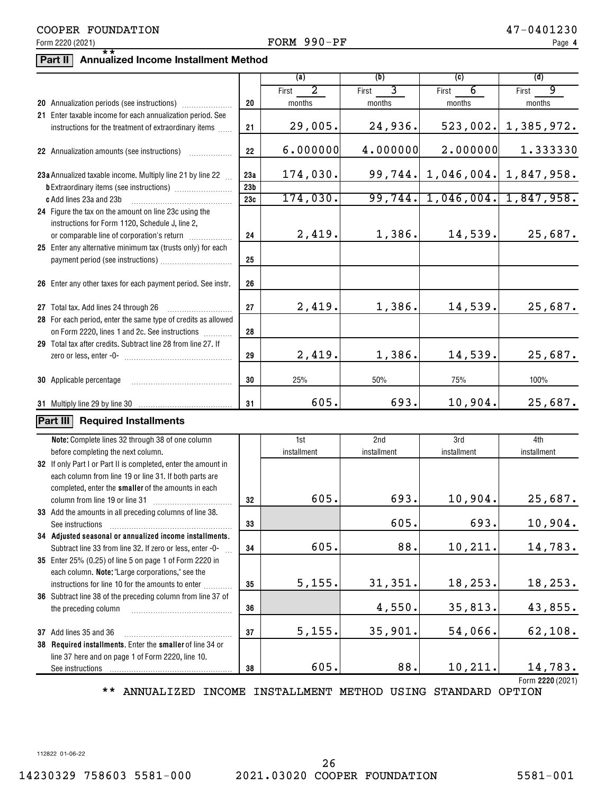### Form 2220 (2021)  $\bullet$  Page PORM  $990-PF$

# **Part II Annualized Income Installment Method** \*\*

|                                                                                                                          |                 | (a)         | (b)         | (c)         | (d)                       |
|--------------------------------------------------------------------------------------------------------------------------|-----------------|-------------|-------------|-------------|---------------------------|
|                                                                                                                          |                 | 2<br>First  | 3<br>First  | 6<br>First  | 9<br>First                |
|                                                                                                                          | 20              | months      | months      | months      | months                    |
| 21 Enter taxable income for each annualization period. See                                                               |                 |             |             |             |                           |
| instructions for the treatment of extraordinary items                                                                    | 21              | 29,005.     | 24,936.     | 523,002.    | 1,385,972.                |
| 22 Annualization amounts (see instructions)                                                                              | 22              | 6.000000    | 4.000000    | 2.000000    | 1.333330                  |
| 23a Annualized taxable income. Multiply line 21 by line 22                                                               | 23a             | 174,030.    | 99,744.     |             | $1,046,004.$ $1,847,958.$ |
|                                                                                                                          | 23 <sub>b</sub> |             |             |             |                           |
| c Add lines 23a and 23b                                                                                                  | 23c             | 174,030.    | 99,744.     |             | $1,046,004.$ 1,847,958.   |
| 24 Figure the tax on the amount on line 23c using the                                                                    |                 |             |             |             |                           |
| instructions for Form 1120, Schedule J, line 2,                                                                          |                 |             |             |             |                           |
| or comparable line of corporation's return                                                                               | 24              | 2,419.      | 1,386.      | 14,539.     | 25,687.                   |
| 25 Enter any alternative minimum tax (trusts only) for each                                                              |                 |             |             |             |                           |
|                                                                                                                          | 25              |             |             |             |                           |
| 26 Enter any other taxes for each payment period. See instr.                                                             | 26              |             |             |             |                           |
| 27 Total tax. Add lines 24 through 26                                                                                    | 27              | 2,419.      | 1,386.      | 14,539.     | 25,687.                   |
| 28 For each period, enter the same type of credits as allowed                                                            |                 |             |             |             |                           |
| on Form 2220, lines 1 and 2c. See instructions                                                                           | 28              |             |             |             |                           |
| 29 Total tax after credits. Subtract line 28 from line 27. If                                                            |                 |             |             |             |                           |
|                                                                                                                          | 29              | 2,419.      | 1,386.      | 14,539.     | 25,687.                   |
| 30 Applicable percentage                                                                                                 | 30              | 25%         | 50%         | 75%         | 100%                      |
|                                                                                                                          | 31              | 605.        | 693.        | 10,904.     | 25,687.                   |
| Part III<br><b>Required Installments</b>                                                                                 |                 |             |             |             |                           |
|                                                                                                                          |                 |             |             |             |                           |
| Note: Complete lines 32 through 38 of one column                                                                         |                 | 1st         | 2nd         | 3rd         | 4th                       |
| before completing the next column.                                                                                       |                 | installment | installment | installment | installment               |
| 32 If only Part I or Part II is completed, enter the amount in<br>each column from line 19 or line 31. If both parts are |                 |             |             |             |                           |
| completed, enter the smaller of the amounts in each                                                                      |                 |             |             |             |                           |
| column from line 19 or line 31                                                                                           | 32              | 605.        | 693.        | 10,904.     | 25,687.                   |
| 33 Add the amounts in all preceding columns of line 38.                                                                  |                 |             |             |             |                           |
| See instructions                                                                                                         | 33              |             | 605.        | 693.        | 10,904.                   |
| 34 Adjusted seasonal or annualized income installments.                                                                  |                 |             |             |             |                           |
| Subtract line 33 from line 32. If zero or less, enter -0-                                                                | 34              | 605.        | 88.         | 10,211.     | 14,783.                   |
| 35 Enter 25% (0.25) of line 5 on page 1 of Form 2220 in                                                                  |                 |             |             |             |                           |
| each column. Note: "Large corporations," see the                                                                         |                 |             |             |             |                           |
| instructions for line 10 for the amounts to enter                                                                        | 35              | 5,155.      | 31,351.     | 18,253.     | 18,253.                   |
| 36 Subtract line 38 of the preceding column from line 37 of                                                              |                 |             |             |             |                           |
| the preceding column                                                                                                     | 36              |             | 4,550.      | 35,813.     | 43,855.                   |
| 37 Add lines 35 and 36                                                                                                   | 37              | 5,155.      | 35,901.     | 54,066.     | 62,108.                   |
| 38 Required installments. Enter the smaller of line 34 or                                                                |                 |             |             |             |                           |
| line 37 here and on page 1 of Form 2220, line 10.                                                                        |                 |             |             |             |                           |
| See instructions                                                                                                         | 38              | 605.        | 88.         | 10,211.     | 14,783.                   |
|                                                                                                                          |                 |             |             |             | Form 2220 (2021)          |

\*\* ANNUALIZED INCOME INSTALLMENT METHOD USING STANDARD OPTION

112822 01-06-22

14230329 758603 5581-000 2021.03020 COOPER FOUNDATION 5581-001 26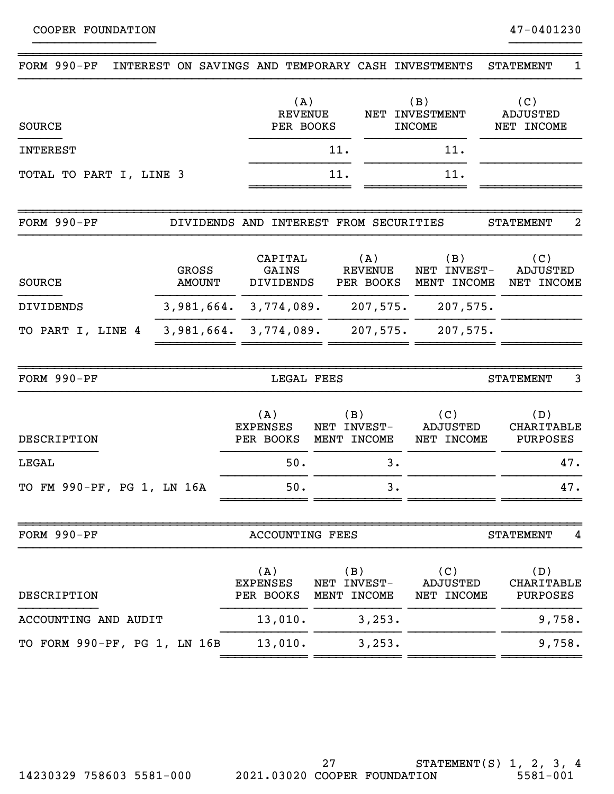| FORM 990-PF<br>INTEREST ON SAVINGS AND TEMPORARY CASH INVESTMENTS |                                        |                                           |                                   |                                    |                                           | <b>STATEMENT</b><br>1                |
|-------------------------------------------------------------------|----------------------------------------|-------------------------------------------|-----------------------------------|------------------------------------|-------------------------------------------|--------------------------------------|
| <b>SOURCE</b>                                                     |                                        | (A)<br><b>REVENUE</b><br>NET<br>PER BOOKS |                                   |                                    | (B)<br><b>INVESTMENT</b><br><b>INCOME</b> | (C)<br><b>ADJUSTED</b><br>NET INCOME |
| <b>INTEREST</b>                                                   |                                        |                                           | 11.                               |                                    | 11.                                       |                                      |
| TOTAL TO PART I, LINE 3                                           |                                        |                                           | 11.                               |                                    | 11.                                       |                                      |
| FORM $990-PF$                                                     | DIVIDENDS AND INTEREST FROM SECURITIES |                                           |                                   |                                    |                                           | 2<br><b>STATEMENT</b>                |
| GROSS<br><b>SOURCE</b><br><b>AMOUNT</b>                           |                                        | CAPITAL<br>GAINS<br><b>DIVIDENDS</b>      |                                   | (A)<br><b>REVENUE</b><br>PER BOOKS | (B)<br>NET INVEST-<br>MENT INCOME         | (C)<br><b>ADJUSTED</b><br>NET INCOME |
| <b>DIVIDENDS</b>                                                  | $3,981,664.$ $3,774,089.$ 207,575.     |                                           |                                   |                                    | 207,575.                                  |                                      |
| TO PART I, LINE 4                                                 |                                        | $3,981,664.$ $3,774,089.$ 207,575.        |                                   |                                    | 207,575.                                  |                                      |
| FORM 990-PF                                                       |                                        | LEGAL FEES                                |                                   |                                    |                                           | <b>STATEMENT</b><br>3                |
| DESCRIPTION                                                       |                                        | (A)<br><b>EXPENSES</b><br>PER BOOKS       | (B)<br>NET INVEST-<br>MENT INCOME |                                    | (C)<br><b>ADJUSTED</b><br>NET INCOME      | (D)<br>CHARITABLE<br>PURPOSES        |
| LEGAL                                                             |                                        | 50.                                       | 3.                                |                                    |                                           | 47.                                  |
| TO FM 990-PF, PG 1, LN 16A                                        |                                        | 50.                                       | 3.                                |                                    |                                           | 47.                                  |
| FORM 990-PF                                                       |                                        | <b>ACCOUNTING FEES</b>                    |                                   |                                    |                                           | <b>STATEMENT</b><br>4                |
| DESCRIPTION                                                       |                                        | (A)<br><b>EXPENSES</b><br>PER BOOKS       | (B)<br>NET INVEST-<br>MENT INCOME |                                    | (C)<br>ADJUSTED<br>NET INCOME             | (D)<br>CHARITABLE<br>PURPOSES        |
| ACCOUNTING AND AUDIT                                              |                                        | 13,010.                                   | 3,253.                            |                                    |                                           | 9,758.                               |
| TO FORM 990-PF, PG 1, LN 16B                                      |                                        | 13,010.                                   |                                   | 3, 253.                            |                                           | 9,758.                               |

}}}}}}}}}}}}}}}}} }}}}}}}}}}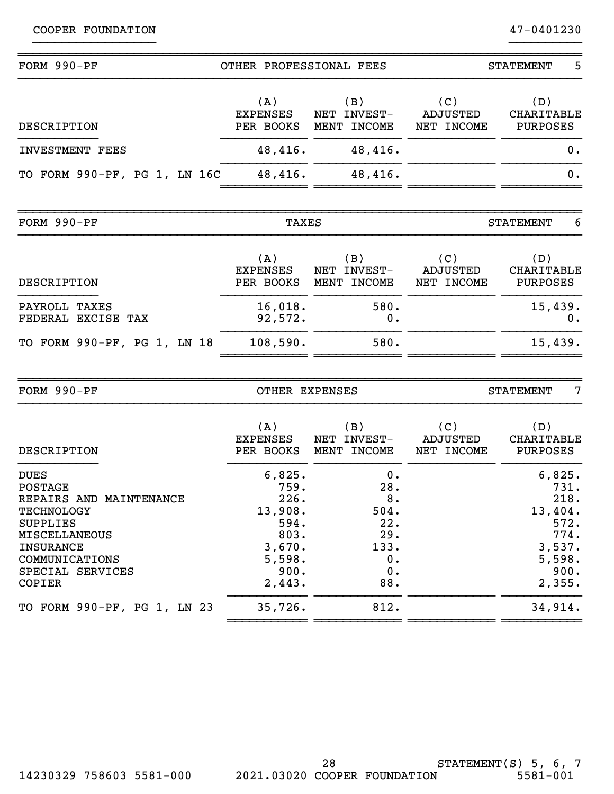| FORM 990-PF                                                                                                                                                                           | OTHER PROFESSIONAL FEES                                                                 |                                                                  | 5<br><b>STATEMENT</b>                |                                                                                         |  |
|---------------------------------------------------------------------------------------------------------------------------------------------------------------------------------------|-----------------------------------------------------------------------------------------|------------------------------------------------------------------|--------------------------------------|-----------------------------------------------------------------------------------------|--|
| DESCRIPTION                                                                                                                                                                           | (A)<br><b>EXPENSES</b><br>PER BOOKS                                                     | (B)<br>NET INVEST-<br>MENT INCOME                                | (C)<br><b>ADJUSTED</b><br>NET INCOME | (D)<br>CHARITABLE<br>PURPOSES                                                           |  |
| <b>INVESTMENT FEES</b>                                                                                                                                                                | 48,416.                                                                                 | 48,416.                                                          |                                      | 0.                                                                                      |  |
| TO FORM 990-PF, PG 1, LN 16C                                                                                                                                                          | 48,416.                                                                                 | 48,416.                                                          |                                      | 0.                                                                                      |  |
| FORM 990-PF                                                                                                                                                                           | <b>TAXES</b>                                                                            |                                                                  |                                      | 6<br><b>STATEMENT</b>                                                                   |  |
| DESCRIPTION                                                                                                                                                                           | (A)<br><b>EXPENSES</b><br>PER BOOKS                                                     | (B)<br>NET INVEST-<br>MENT INCOME                                | (C)<br><b>ADJUSTED</b><br>NET INCOME | (D)<br>CHARITABLE<br><b>PURPOSES</b>                                                    |  |
| PAYROLL TAXES<br>FEDERAL EXCISE TAX                                                                                                                                                   | 16,018.<br>92,572.                                                                      | 580.<br>0.                                                       |                                      | 15,439.<br>0.                                                                           |  |
| TO FORM 990-PF, PG 1, LN 18                                                                                                                                                           | 108,590.                                                                                | 580.                                                             |                                      | 15,439.                                                                                 |  |
| FORM 990-PF                                                                                                                                                                           | OTHER EXPENSES                                                                          |                                                                  |                                      | 7<br><b>STATEMENT</b>                                                                   |  |
| <b>DESCRIPTION</b>                                                                                                                                                                    | (A)<br><b>EXPENSES</b><br>PER BOOKS                                                     | (B)<br>NET INVEST-<br>MENT INCOME                                | (C)<br>ADJUSTED<br>NET INCOME        | (D)<br>CHARITABLE<br>PURPOSES                                                           |  |
| <b>DUES</b><br>POSTAGE<br>REPAIRS AND MAINTENANCE<br><b>TECHNOLOGY</b><br><b>SUPPLIES</b><br><b>MISCELLANEOUS</b><br><b>INSURANCE</b><br>COMMUNICATIONS<br>SPECIAL SERVICES<br>COPIER | 6,825.<br>759.<br>226.<br>13,908.<br>594.<br>803.<br>3,670.<br>5,598.<br>900.<br>2,443. | 0.<br>28.<br>8.<br>504.<br>22.<br>29.<br>133.<br>0.<br>0.<br>88. |                                      | 6,825.<br>731.<br>218.<br>13,404.<br>572.<br>774.<br>3,537.<br>5,598.<br>900.<br>2,355. |  |
| TO FORM 990-PF, PG 1, LN 23                                                                                                                                                           | 35,726.                                                                                 | 812.                                                             |                                      | 34,914.                                                                                 |  |

}}}}}}}}}}}}}}}}} }}}}}}}}}}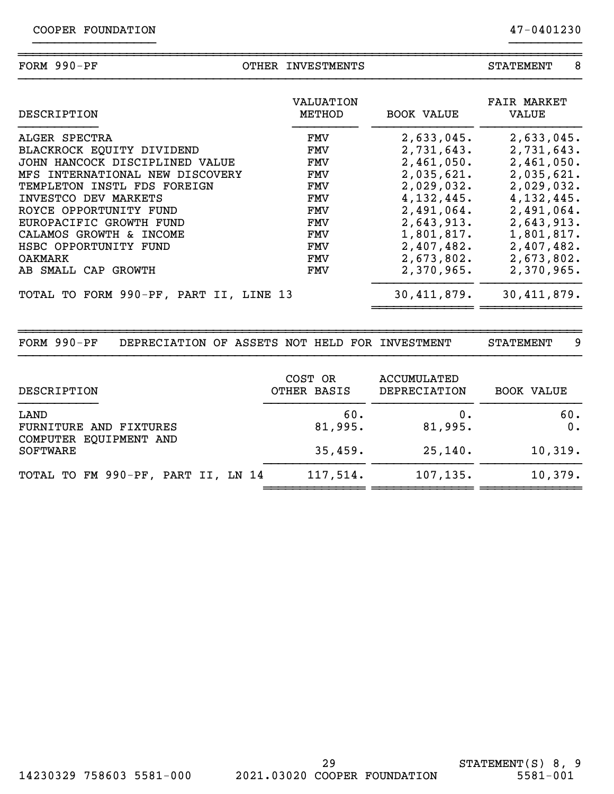| COOPER | FOUNDATION |
|--------|------------|
|--------|------------|

| <b>FORM</b> | $990-PF$ | <b>INVESTMENTS</b> | <b>.'EMENT</b><br>┓╖ |  |
|-------------|----------|--------------------|----------------------|--|
|             |          |                    |                      |  |

}}}}}}}}}}}}}}}}} }}}}}}}}}}

| DESCRIPTION                            | VALUATION<br>METHOD | <b>BOOK VALUE</b> | <b>FAIR MARKET</b><br>VALUE |
|----------------------------------------|---------------------|-------------------|-----------------------------|
| ALGER SPECTRA                          | FMV                 | 2,633,045.        | 2,633,045.                  |
| BLACKROCK EQUITY DIVIDEND              | FMV                 | 2,731,643.        | 2,731,643.                  |
| JOHN HANCOCK DISCIPLINED VALUE         | FMV                 | 2,461,050.        | 2,461,050.                  |
| MFS INTERNATIONAL NEW DISCOVERY        | FMV                 | 2,035,621.        | 2,035,621.                  |
| TEMPLETON INSTL FDS FOREIGN            | FMV                 | 2,029,032.        | 2,029,032.                  |
| INVESTCO DEV MARKETS                   | FMV                 | 4, 132, 445.      | 4, 132, 445.                |
| ROYCE OPPORTUNITY FUND                 | FMV                 | 2,491,064.        | 2,491,064.                  |
| EUROPACIFIC GROWTH FUND                | FMV                 | 2,643,913.        | 2,643,913.                  |
| CALAMOS GROWTH & INCOME                | FMV                 | 1,801,817.        | 1,801,817.                  |
| HSBC OPPORTUNITY FUND                  | FMV                 | 2,407,482.        | 2,407,482.                  |
| <b>OAKMARK</b>                         | FMV                 | 2,673,802.        | 2,673,802.                  |
| AB SMALL CAP GROWTH                    | FMV                 | 2,370,965.        | $2,370,965$ .               |
| TOTAL TO FORM 990-PF, PART II, LINE 13 |                     | 30,411,879.       | 30, 411, 879.               |
|                                        |                     |                   |                             |

FORM 990-PF DEPRECIATION OF ASSETS NOT HELD FOR INVESTMENT STATEMENT 9

| DESCRIPTION                                              | COST OR<br>OTHER BASIS | ACCUMULATED<br>DEPRECIATION | <b>BOOK VALUE</b> |
|----------------------------------------------------------|------------------------|-----------------------------|-------------------|
| LAND<br>FURNITURE AND FIXTURES<br>COMPUTER EQUIPMENT AND | 60.<br>81,995.         | 0.<br>81,995.               | 60.<br>0.         |
| <b>SOFTWARE</b>                                          | 35,459.                | 25,140.                     | 10,319.           |
| TOTAL TO FM 990-PF, PART II, LN 14                       | 117,514.               | 107, 135.                   | 10,379.           |

~~~~~~~~~~~~~~~~~~~~~~~~~~~~~~~~~~~~~~~~~~~~~~~~~~~~~~~~~~~~~~~~~~~~~~~~~~~~~~

}}}}}}}}}}}}}}}}}}}}}}}}}}}}}}}}}}}}}}}}}}}}}}}}}}}}}}}}}}}}}}}}}}}}}}}}}}}}}}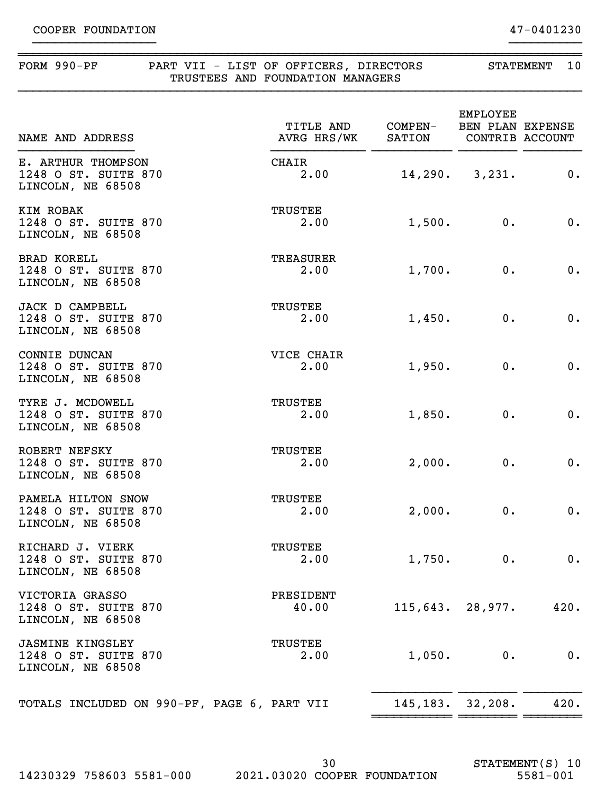#### FORM 990-PF PART VII - LIST OF OFFICERS, DIRECTORS STATEMENT 10 TRUSTEES AND FOUNDATION MANAGERS

~~~~~~~~~~~~~~~~~~~~~~~~~~~~~~~~~~~~~~~~~~~~~~~~~~~~~~~~~~~~~~~~~~~~~~~~~~~~~~

}}}}}}}}}}}}}}}}} }}}}}}}}}}

}}}}}}}}}}}}}}}}}}}}}}}}}}}}}}}}}}}}}}}}}}}}}}}}}}}}}}}}}}}}}}}}}}}}}}}}}}}}}}

| NAME AND ADDRESS                                                     | TITLE AND COMPEN-<br>AVRG HRS/WK SATION |        | <b>EMPLOYEE</b><br>BEN PLAN EXPENSE | CONTRIB ACCOUNT |
|----------------------------------------------------------------------|-----------------------------------------|--------|-------------------------------------|-----------------|
| E. ARTHUR THOMPSON<br>1248 O ST. SUITE 870<br>LINCOLN, NE 68508      | CHAIR<br>2.00                           |        | $14,290.$ 3, 231.                   | 0.              |
| KIM ROBAK<br>1248 O ST. SUITE 870<br>LINCOLN, NE 68508               | TRUSTEE<br>2.00                         | 1,500. | $0$ .                               | $0$ .           |
| <b>BRAD KORELL</b><br>1248 O ST. SUITE 870<br>LINCOLN, NE 68508      | TREASURER<br>2.00                       | 1,700. | $0$ .                               | $0$ .           |
| <b>JACK D CAMPBELL</b><br>1248 O ST. SUITE 870<br>LINCOLN, NE 68508  | TRUSTEE<br>2.00                         | 1,450. | $0$ .                               | $0$ .           |
| CONNIE DUNCAN<br>1248 O ST. SUITE 870<br>LINCOLN, NE 68508           | VICE CHAIR<br>2.00                      | 1,950. | 0.                                  | $0$ .           |
| TYRE J. MCDOWELL<br>1248 O ST. SUITE 870<br>LINCOLN, NE 68508        | TRUSTEE<br>2.00                         | 1,850. | $0$ .                               | $0$ .           |
| ROBERT NEFSKY<br>1248 O ST. SUITE 870<br>LINCOLN, NE 68508           | TRUSTEE<br>2.00                         | 2,000. | 0.                                  | $0$ .           |
| PAMELA HILTON SNOW<br>1248 O ST. SUITE 870<br>LINCOLN, NE 68508      | TRUSTEE<br>2.00                         | 2,000. | $0$ .                               | 0.              |
| RICHARD J. VIERK<br>1248 O ST. SUITE 870<br>LINCOLN, NE 68508        | <b>TRUSTEE</b><br>2.00                  | 1,750. | 0.                                  | 0.              |
| VICTORIA GRASSO<br>1248 O ST. SUITE 870<br>LINCOLN, NE 68508         | PRESIDENT<br>40.00                      |        | 115,643.28,977.                     | 420.            |
| <b>JASMINE KINGSLEY</b><br>1248 O ST. SUITE 870<br>LINCOLN, NE 68508 | <b>TRUSTEE</b><br>2.00                  | 1,050. | 0.                                  | 0.              |
| TOTALS INCLUDED ON 990-PF, PAGE 6, PART VII                          |                                         |        | 145, 183. 32, 208.                  | 420.            |